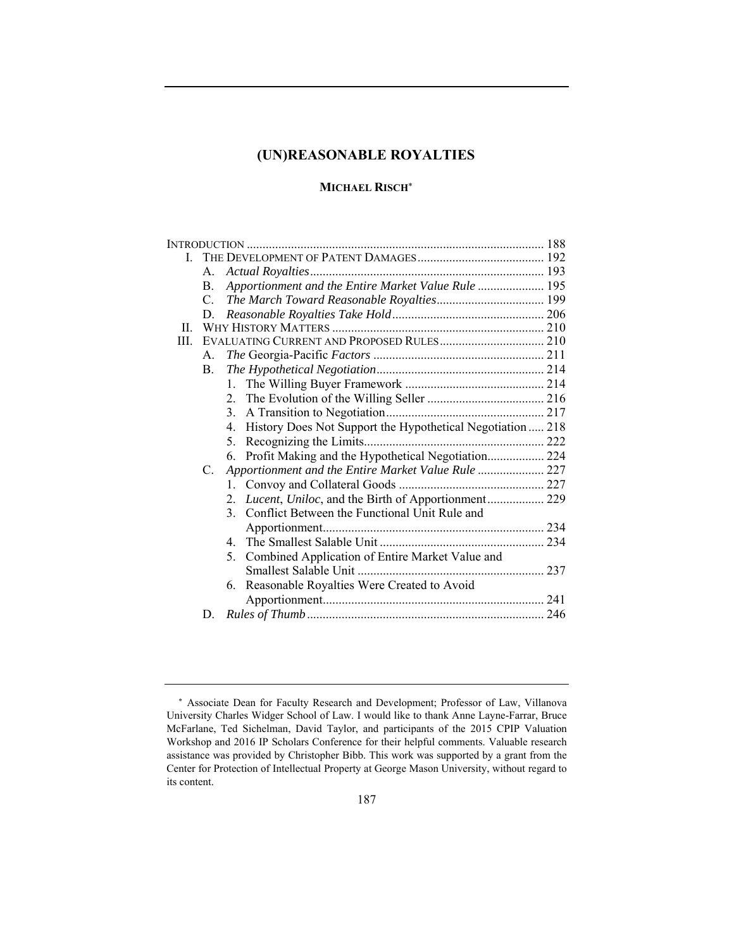# **MICHAEL RISCH**

|       | A.              |                                                                              |  |  |
|-------|-----------------|------------------------------------------------------------------------------|--|--|
|       | B.              | Apportionment and the Entire Market Value Rule  195                          |  |  |
|       | $\mathcal{C}$ . |                                                                              |  |  |
|       | D.              |                                                                              |  |  |
| $\Pi$ |                 |                                                                              |  |  |
| III.  |                 |                                                                              |  |  |
|       | $A_{-}$         |                                                                              |  |  |
|       | B.              |                                                                              |  |  |
|       |                 | 1.                                                                           |  |  |
|       |                 |                                                                              |  |  |
|       |                 | 3.                                                                           |  |  |
|       |                 | History Does Not Support the Hypothetical Negotiation  218<br>$\mathbf{4}$ . |  |  |
|       |                 | 5.                                                                           |  |  |
|       |                 | Profit Making and the Hypothetical Negotiation 224<br>6.                     |  |  |
|       | $C_{\cdot}$     | Apportionment and the Entire Market Value Rule  227                          |  |  |
|       |                 | 1.                                                                           |  |  |
|       |                 | 2.                                                                           |  |  |
|       |                 | 3. Conflict Between the Functional Unit Rule and                             |  |  |
|       |                 |                                                                              |  |  |
|       |                 | 4                                                                            |  |  |
|       |                 | Combined Application of Entire Market Value and<br>5.                        |  |  |
|       |                 |                                                                              |  |  |
|       |                 | 6. Reasonable Royalties Were Created to Avoid                                |  |  |
|       |                 |                                                                              |  |  |
|       | D.              |                                                                              |  |  |
|       |                 |                                                                              |  |  |

Associate Dean for Faculty Research and Development; Professor of Law, Villanova University Charles Widger School of Law. I would like to thank Anne Layne-Farrar, Bruce McFarlane, Ted Sichelman, David Taylor, and participants of the 2015 CPIP Valuation Workshop and 2016 IP Scholars Conference for their helpful comments. Valuable research assistance was provided by Christopher Bibb. This work was supported by a grant from the Center for Protection of Intellectual Property at George Mason University, without regard to its content.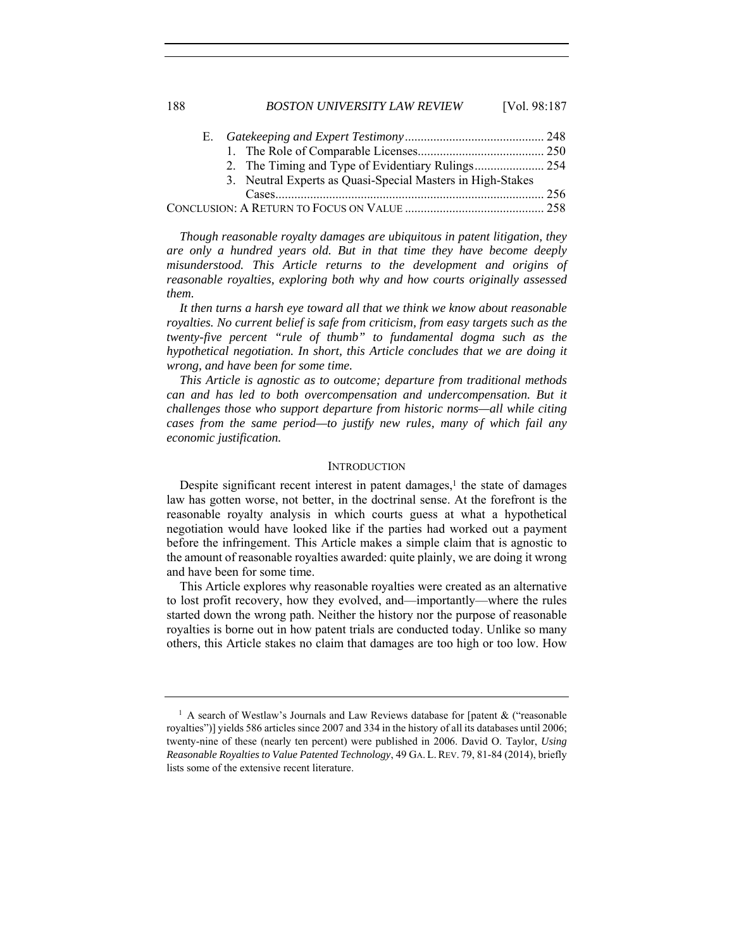188 *BOSTON UNIVERSITY LAW REVIEW* [Vol. 98:187

|  | 3. Neutral Experts as Quasi-Special Masters in High-Stakes |  |
|--|------------------------------------------------------------|--|
|  |                                                            |  |
|  |                                                            |  |

*Though reasonable royalty damages are ubiquitous in patent litigation, they are only a hundred years old. But in that time they have become deeply misunderstood. This Article returns to the development and origins of reasonable royalties, exploring both why and how courts originally assessed them.*

*It then turns a harsh eye toward all that we think we know about reasonable royalties. No current belief is safe from criticism, from easy targets such as the twenty-five percent "rule of thumb" to fundamental dogma such as the hypothetical negotiation. In short, this Article concludes that we are doing it wrong, and have been for some time.*

*This Article is agnostic as to outcome; departure from traditional methods can and has led to both overcompensation and undercompensation. But it challenges those who support departure from historic norms—all while citing cases from the same period—to justify new rules, many of which fail any economic justification.*

# **INTRODUCTION**

Despite significant recent interest in patent damages, $<sup>1</sup>$  the state of damages</sup> law has gotten worse, not better, in the doctrinal sense. At the forefront is the reasonable royalty analysis in which courts guess at what a hypothetical negotiation would have looked like if the parties had worked out a payment before the infringement. This Article makes a simple claim that is agnostic to the amount of reasonable royalties awarded: quite plainly, we are doing it wrong and have been for some time.

This Article explores why reasonable royalties were created as an alternative to lost profit recovery, how they evolved, and—importantly—where the rules started down the wrong path. Neither the history nor the purpose of reasonable royalties is borne out in how patent trials are conducted today. Unlike so many others, this Article stakes no claim that damages are too high or too low. How

<sup>&</sup>lt;sup>1</sup> A search of Westlaw's Journals and Law Reviews database for [patent & ("reasonable") royalties")] yields 586 articles since 2007 and 334 in the history of all its databases until 2006; twenty-nine of these (nearly ten percent) were published in 2006. David O. Taylor, *Using Reasonable Royalties to Value Patented Technology*, 49 GA. L. REV. 79, 81-84 (2014), briefly lists some of the extensive recent literature.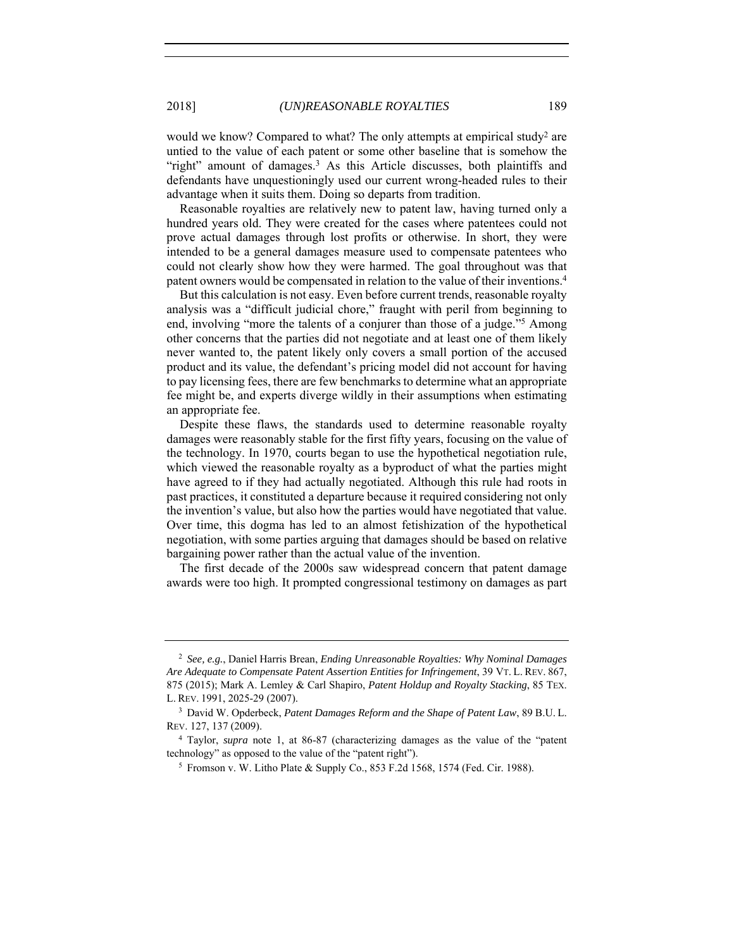would we know? Compared to what? The only attempts at empirical study<sup>2</sup> are untied to the value of each patent or some other baseline that is somehow the "right" amount of damages.<sup>3</sup> As this Article discusses, both plaintiffs and defendants have unquestioningly used our current wrong-headed rules to their advantage when it suits them. Doing so departs from tradition.

Reasonable royalties are relatively new to patent law, having turned only a hundred years old. They were created for the cases where patentees could not prove actual damages through lost profits or otherwise. In short, they were intended to be a general damages measure used to compensate patentees who could not clearly show how they were harmed. The goal throughout was that patent owners would be compensated in relation to the value of their inventions.4

But this calculation is not easy. Even before current trends, reasonable royalty analysis was a "difficult judicial chore," fraught with peril from beginning to end, involving "more the talents of a conjurer than those of a judge."5 Among other concerns that the parties did not negotiate and at least one of them likely never wanted to, the patent likely only covers a small portion of the accused product and its value, the defendant's pricing model did not account for having to pay licensing fees, there are few benchmarks to determine what an appropriate fee might be, and experts diverge wildly in their assumptions when estimating an appropriate fee.

Despite these flaws, the standards used to determine reasonable royalty damages were reasonably stable for the first fifty years, focusing on the value of the technology. In 1970, courts began to use the hypothetical negotiation rule, which viewed the reasonable royalty as a byproduct of what the parties might have agreed to if they had actually negotiated. Although this rule had roots in past practices, it constituted a departure because it required considering not only the invention's value, but also how the parties would have negotiated that value. Over time, this dogma has led to an almost fetishization of the hypothetical negotiation, with some parties arguing that damages should be based on relative bargaining power rather than the actual value of the invention.

The first decade of the 2000s saw widespread concern that patent damage awards were too high. It prompted congressional testimony on damages as part

<sup>2</sup> *See, e.g.*, Daniel Harris Brean, *Ending Unreasonable Royalties: Why Nominal Damages Are Adequate to Compensate Patent Assertion Entities for Infringement*, 39 VT. L. REV. 867, 875 (2015); Mark A. Lemley & Carl Shapiro, *Patent Holdup and Royalty Stacking*, 85 TEX. L. REV. 1991, 2025-29 (2007).

<sup>3</sup> David W. Opderbeck, *Patent Damages Reform and the Shape of Patent Law*, 89 B.U. L. REV. 127, 137 (2009).

<sup>4</sup> Taylor, *supra* note 1, at 86-87 (characterizing damages as the value of the "patent technology" as opposed to the value of the "patent right").

<sup>5</sup> Fromson v. W. Litho Plate & Supply Co., 853 F.2d 1568, 1574 (Fed. Cir. 1988).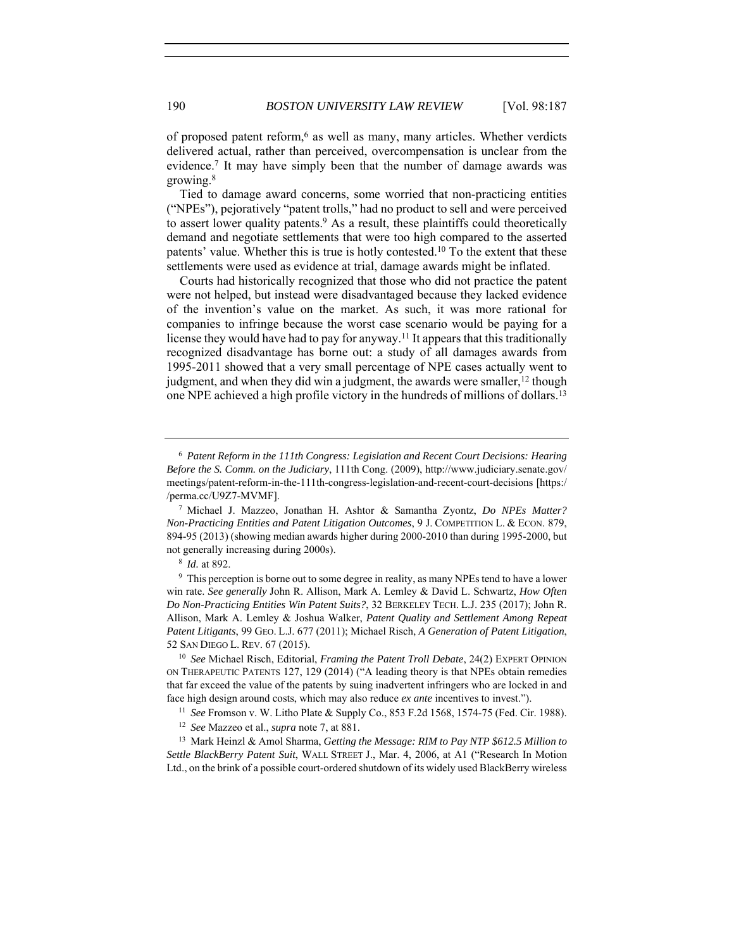of proposed patent reform,<sup>6</sup> as well as many, many articles. Whether verdicts delivered actual, rather than perceived, overcompensation is unclear from the evidence.7 It may have simply been that the number of damage awards was growing.8

Tied to damage award concerns, some worried that non-practicing entities ("NPEs"), pejoratively "patent trolls," had no product to sell and were perceived to assert lower quality patents.<sup>9</sup> As a result, these plaintiffs could theoretically demand and negotiate settlements that were too high compared to the asserted patents' value. Whether this is true is hotly contested.10 To the extent that these settlements were used as evidence at trial, damage awards might be inflated.

Courts had historically recognized that those who did not practice the patent were not helped, but instead were disadvantaged because they lacked evidence of the invention's value on the market. As such, it was more rational for companies to infringe because the worst case scenario would be paying for a license they would have had to pay for anyway.<sup>11</sup> It appears that this traditionally recognized disadvantage has borne out: a study of all damages awards from 1995-2011 showed that a very small percentage of NPE cases actually went to judgment, and when they did win a judgment, the awards were smaller,<sup>12</sup> though one NPE achieved a high profile victory in the hundreds of millions of dollars.13

<sup>13</sup> Mark Heinzl & Amol Sharma, *Getting the Message: RIM to Pay NTP \$612.5 Million to Settle BlackBerry Patent Suit*, WALL STREET J., Mar. 4, 2006, at A1 ("Research In Motion Ltd., on the brink of a possible court-ordered shutdown of its widely used BlackBerry wireless

<sup>6</sup> *Patent Reform in the 111th Congress: Legislation and Recent Court Decisions: Hearing Before the S. Comm. on the Judiciary*, 111th Cong. (2009), http://www.judiciary.senate.gov/ meetings/patent-reform-in-the-111th-congress-legislation-and-recent-court-decisions [https:/ /perma.cc/U9Z7-MVMF]. 7 Michael J. Mazzeo, Jonathan H. Ashtor & Samantha Zyontz, *Do NPEs Matter?* 

*Non-Practicing Entities and Patent Litigation Outcomes*, 9 J. COMPETITION L. & ECON. 879, 894-95 (2013) (showing median awards higher during 2000-2010 than during 1995-2000, but not generally increasing during 2000s). 8 *Id.* at 892.

<sup>&</sup>lt;sup>9</sup> This perception is borne out to some degree in reality, as many NPEs tend to have a lower win rate. *See generally* John R. Allison, Mark A. Lemley & David L. Schwartz, *How Often Do Non-Practicing Entities Win Patent Suits?*, 32 BERKELEY TECH. L.J. 235 (2017); John R. Allison, Mark A. Lemley & Joshua Walker, *Patent Quality and Settlement Among Repeat Patent Litigants*, 99 GEO. L.J. 677 (2011); Michael Risch, *A Generation of Patent Litigation*, 52 SAN DIEGO L. REV. 67 (2015). 10 *See* Michael Risch, Editorial, *Framing the Patent Troll Debate*, 24(2) EXPERT OPINION

ON THERAPEUTIC PATENTS 127, 129 (2014) ("A leading theory is that NPEs obtain remedies that far exceed the value of the patents by suing inadvertent infringers who are locked in and face high design around costs, which may also reduce *ex ante* incentives to invest."). 11 *See* Fromson v. W. Litho Plate & Supply Co., 853 F.2d 1568, 1574-75 (Fed. Cir. 1988).

<sup>12</sup> *See* Mazzeo et al., *supra* note 7, at 881.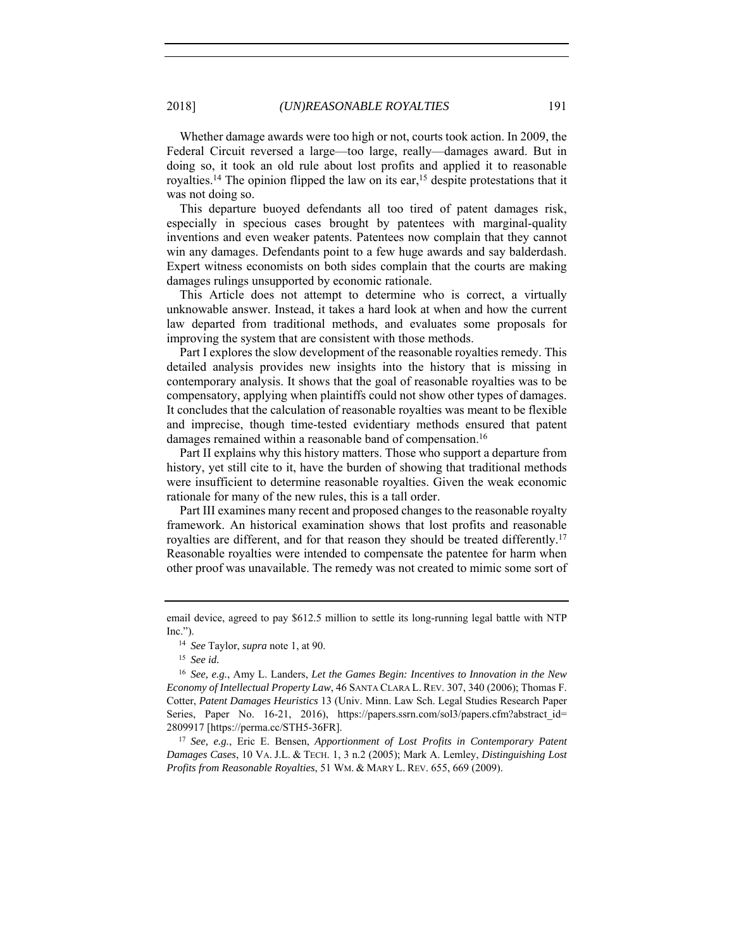Whether damage awards were too high or not, courts took action. In 2009, the Federal Circuit reversed a large—too large, really—damages award. But in doing so, it took an old rule about lost profits and applied it to reasonable royalties.<sup>14</sup> The opinion flipped the law on its ear,<sup>15</sup> despite protestations that it was not doing so.

This departure buoyed defendants all too tired of patent damages risk, especially in specious cases brought by patentees with marginal-quality inventions and even weaker patents. Patentees now complain that they cannot win any damages. Defendants point to a few huge awards and say balderdash. Expert witness economists on both sides complain that the courts are making damages rulings unsupported by economic rationale.

This Article does not attempt to determine who is correct, a virtually unknowable answer. Instead, it takes a hard look at when and how the current law departed from traditional methods, and evaluates some proposals for improving the system that are consistent with those methods.

Part I explores the slow development of the reasonable royalties remedy. This detailed analysis provides new insights into the history that is missing in contemporary analysis. It shows that the goal of reasonable royalties was to be compensatory, applying when plaintiffs could not show other types of damages. It concludes that the calculation of reasonable royalties was meant to be flexible and imprecise, though time-tested evidentiary methods ensured that patent damages remained within a reasonable band of compensation.<sup>16</sup>

Part II explains why this history matters. Those who support a departure from history, yet still cite to it, have the burden of showing that traditional methods were insufficient to determine reasonable royalties. Given the weak economic rationale for many of the new rules, this is a tall order.

Part III examines many recent and proposed changes to the reasonable royalty framework. An historical examination shows that lost profits and reasonable royalties are different, and for that reason they should be treated differently.17 Reasonable royalties were intended to compensate the patentee for harm when other proof was unavailable. The remedy was not created to mimic some sort of

<sup>15</sup> *See id.*

*Damages Cases*, 10 VA. J.L. & TECH. 1, 3 n.2 (2005); Mark A. Lemley, *Distinguishing Lost Profits from Reasonable Royalties*, 51 WM. & MARY L. REV. 655, 669 (2009).

email device, agreed to pay \$612.5 million to settle its long-running legal battle with NTP Inc.").

<sup>14</sup> *See* Taylor, *supra* note 1, at 90.

<sup>16</sup> *See, e.g.*, Amy L. Landers, *Let the Games Begin: Incentives to Innovation in the New Economy of Intellectual Property Law*, 46 SANTA CLARA L. REV. 307, 340 (2006); Thomas F. Cotter, *Patent Damages Heuristics* 13 (Univ. Minn. Law Sch. Legal Studies Research Paper Series, Paper No. 16-21, 2016), https://papers.ssrn.com/sol3/papers.cfm?abstract\_id= 2809917 [https://perma.cc/STH5-36FR]. 17 *See, e.g.*, Eric E. Bensen, *Apportionment of Lost Profits in Contemporary Patent*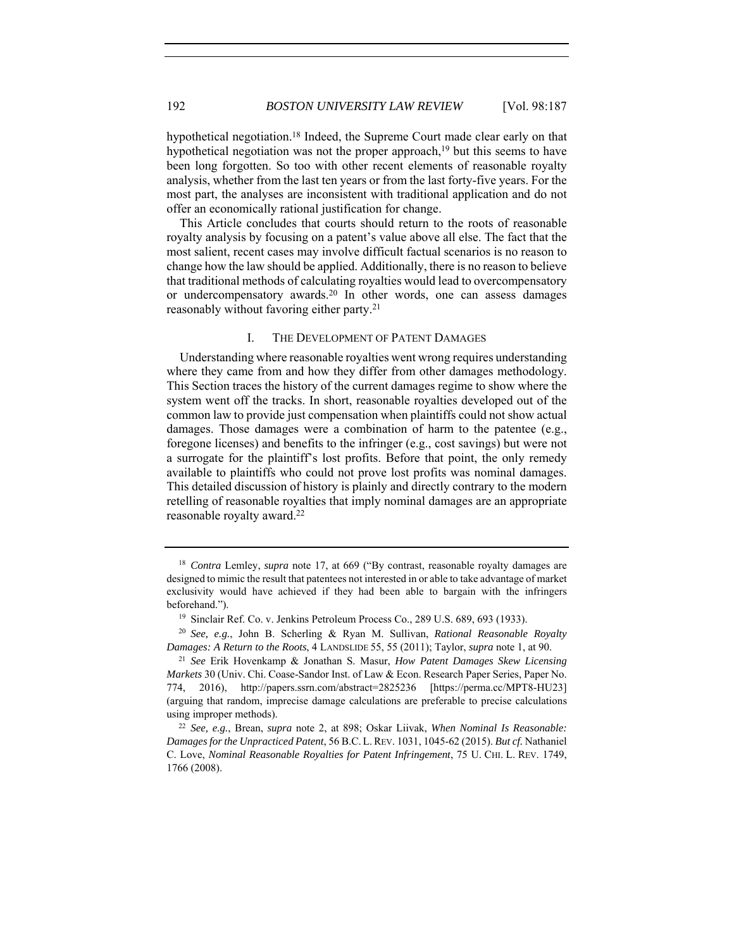hypothetical negotiation.<sup>18</sup> Indeed, the Supreme Court made clear early on that hypothetical negotiation was not the proper approach,<sup>19</sup> but this seems to have been long forgotten. So too with other recent elements of reasonable royalty analysis, whether from the last ten years or from the last forty-five years. For the most part, the analyses are inconsistent with traditional application and do not offer an economically rational justification for change.

This Article concludes that courts should return to the roots of reasonable royalty analysis by focusing on a patent's value above all else. The fact that the most salient, recent cases may involve difficult factual scenarios is no reason to change how the law should be applied. Additionally, there is no reason to believe that traditional methods of calculating royalties would lead to overcompensatory or undercompensatory awards.20 In other words, one can assess damages reasonably without favoring either party.21

# I. THE DEVELOPMENT OF PATENT DAMAGES

Understanding where reasonable royalties went wrong requires understanding where they came from and how they differ from other damages methodology. This Section traces the history of the current damages regime to show where the system went off the tracks. In short, reasonable royalties developed out of the common law to provide just compensation when plaintiffs could not show actual damages. Those damages were a combination of harm to the patentee (e.g., foregone licenses) and benefits to the infringer (e.g., cost savings) but were not a surrogate for the plaintiff's lost profits. Before that point, the only remedy available to plaintiffs who could not prove lost profits was nominal damages. This detailed discussion of history is plainly and directly contrary to the modern retelling of reasonable royalties that imply nominal damages are an appropriate reasonable royalty award.22

<sup>&</sup>lt;sup>18</sup> *Contra* Lemley, *supra* note 17, at 669 ("By contrast, reasonable royalty damages are designed to mimic the result that patentees not interested in or able to take advantage of market exclusivity would have achieved if they had been able to bargain with the infringers beforehand.").<br><sup>19</sup> Sinclair Ref. Co. v. Jenkins Petroleum Process Co., 289 U.S. 689, 693 (1933).

<sup>20</sup> *See, e.g.*, John B. Scherling & Ryan M. Sullivan, *Rational Reasonable Royalty Damages: A Return to the Roots*, 4 LANDSLIDE 55, 55 (2011); Taylor, *supra* note 1, at 90.

<sup>21</sup> *See* Erik Hovenkamp & Jonathan S. Masur, *How Patent Damages Skew Licensing Markets* 30 (Univ. Chi. Coase-Sandor Inst. of Law & Econ. Research Paper Series, Paper No. 774, 2016), http://papers.ssrn.com/abstract=2825236 [https://perma.cc/MPT8-HU23] (arguing that random, imprecise damage calculations are preferable to precise calculations using improper methods).

<sup>22</sup> *See, e.g.*, Brean, *supra* note 2, at 898; Oskar Liivak, *When Nominal Is Reasonable: Damages for the Unpracticed Patent*, 56 B.C. L.REV. 1031, 1045-62 (2015). *But cf.* Nathaniel C. Love, *Nominal Reasonable Royalties for Patent Infringement*, 75 U. CHI. L. REV. 1749, 1766 (2008).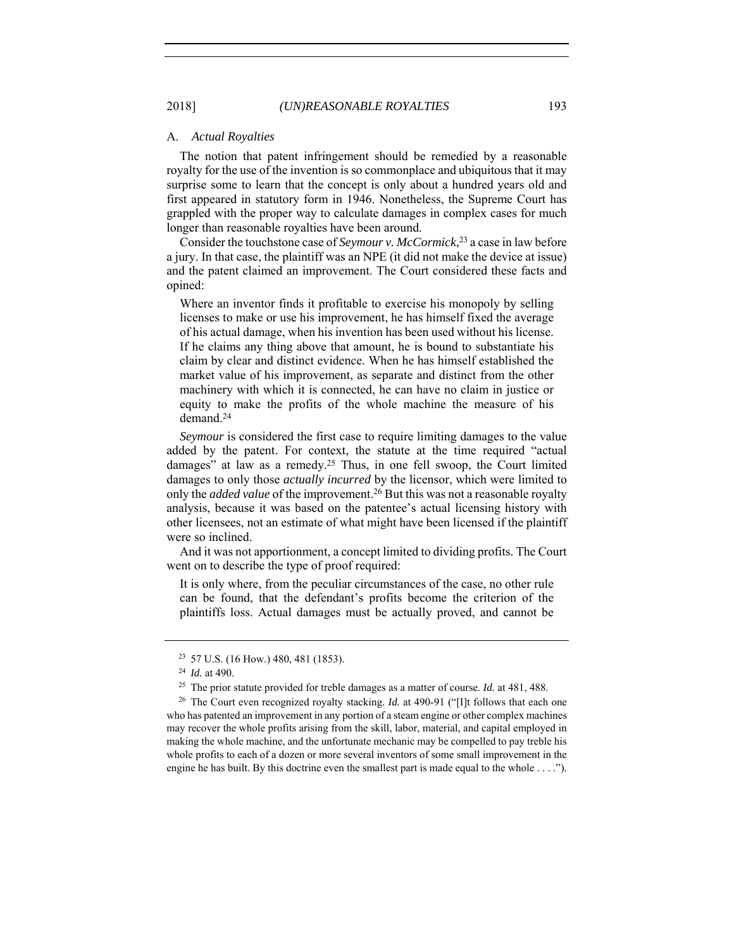#### A. *Actual Royalties*

The notion that patent infringement should be remedied by a reasonable royalty for the use of the invention is so commonplace and ubiquitous that it may surprise some to learn that the concept is only about a hundred years old and first appeared in statutory form in 1946. Nonetheless, the Supreme Court has grappled with the proper way to calculate damages in complex cases for much longer than reasonable royalties have been around.

Consider the touchstone case of *Seymour v. McCormick*, <sup>23</sup> a case in law before a jury. In that case, the plaintiff was an NPE (it did not make the device at issue) and the patent claimed an improvement. The Court considered these facts and opined:

Where an inventor finds it profitable to exercise his monopoly by selling licenses to make or use his improvement, he has himself fixed the average of his actual damage, when his invention has been used without his license. If he claims any thing above that amount, he is bound to substantiate his claim by clear and distinct evidence. When he has himself established the market value of his improvement, as separate and distinct from the other machinery with which it is connected, he can have no claim in justice or equity to make the profits of the whole machine the measure of his demand.24

*Seymour* is considered the first case to require limiting damages to the value added by the patent. For context, the statute at the time required "actual damages" at law as a remedy.25 Thus, in one fell swoop, the Court limited damages to only those *actually incurred* by the licensor, which were limited to only the *added value* of the improvement.26 But this was not a reasonable royalty analysis, because it was based on the patentee's actual licensing history with other licensees, not an estimate of what might have been licensed if the plaintiff were so inclined.

And it was not apportionment, a concept limited to dividing profits. The Court went on to describe the type of proof required:

It is only where, from the peculiar circumstances of the case, no other rule can be found, that the defendant's profits become the criterion of the plaintiffs loss. Actual damages must be actually proved, and cannot be

<sup>23</sup> 57 U.S. (16 How.) 480, 481 (1853). 24 *Id.* at 490.

<sup>25</sup> The prior statute provided for treble damages as a matter of course. *Id.* at 481, 488.

<sup>26</sup> The Court even recognized royalty stacking. *Id.* at 490-91 ("[I]t follows that each one who has patented an improvement in any portion of a steam engine or other complex machines may recover the whole profits arising from the skill, labor, material, and capital employed in making the whole machine, and the unfortunate mechanic may be compelled to pay treble his whole profits to each of a dozen or more several inventors of some small improvement in the engine he has built. By this doctrine even the smallest part is made equal to the whole . . . .").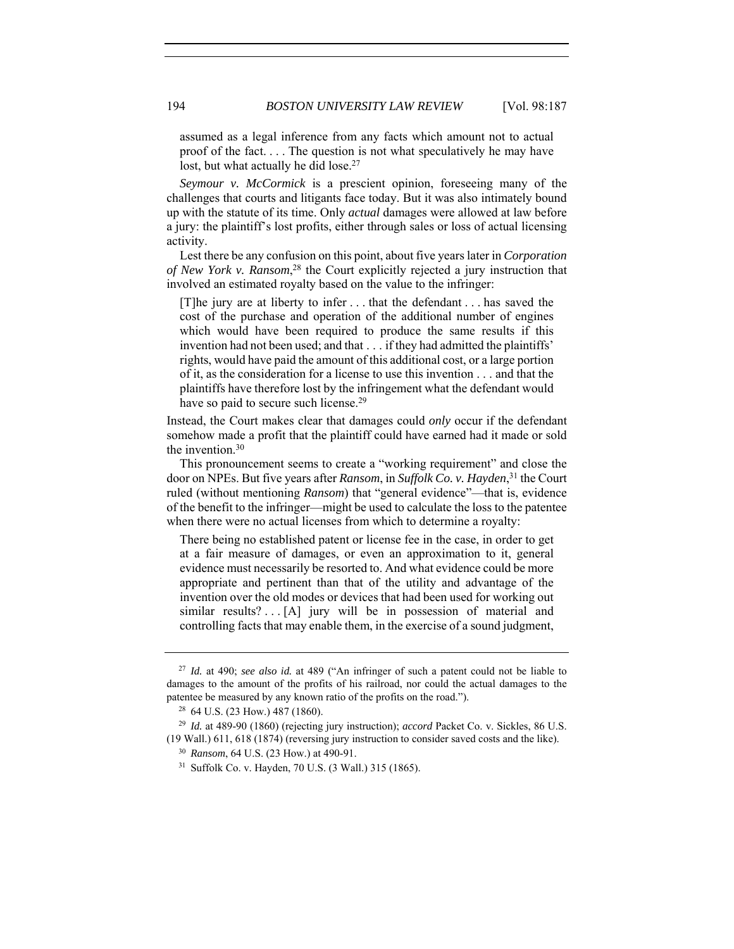assumed as a legal inference from any facts which amount not to actual proof of the fact. . . . The question is not what speculatively he may have lost, but what actually he did lose.<sup>27</sup>

*Seymour v. McCormick* is a prescient opinion, foreseeing many of the challenges that courts and litigants face today. But it was also intimately bound up with the statute of its time. Only *actual* damages were allowed at law before a jury: the plaintiff's lost profits, either through sales or loss of actual licensing activity.

Lest there be any confusion on this point, about five years later in *Corporation of New York v. Ransom*, 28 the Court explicitly rejected a jury instruction that involved an estimated royalty based on the value to the infringer:

[T]he jury are at liberty to infer . . . that the defendant . . . has saved the cost of the purchase and operation of the additional number of engines which would have been required to produce the same results if this invention had not been used; and that . . . if they had admitted the plaintiffs' rights, would have paid the amount of this additional cost, or a large portion of it, as the consideration for a license to use this invention . . . and that the plaintiffs have therefore lost by the infringement what the defendant would have so paid to secure such license.<sup>29</sup>

Instead, the Court makes clear that damages could *only* occur if the defendant somehow made a profit that the plaintiff could have earned had it made or sold the invention.30

This pronouncement seems to create a "working requirement" and close the door on NPEs. But five years after *Ransom*, in *Suffolk Co. v. Hayden*, 31 the Court ruled (without mentioning *Ransom*) that "general evidence"—that is, evidence of the benefit to the infringer—might be used to calculate the loss to the patentee when there were no actual licenses from which to determine a royalty:

There being no established patent or license fee in the case, in order to get at a fair measure of damages, or even an approximation to it, general evidence must necessarily be resorted to. And what evidence could be more appropriate and pertinent than that of the utility and advantage of the invention over the old modes or devices that had been used for working out similar results? . .  $[A]$  jury will be in possession of material and controlling facts that may enable them, in the exercise of a sound judgment,

<sup>27</sup> *Id.* at 490; *see also id.* at 489 ("An infringer of such a patent could not be liable to damages to the amount of the profits of his railroad, nor could the actual damages to the patentee be measured by any known ratio of the profits on the road."). <sup>28</sup> 64 U.S. (23 How.) 487 (1860).

<sup>29</sup> *Id.* at 489-90 (1860) (rejecting jury instruction); *accord* Packet Co. v. Sickles, 86 U.S. (19 Wall.) 611, 618 (1874) (reversing jury instruction to consider saved costs and the like).

<sup>30</sup> *Ransom*, 64 U.S. (23 How.) at 490-91.

<sup>31</sup> Suffolk Co. v. Hayden, 70 U.S. (3 Wall.) 315 (1865).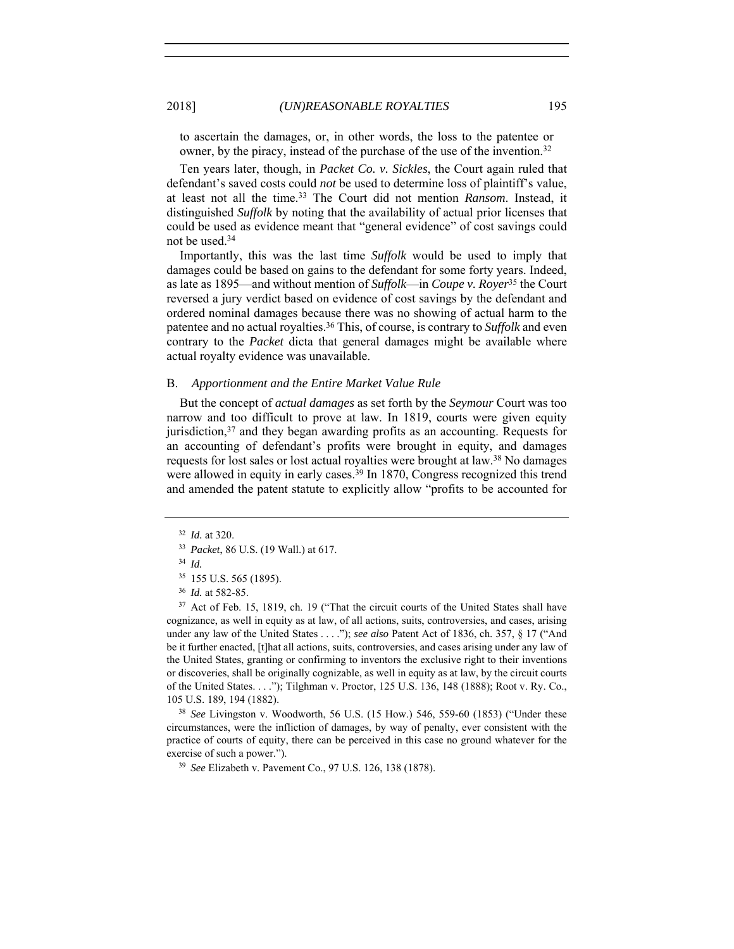to ascertain the damages, or, in other words, the loss to the patentee or owner, by the piracy, instead of the purchase of the use of the invention.<sup>32</sup>

Ten years later, though, in *Packet Co. v. Sickles*, the Court again ruled that defendant's saved costs could *not* be used to determine loss of plaintiff's value, at least not all the time.33 The Court did not mention *Ransom*. Instead, it distinguished *Suffolk* by noting that the availability of actual prior licenses that could be used as evidence meant that "general evidence" of cost savings could not be used.34

Importantly, this was the last time *Suffolk* would be used to imply that damages could be based on gains to the defendant for some forty years. Indeed, as late as 1895—and without mention of *Suffolk*—in *Coupe v. Royer*<sup>35</sup> the Court reversed a jury verdict based on evidence of cost savings by the defendant and ordered nominal damages because there was no showing of actual harm to the patentee and no actual royalties.36 This, of course, is contrary to *Suffolk* and even contrary to the *Packet* dicta that general damages might be available where actual royalty evidence was unavailable.

# B. *Apportionment and the Entire Market Value Rule*

But the concept of *actual damages* as set forth by the *Seymour* Court was too narrow and too difficult to prove at law. In 1819, courts were given equity jurisdiction,<sup>37</sup> and they began awarding profits as an accounting. Requests for an accounting of defendant's profits were brought in equity, and damages requests for lost sales or lost actual royalties were brought at law.38 No damages were allowed in equity in early cases.<sup>39</sup> In 1870, Congress recognized this trend and amended the patent statute to explicitly allow "profits to be accounted for

<sup>38</sup> *See* Livingston v. Woodworth, 56 U.S. (15 How.) 546, 559-60 (1853) ("Under these circumstances, were the infliction of damages, by way of penalty, ever consistent with the practice of courts of equity, there can be perceived in this case no ground whatever for the exercise of such a power.").

<sup>39</sup> *See* Elizabeth v. Pavement Co., 97 U.S. 126, 138 (1878).

<sup>32</sup> *Id.* at 320. 33 *Packet*, 86 U.S. (19 Wall.) at 617.

<sup>34</sup> *Id.*

<sup>35</sup> 155 U.S. 565 (1895). 36 *Id.* at 582-85.

<sup>&</sup>lt;sup>37</sup> Act of Feb. 15, 1819, ch. 19 ("That the circuit courts of the United States shall have cognizance, as well in equity as at law, of all actions, suits, controversies, and cases, arising under any law of the United States . . . ."); *see also* Patent Act of 1836, ch. 357, § 17 ("And be it further enacted, [t]hat all actions, suits, controversies, and cases arising under any law of the United States, granting or confirming to inventors the exclusive right to their inventions or discoveries, shall be originally cognizable, as well in equity as at law, by the circuit courts of the United States. . . ."); Tilghman v. Proctor, 125 U.S. 136, 148 (1888); Root v. Ry. Co., 105 U.S. 189, 194 (1882).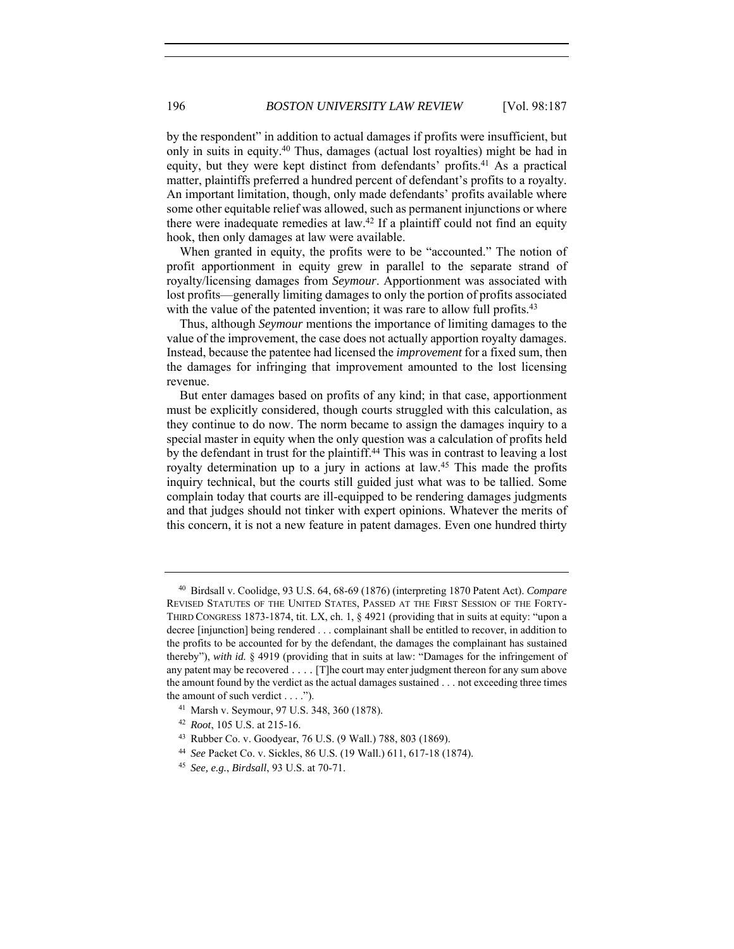by the respondent" in addition to actual damages if profits were insufficient, but only in suits in equity.40 Thus, damages (actual lost royalties) might be had in equity, but they were kept distinct from defendants' profits.41 As a practical matter, plaintiffs preferred a hundred percent of defendant's profits to a royalty. An important limitation, though, only made defendants' profits available where some other equitable relief was allowed, such as permanent injunctions or where there were inadequate remedies at law.<sup>42</sup> If a plaintiff could not find an equity hook, then only damages at law were available.

When granted in equity, the profits were to be "accounted." The notion of profit apportionment in equity grew in parallel to the separate strand of royalty/licensing damages from *Seymour*. Apportionment was associated with lost profits—generally limiting damages to only the portion of profits associated with the value of the patented invention; it was rare to allow full profits.<sup>43</sup>

Thus, although *Seymour* mentions the importance of limiting damages to the value of the improvement, the case does not actually apportion royalty damages. Instead, because the patentee had licensed the *improvement* for a fixed sum, then the damages for infringing that improvement amounted to the lost licensing revenue.

But enter damages based on profits of any kind; in that case, apportionment must be explicitly considered, though courts struggled with this calculation, as they continue to do now. The norm became to assign the damages inquiry to a special master in equity when the only question was a calculation of profits held by the defendant in trust for the plaintiff.44 This was in contrast to leaving a lost royalty determination up to a jury in actions at law.45 This made the profits inquiry technical, but the courts still guided just what was to be tallied. Some complain today that courts are ill-equipped to be rendering damages judgments and that judges should not tinker with expert opinions. Whatever the merits of this concern, it is not a new feature in patent damages. Even one hundred thirty

<sup>40</sup> Birdsall v. Coolidge, 93 U.S. 64, 68-69 (1876) (interpreting 1870 Patent Act). *Compare* REVISED STATUTES OF THE UNITED STATES, PASSED AT THE FIRST SESSION OF THE FORTY-THIRD CONGRESS 1873-1874, tit. LX, ch. 1, § 4921 (providing that in suits at equity: "upon a decree [injunction] being rendered . . . complainant shall be entitled to recover, in addition to the profits to be accounted for by the defendant, the damages the complainant has sustained thereby"), *with id.* § 4919 (providing that in suits at law: "Damages for the infringement of any patent may be recovered . . . . [T]he court may enter judgment thereon for any sum above the amount found by the verdict as the actual damages sustained . . . not exceeding three times the amount of such verdict . . . .").

<sup>41</sup> Marsh v. Seymour, 97 U.S. 348, 360 (1878).

<sup>42</sup> *Root*, 105 U.S. at 215-16.

<sup>43</sup> Rubber Co. v. Goodyear, 76 U.S. (9 Wall.) 788, 803 (1869).

<sup>44</sup> *See* Packet Co. v. Sickles, 86 U.S. (19 Wall.) 611, 617-18 (1874).

<sup>45</sup> *See, e.g.*, *Birdsall*, 93 U.S. at 70-71.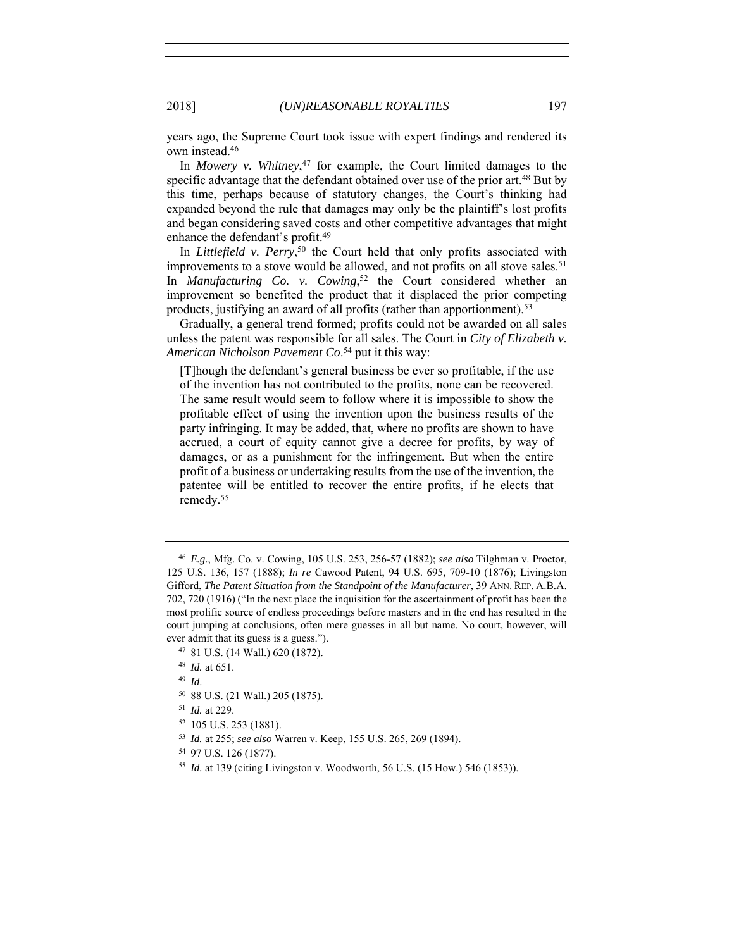years ago, the Supreme Court took issue with expert findings and rendered its own instead.46

In *Mowery v. Whitney*, 47 for example, the Court limited damages to the specific advantage that the defendant obtained over use of the prior art.<sup>48</sup> But by this time, perhaps because of statutory changes, the Court's thinking had expanded beyond the rule that damages may only be the plaintiff's lost profits and began considering saved costs and other competitive advantages that might enhance the defendant's profit.49

In *Littlefield v. Perry*, 50 the Court held that only profits associated with improvements to a stove would be allowed, and not profits on all stove sales.<sup>51</sup> In *Manufacturing Co. v. Cowing*, 52 the Court considered whether an improvement so benefited the product that it displaced the prior competing products, justifying an award of all profits (rather than apportionment).53

Gradually, a general trend formed; profits could not be awarded on all sales unless the patent was responsible for all sales. The Court in *City of Elizabeth v. American Nicholson Pavement Co*. 54 put it this way:

[T]hough the defendant's general business be ever so profitable, if the use of the invention has not contributed to the profits, none can be recovered. The same result would seem to follow where it is impossible to show the profitable effect of using the invention upon the business results of the party infringing. It may be added, that, where no profits are shown to have accrued, a court of equity cannot give a decree for profits, by way of damages, or as a punishment for the infringement. But when the entire profit of a business or undertaking results from the use of the invention, the patentee will be entitled to recover the entire profits, if he elects that remedy.55

<sup>46</sup> *E.g.*, Mfg. Co. v. Cowing, 105 U.S. 253, 256-57 (1882); *see also* Tilghman v. Proctor, 125 U.S. 136, 157 (1888); *In re* Cawood Patent, 94 U.S. 695, 709-10 (1876); Livingston Gifford, *The Patent Situation from the Standpoint of the Manufacturer*, 39 ANN. REP. A.B.A. 702, 720 (1916) ("In the next place the inquisition for the ascertainment of profit has been the most prolific source of endless proceedings before masters and in the end has resulted in the court jumping at conclusions, often mere guesses in all but name. No court, however, will ever admit that its guess is a guess.").

<sup>47</sup> 81 U.S. (14 Wall.) 620 (1872).

<sup>48</sup> *Id.* at 651.

<sup>49</sup> *Id*.

<sup>50</sup> 88 U.S. (21 Wall.) 205 (1875).

<sup>51</sup> *Id.* at 229.

<sup>52</sup> 105 U.S. 253 (1881).

<sup>53</sup> *Id.* at 255; *see also* Warren v. Keep, 155 U.S. 265, 269 (1894).

<sup>54</sup> 97 U.S. 126 (1877).

<sup>55</sup> *Id.* at 139 (citing Livingston v. Woodworth, 56 U.S. (15 How.) 546 (1853)).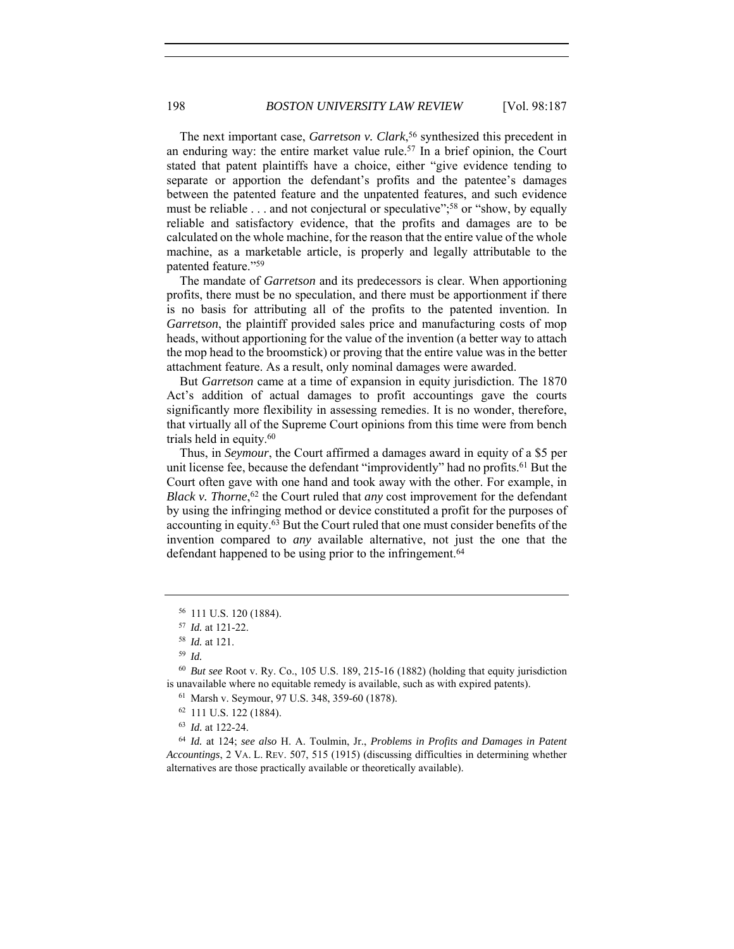The next important case, *Garretson v. Clark*, 56 synthesized this precedent in an enduring way: the entire market value rule.57 In a brief opinion, the Court stated that patent plaintiffs have a choice, either "give evidence tending to separate or apportion the defendant's profits and the patentee's damages between the patented feature and the unpatented features, and such evidence must be reliable . . . and not conjectural or speculative";<sup>58</sup> or "show, by equally reliable and satisfactory evidence, that the profits and damages are to be calculated on the whole machine, for the reason that the entire value of the whole machine, as a marketable article, is properly and legally attributable to the patented feature."59

The mandate of *Garretson* and its predecessors is clear. When apportioning profits, there must be no speculation, and there must be apportionment if there is no basis for attributing all of the profits to the patented invention. In *Garretson*, the plaintiff provided sales price and manufacturing costs of mop heads, without apportioning for the value of the invention (a better way to attach the mop head to the broomstick) or proving that the entire value was in the better attachment feature. As a result, only nominal damages were awarded.

But *Garretson* came at a time of expansion in equity jurisdiction. The 1870 Act's addition of actual damages to profit accountings gave the courts significantly more flexibility in assessing remedies. It is no wonder, therefore, that virtually all of the Supreme Court opinions from this time were from bench trials held in equity.60

Thus, in *Seymour*, the Court affirmed a damages award in equity of a \$5 per unit license fee, because the defendant "improvidently" had no profits.<sup>61</sup> But the Court often gave with one hand and took away with the other. For example, in *Black v. Thorne*, 62 the Court ruled that *any* cost improvement for the defendant by using the infringing method or device constituted a profit for the purposes of accounting in equity.63 But the Court ruled that one must consider benefits of the invention compared to *any* available alternative, not just the one that the defendant happened to be using prior to the infringement.<sup>64</sup>

<sup>61</sup> Marsh v. Seymour, 97 U.S. 348, 359-60 (1878).

<sup>64</sup> *Id.* at 124; *see also* H. A. Toulmin, Jr., *Problems in Profits and Damages in Patent Accountings*, 2 VA. L. REV. 507, 515 (1915) (discussing difficulties in determining whether alternatives are those practically available or theoretically available).

<sup>56</sup> 111 U.S. 120 (1884).

<sup>57</sup> *Id.* at 121-22.

<sup>58</sup> *Id.* at 121.

<sup>59</sup> *Id.*

<sup>60</sup> *But see* Root v. Ry. Co., 105 U.S. 189, 215-16 (1882) (holding that equity jurisdiction is unavailable where no equitable remedy is available, such as with expired patents).

<sup>62</sup> 111 U.S. 122 (1884).

<sup>63</sup> *Id.* at 122-24.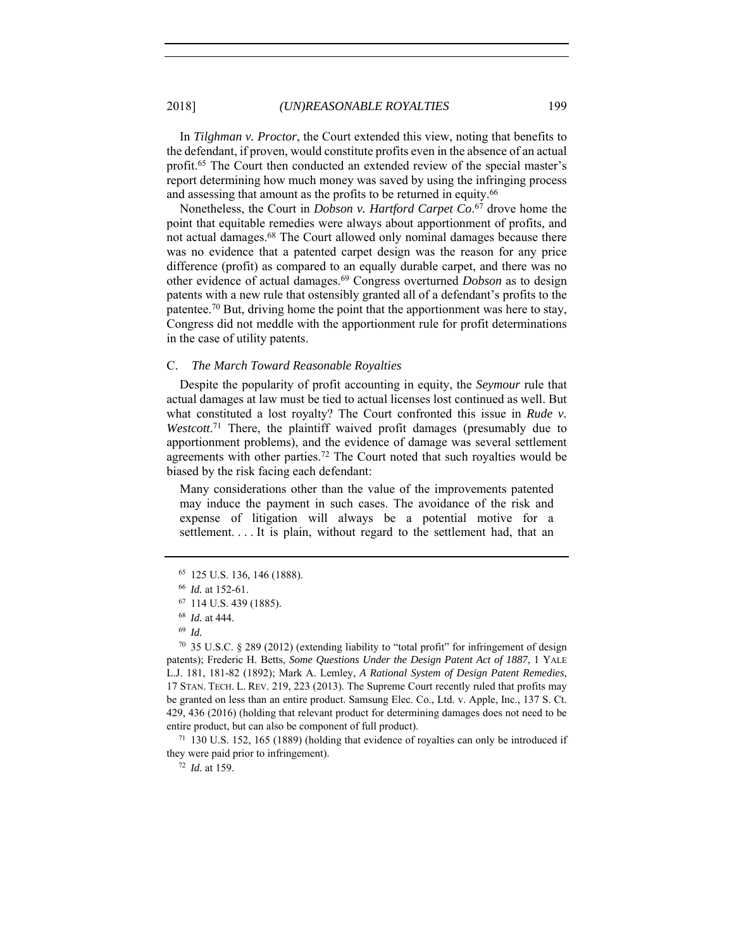In *Tilghman v. Proctor*, the Court extended this view, noting that benefits to the defendant, if proven, would constitute profits even in the absence of an actual profit.65 The Court then conducted an extended review of the special master's report determining how much money was saved by using the infringing process and assessing that amount as the profits to be returned in equity.<sup>66</sup>

Nonetheless, the Court in *Dobson v. Hartford Carpet Co*. 67 drove home the point that equitable remedies were always about apportionment of profits, and not actual damages.68 The Court allowed only nominal damages because there was no evidence that a patented carpet design was the reason for any price difference (profit) as compared to an equally durable carpet, and there was no other evidence of actual damages.69 Congress overturned *Dobson* as to design patents with a new rule that ostensibly granted all of a defendant's profits to the patentee.70 But, driving home the point that the apportionment was here to stay, Congress did not meddle with the apportionment rule for profit determinations in the case of utility patents.

# C. *The March Toward Reasonable Royalties*

Despite the popularity of profit accounting in equity, the *Seymour* rule that actual damages at law must be tied to actual licenses lost continued as well. But what constituted a lost royalty? The Court confronted this issue in *Rude v.*  Westcott.<sup>71</sup> There, the plaintiff waived profit damages (presumably due to apportionment problems), and the evidence of damage was several settlement agreements with other parties.72 The Court noted that such royalties would be biased by the risk facing each defendant:

Many considerations other than the value of the improvements patented may induce the payment in such cases. The avoidance of the risk and expense of litigation will always be a potential motive for a settlement. . . . It is plain, without regard to the settlement had, that an

they were paid prior to infringement).

<sup>72</sup> *Id.* at 159.

<sup>65</sup> 125 U.S. 136, 146 (1888). 66 *Id.* at 152-61.

<sup>67</sup> 114 U.S. 439 (1885).

<sup>68</sup> *Id.* at 444.

<sup>69</sup> *Id.* 

<sup>70</sup> 35 U.S.C. § 289 (2012) (extending liability to "total profit" for infringement of design patents); Frederic H. Betts, *Some Questions Under the Design Patent Act of 1887*, 1 YALE L.J. 181, 181-82 (1892); Mark A. Lemley, *A Rational System of Design Patent Remedies*, 17 STAN. TECH. L. REV. 219, 223 (2013). The Supreme Court recently ruled that profits may be granted on less than an entire product. Samsung Elec. Co., Ltd. v. Apple, Inc., 137 S. Ct. 429, 436 (2016) (holding that relevant product for determining damages does not need to be entire product, but can also be component of full product).<br><sup>71</sup> 130 U.S. 152, 165 (1889) (holding that evidence of royalties can only be introduced if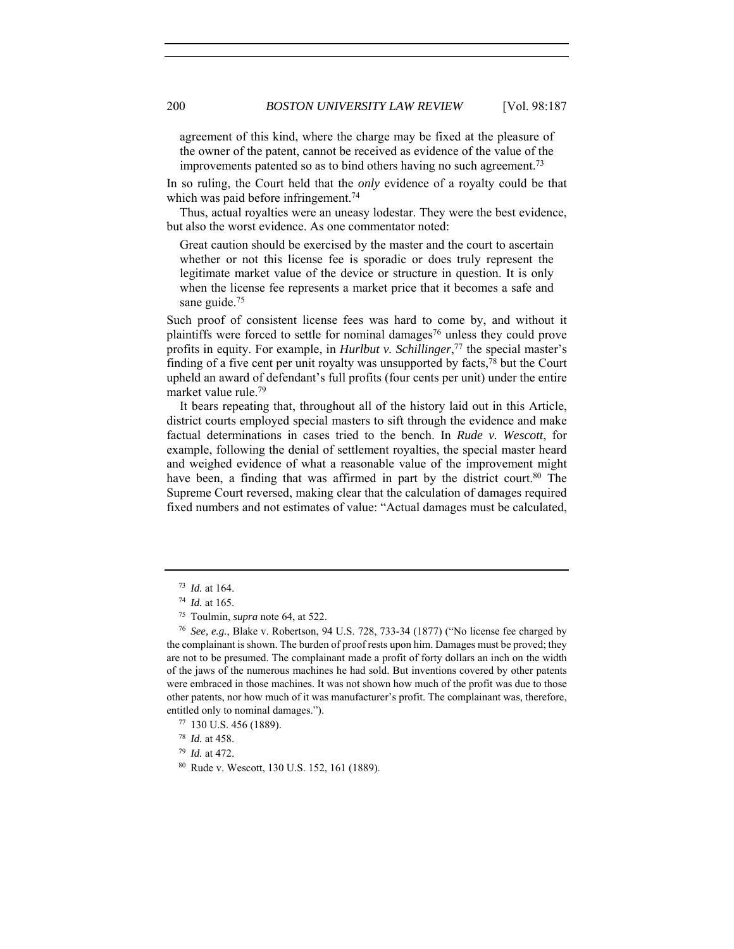agreement of this kind, where the charge may be fixed at the pleasure of the owner of the patent, cannot be received as evidence of the value of the improvements patented so as to bind others having no such agreement.73

In so ruling, the Court held that the *only* evidence of a royalty could be that which was paid before infringement.<sup>74</sup>

Thus, actual royalties were an uneasy lodestar. They were the best evidence, but also the worst evidence. As one commentator noted:

Great caution should be exercised by the master and the court to ascertain whether or not this license fee is sporadic or does truly represent the legitimate market value of the device or structure in question. It is only when the license fee represents a market price that it becomes a safe and sane guide.<sup>75</sup>

Such proof of consistent license fees was hard to come by, and without it plaintiffs were forced to settle for nominal damages<sup>76</sup> unless they could prove profits in equity. For example, in *Hurlbut v. Schillinger*, 77 the special master's finding of a five cent per unit royalty was unsupported by facts,  $\frac{7}{8}$  but the Court upheld an award of defendant's full profits (four cents per unit) under the entire market value rule.79

It bears repeating that, throughout all of the history laid out in this Article, district courts employed special masters to sift through the evidence and make factual determinations in cases tried to the bench. In *Rude v. Wescott*, for example, following the denial of settlement royalties, the special master heard and weighed evidence of what a reasonable value of the improvement might have been, a finding that was affirmed in part by the district court.<sup>80</sup> The Supreme Court reversed, making clear that the calculation of damages required fixed numbers and not estimates of value: "Actual damages must be calculated,

<sup>73</sup> *Id.* at 164.

<sup>74</sup> *Id.* at 165.

<sup>&</sup>lt;sup>75</sup> Toulmin, *supra* note 64, at 522.<br><sup>76</sup> *See, e.g.*, Blake v. Robertson, 94 U.S. 728, 733-34 (1877) ("No license fee charged by the complainant is shown. The burden of proof rests upon him. Damages must be proved; they are not to be presumed. The complainant made a profit of forty dollars an inch on the width of the jaws of the numerous machines he had sold. But inventions covered by other patents were embraced in those machines. It was not shown how much of the profit was due to those other patents, nor how much of it was manufacturer's profit. The complainant was, therefore, entitled only to nominal damages.").

<sup>77</sup> 130 U.S. 456 (1889).

<sup>78</sup> *Id.* at 458.

<sup>79</sup> *Id.* at 472.

<sup>80</sup> Rude v. Wescott, 130 U.S. 152, 161 (1889).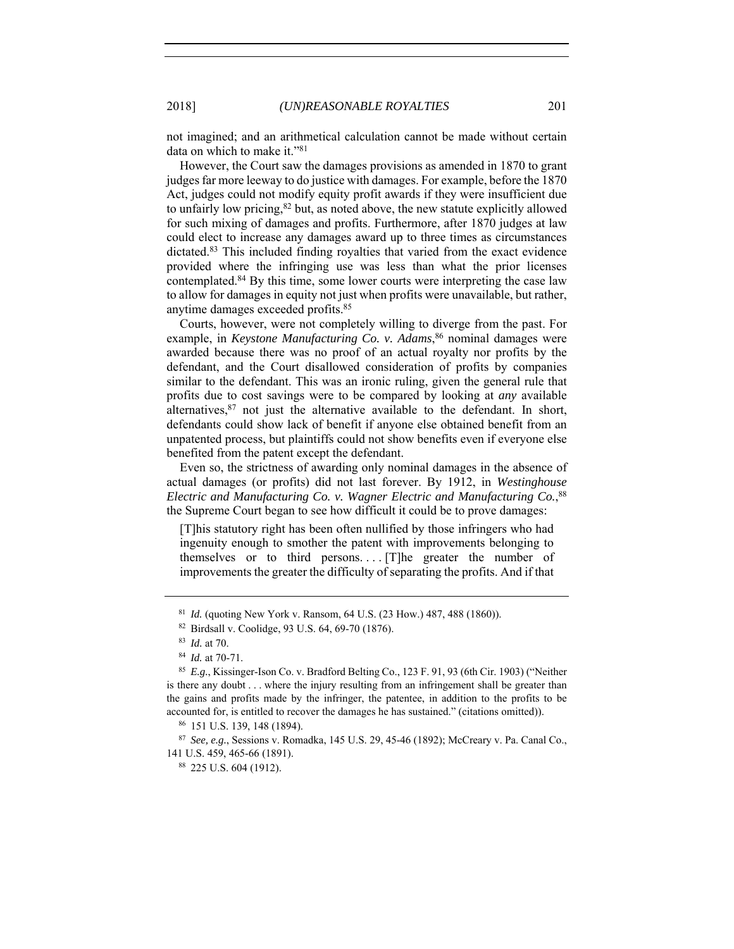not imagined; and an arithmetical calculation cannot be made without certain data on which to make it."81

However, the Court saw the damages provisions as amended in 1870 to grant judges far more leeway to do justice with damages. For example, before the 1870 Act, judges could not modify equity profit awards if they were insufficient due to unfairly low pricing,<sup>82</sup> but, as noted above, the new statute explicitly allowed for such mixing of damages and profits. Furthermore, after 1870 judges at law could elect to increase any damages award up to three times as circumstances dictated.83 This included finding royalties that varied from the exact evidence provided where the infringing use was less than what the prior licenses contemplated.84 By this time, some lower courts were interpreting the case law to allow for damages in equity not just when profits were unavailable, but rather, anytime damages exceeded profits.85

Courts, however, were not completely willing to diverge from the past. For example, in *Keystone Manufacturing Co. v. Adams*, 86 nominal damages were awarded because there was no proof of an actual royalty nor profits by the defendant, and the Court disallowed consideration of profits by companies similar to the defendant. This was an ironic ruling, given the general rule that profits due to cost savings were to be compared by looking at *any* available alternatives, <sup>87</sup> not just the alternative available to the defendant. In short, defendants could show lack of benefit if anyone else obtained benefit from an unpatented process, but plaintiffs could not show benefits even if everyone else benefited from the patent except the defendant.

Even so, the strictness of awarding only nominal damages in the absence of actual damages (or profits) did not last forever. By 1912, in *Westinghouse Electric and Manufacturing Co. v. Wagner Electric and Manufacturing Co.*, 88 the Supreme Court began to see how difficult it could be to prove damages:

[T]his statutory right has been often nullified by those infringers who had ingenuity enough to smother the patent with improvements belonging to themselves or to third persons.... [T]he greater the number of improvements the greater the difficulty of separating the profits. And if that

<sup>81</sup> *Id.* (quoting New York v. Ransom, 64 U.S. (23 How.) 487, 488 (1860)).

<sup>82</sup> Birdsall v. Coolidge, 93 U.S. 64, 69-70 (1876). 83 *Id.* at 70.

<sup>84</sup> *Id.* at 70-71.

<sup>85</sup> *E.g.*, Kissinger-Ison Co. v. Bradford Belting Co., 123 F. 91, 93 (6th Cir. 1903) ("Neither is there any doubt . . . where the injury resulting from an infringement shall be greater than the gains and profits made by the infringer, the patentee, in addition to the profits to be accounted for, is entitled to recover the damages he has sustained." (citations omitted)). 86 151 U.S. 139, 148 (1894).

<sup>87</sup> *See, e.g.*, Sessions v. Romadka, 145 U.S. 29, 45-46 (1892); McCreary v. Pa. Canal Co., 141 U.S. 459, 465-66 (1891).

<sup>88</sup> 225 U.S. 604 (1912).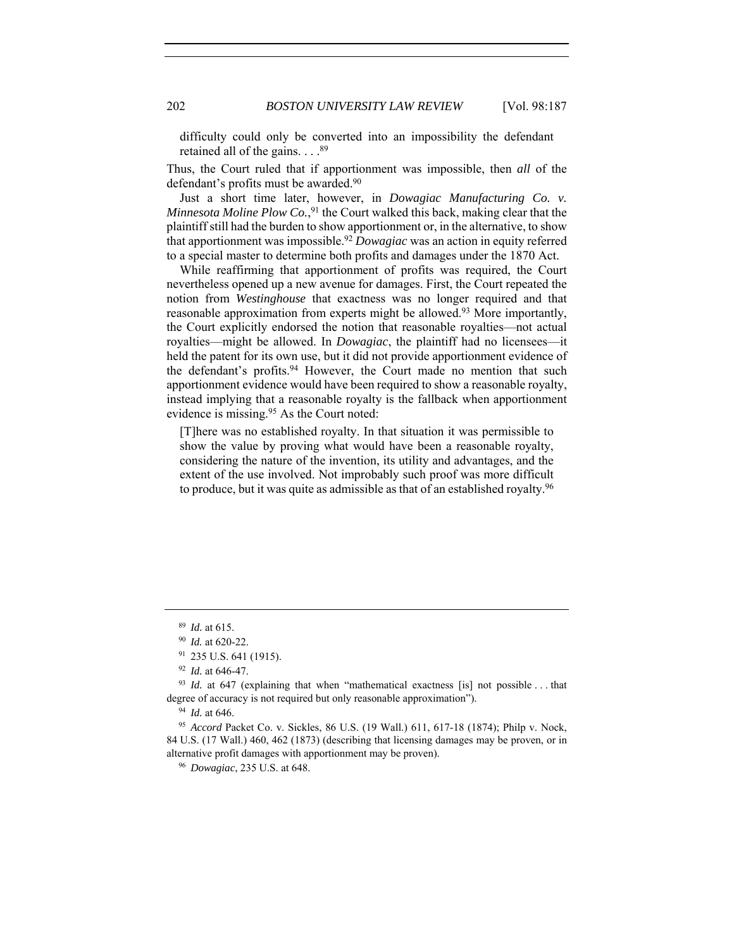difficulty could only be converted into an impossibility the defendant retained all of the gains.  $\ldots$ .<sup>89</sup>

Thus, the Court ruled that if apportionment was impossible, then *all* of the defendant's profits must be awarded.<sup>90</sup>

Just a short time later, however, in *Dowagiac Manufacturing Co. v. Minnesota Moline Plow Co.*, <sup>91</sup> the Court walked this back, making clear that the plaintiff still had the burden to show apportionment or, in the alternative, to show that apportionment was impossible.92 *Dowagiac* was an action in equity referred to a special master to determine both profits and damages under the 1870 Act.

While reaffirming that apportionment of profits was required, the Court nevertheless opened up a new avenue for damages. First, the Court repeated the notion from *Westinghouse* that exactness was no longer required and that reasonable approximation from experts might be allowed.93 More importantly, the Court explicitly endorsed the notion that reasonable royalties—not actual royalties—might be allowed. In *Dowagiac*, the plaintiff had no licensees—it held the patent for its own use, but it did not provide apportionment evidence of the defendant's profits.<sup>94</sup> However, the Court made no mention that such apportionment evidence would have been required to show a reasonable royalty, instead implying that a reasonable royalty is the fallback when apportionment evidence is missing.95 As the Court noted:

[T]here was no established royalty. In that situation it was permissible to show the value by proving what would have been a reasonable royalty, considering the nature of the invention, its utility and advantages, and the extent of the use involved. Not improbably such proof was more difficult to produce, but it was quite as admissible as that of an established royalty.96

<sup>96</sup> *Dowagiac*, 235 U.S. at 648.

<sup>89</sup> *Id.* at 615.

<sup>90</sup> *Id.* at 620-22.

<sup>91</sup> 235 U.S. 641 (1915).

<sup>92</sup> *Id.* at 646-47.

<sup>&</sup>lt;sup>93</sup> *Id.* at 647 (explaining that when "mathematical exactness [is] not possible ... that degree of accuracy is not required but only reasonable approximation").

<sup>94</sup> *Id.* at 646.

<sup>95</sup> *Accord* Packet Co. v. Sickles, 86 U.S. (19 Wall.) 611, 617-18 (1874); Philp v. Nock, 84 U.S. (17 Wall.) 460, 462 (1873) (describing that licensing damages may be proven, or in alternative profit damages with apportionment may be proven).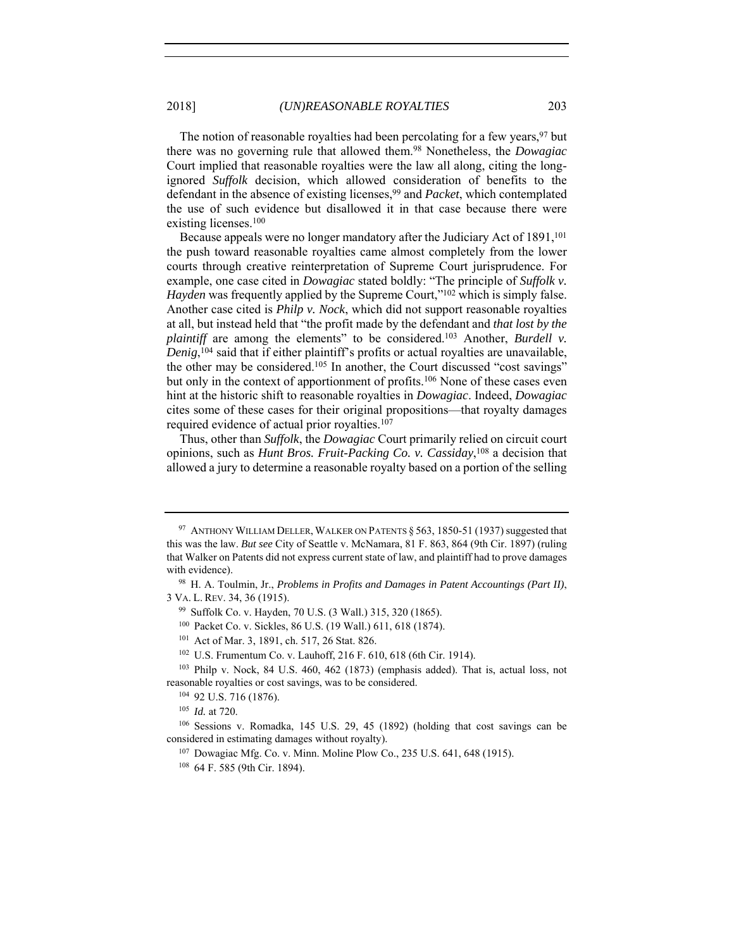The notion of reasonable royalties had been percolating for a few years, <sup>97</sup> but there was no governing rule that allowed them.98 Nonetheless, the *Dowagiac* Court implied that reasonable royalties were the law all along, citing the longignored *Suffolk* decision, which allowed consideration of benefits to the defendant in the absence of existing licenses,99 and *Packet*, which contemplated the use of such evidence but disallowed it in that case because there were existing licenses.100

Because appeals were no longer mandatory after the Judiciary Act of 1891,<sup>101</sup> the push toward reasonable royalties came almost completely from the lower courts through creative reinterpretation of Supreme Court jurisprudence. For example, one case cited in *Dowagiac* stated boldly: "The principle of *Suffolk v. Hayden* was frequently applied by the Supreme Court,"<sup>102</sup> which is simply false. Another case cited is *Philp v. Nock*, which did not support reasonable royalties at all, but instead held that "the profit made by the defendant and *that lost by the plaintiff* are among the elements" to be considered.<sup>103</sup> Another, *Burdell v. Denig*, 104 said that if either plaintiff's profits or actual royalties are unavailable, the other may be considered.105 In another, the Court discussed "cost savings" but only in the context of apportionment of profits.<sup>106</sup> None of these cases even hint at the historic shift to reasonable royalties in *Dowagiac*. Indeed, *Dowagiac* cites some of these cases for their original propositions—that royalty damages required evidence of actual prior royalties.<sup>107</sup>

Thus, other than *Suffolk*, the *Dowagiac* Court primarily relied on circuit court opinions, such as *Hunt Bros. Fruit-Packing Co. v. Cassiday*, 108 a decision that allowed a jury to determine a reasonable royalty based on a portion of the selling

<sup>&</sup>lt;sup>97</sup> ANTHONY WILLIAM DELLER, WALKER ON PATENTS  $\S$  563, 1850-51 (1937) suggested that this was the law. *But see* City of Seattle v. McNamara, 81 F. 863, 864 (9th Cir. 1897) (ruling that Walker on Patents did not express current state of law, and plaintiff had to prove damages with evidence).

<sup>98</sup> H. A. Toulmin, Jr., *Problems in Profits and Damages in Patent Accountings (Part II)*, 3 VA. L. REV. 34, 36 (1915).

<sup>99</sup> Suffolk Co. v. Hayden, 70 U.S. (3 Wall.) 315, 320 (1865).

<sup>&</sup>lt;sup>100</sup> Packet Co. v. Sickles, 86 U.S. (19 Wall.) 611, 618 (1874).<br><sup>101</sup> Act of Mar. 3, 1891, ch. 517, 26 Stat. 826.

<sup>102</sup> U.S. Frumentum Co. v. Lauhoff, 216 F. 610, 618 (6th Cir. 1914).

<sup>103</sup> Philp v. Nock, 84 U.S. 460, 462 (1873) (emphasis added). That is, actual loss, not reasonable royalties or cost savings, was to be considered. 104 92 U.S. 716 (1876).

<sup>105</sup> *Id.* at 720.

<sup>106</sup> Sessions v. Romadka, 145 U.S. 29, 45 (1892) (holding that cost savings can be considered in estimating damages without royalty).

<sup>107</sup> Dowagiac Mfg. Co. v. Minn. Moline Plow Co., 235 U.S. 641, 648 (1915).

<sup>108</sup> 64 F. 585 (9th Cir. 1894).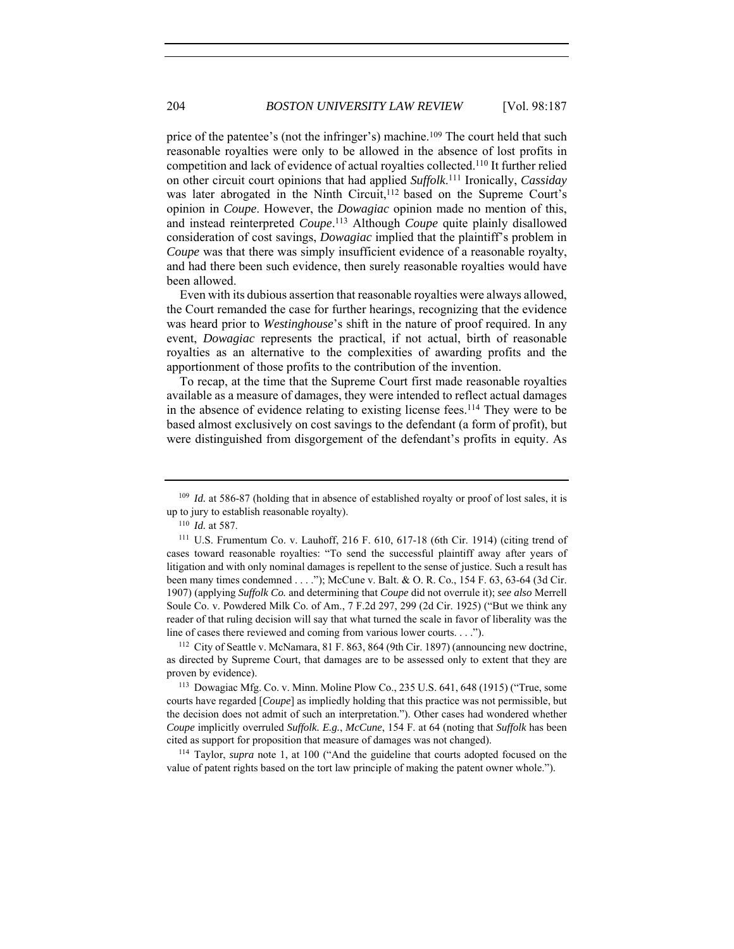price of the patentee's (not the infringer's) machine.<sup>109</sup> The court held that such reasonable royalties were only to be allowed in the absence of lost profits in competition and lack of evidence of actual royalties collected.110 It further relied on other circuit court opinions that had applied *Suffolk*. <sup>111</sup> Ironically, *Cassiday* was later abrogated in the Ninth Circuit,<sup>112</sup> based on the Supreme Court's opinion in *Coupe*. However, the *Dowagiac* opinion made no mention of this, and instead reinterpreted *Coupe*. 113 Although *Coupe* quite plainly disallowed consideration of cost savings, *Dowagiac* implied that the plaintiff's problem in *Coupe* was that there was simply insufficient evidence of a reasonable royalty, and had there been such evidence, then surely reasonable royalties would have been allowed.

Even with its dubious assertion that reasonable royalties were always allowed, the Court remanded the case for further hearings, recognizing that the evidence was heard prior to *Westinghouse*'s shift in the nature of proof required. In any event, *Dowagiac* represents the practical, if not actual, birth of reasonable royalties as an alternative to the complexities of awarding profits and the apportionment of those profits to the contribution of the invention.

To recap, at the time that the Supreme Court first made reasonable royalties available as a measure of damages, they were intended to reflect actual damages in the absence of evidence relating to existing license fees.114 They were to be based almost exclusively on cost savings to the defendant (a form of profit), but were distinguished from disgorgement of the defendant's profits in equity. As

as directed by Supreme Court, that damages are to be assessed only to extent that they are proven by evidence).<br><sup>113</sup> Dowagiac Mfg. Co. v. Minn. Moline Plow Co., 235 U.S. 641, 648 (1915) ("True, some

courts have regarded [*Coupe*] as impliedly holding that this practice was not permissible, but the decision does not admit of such an interpretation."). Other cases had wondered whether *Coupe* implicitly overruled *Suffolk. E.g.*, *McCune*, 154 F. at 64 (noting that *Suffolk* has been

cited as support for proposition that measure of damages was not changed). 114 Taylor, *supra* note 1, at 100 ("And the guideline that courts adopted focused on the value of patent rights based on the tort law principle of making the patent owner whole.").

<sup>&</sup>lt;sup>109</sup> *Id.* at 586-87 (holding that in absence of established royalty or proof of lost sales, it is up to jury to establish reasonable royalty). 110 *Id.* at 587.

<sup>111</sup> U.S. Frumentum Co. v. Lauhoff, 216 F. 610, 617-18 (6th Cir. 1914) (citing trend of cases toward reasonable royalties: "To send the successful plaintiff away after years of litigation and with only nominal damages is repellent to the sense of justice. Such a result has been many times condemned . . . ."); McCune v. Balt. & O. R. Co., 154 F. 63, 63-64 (3d Cir. 1907) (applying *Suffolk Co.* and determining that *Coupe* did not overrule it); *see also* Merrell Soule Co. v. Powdered Milk Co. of Am., 7 F.2d 297, 299 (2d Cir. 1925) ("But we think any reader of that ruling decision will say that what turned the scale in favor of liberality was the line of cases there reviewed and coming from various lower courts. . . .").<br><sup>112</sup> City of Seattle v. McNamara, 81 F. 863, 864 (9th Cir. 1897) (announcing new doctrine,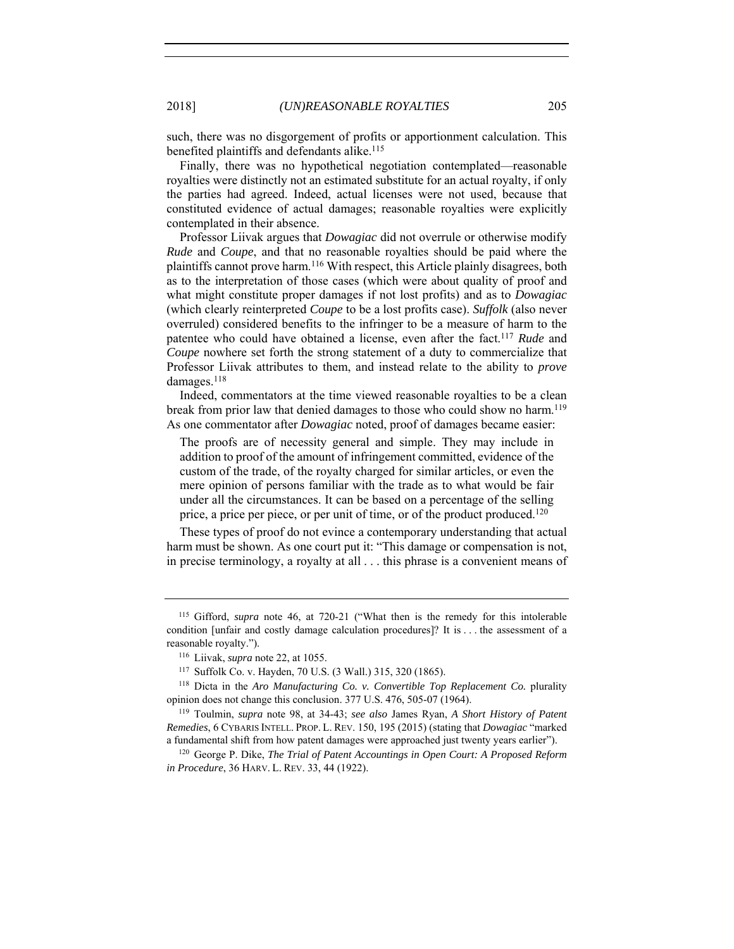such, there was no disgorgement of profits or apportionment calculation. This benefited plaintiffs and defendants alike.<sup>115</sup>

Finally, there was no hypothetical negotiation contemplated—reasonable royalties were distinctly not an estimated substitute for an actual royalty, if only the parties had agreed. Indeed, actual licenses were not used, because that constituted evidence of actual damages; reasonable royalties were explicitly contemplated in their absence.

Professor Liivak argues that *Dowagiac* did not overrule or otherwise modify *Rude* and *Coupe*, and that no reasonable royalties should be paid where the plaintiffs cannot prove harm.116 With respect, this Article plainly disagrees, both as to the interpretation of those cases (which were about quality of proof and what might constitute proper damages if not lost profits) and as to *Dowagiac* (which clearly reinterpreted *Coupe* to be a lost profits case). *Suffolk* (also never overruled) considered benefits to the infringer to be a measure of harm to the patentee who could have obtained a license, even after the fact. <sup>117</sup> *Rude* and *Coupe* nowhere set forth the strong statement of a duty to commercialize that Professor Liivak attributes to them, and instead relate to the ability to *prove* damages.<sup>118</sup>

Indeed, commentators at the time viewed reasonable royalties to be a clean break from prior law that denied damages to those who could show no harm.119 As one commentator after *Dowagiac* noted, proof of damages became easier:

The proofs are of necessity general and simple. They may include in addition to proof of the amount of infringement committed, evidence of the custom of the trade, of the royalty charged for similar articles, or even the mere opinion of persons familiar with the trade as to what would be fair under all the circumstances. It can be based on a percentage of the selling price, a price per piece, or per unit of time, or of the product produced.120

These types of proof do not evince a contemporary understanding that actual harm must be shown. As one court put it: "This damage or compensation is not, in precise terminology, a royalty at all . . . this phrase is a convenient means of

<sup>115</sup> Gifford, *supra* note 46, at 720-21 ("What then is the remedy for this intolerable condition [unfair and costly damage calculation procedures]? It is . . . the assessment of a reasonable royalty."). 116 Liivak, *supra* note 22, at 1055.

<sup>117</sup> Suffolk Co. v. Hayden, 70 U.S. (3 Wall.) 315, 320 (1865).

<sup>118</sup> Dicta in the *Aro Manufacturing Co. v. Convertible Top Replacement Co.* plurality opinion does not change this conclusion. 377 U.S. 476, 505-07 (1964).

<sup>119</sup> Toulmin, *supra* note 98, at 34-43; *see also* James Ryan, *A Short History of Patent Remedies*, 6 CYBARIS INTELL. PROP. L. REV. 150, 195 (2015) (stating that *Dowagiac* "marked a fundamental shift from how patent damages were approached just twenty years earlier"). 120 George P. Dike, *The Trial of Patent Accountings in Open Court: A Proposed Reform* 

*in Procedure*, 36 HARV. L. REV. 33, 44 (1922).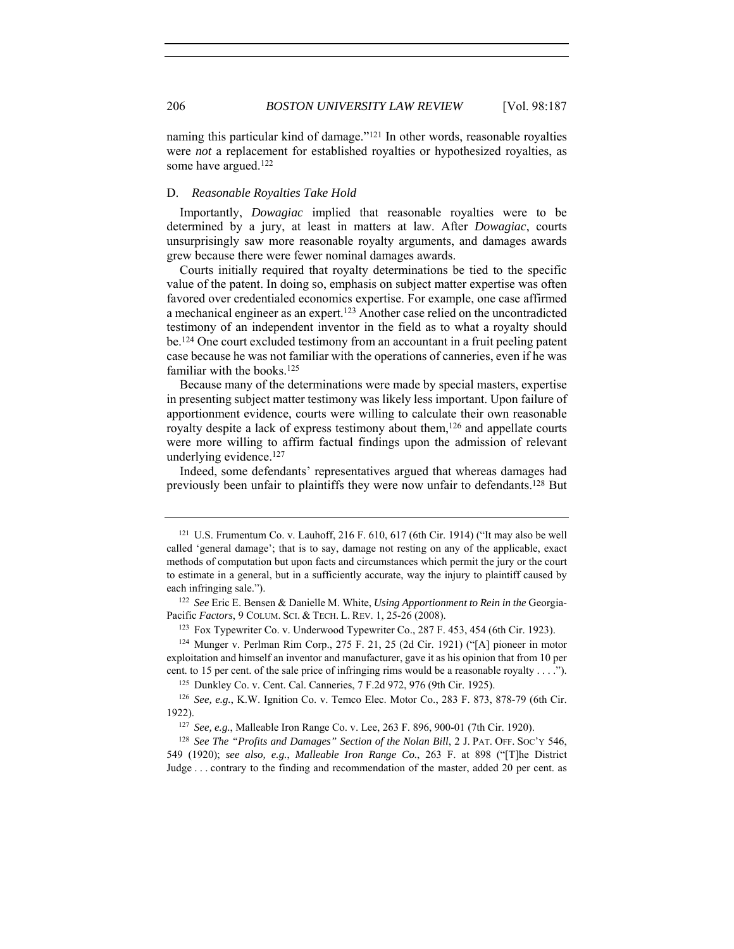naming this particular kind of damage."121 In other words, reasonable royalties were *not* a replacement for established royalties or hypothesized royalties, as some have argued.122

# D. *Reasonable Royalties Take Hold*

Importantly, *Dowagiac* implied that reasonable royalties were to be determined by a jury, at least in matters at law. After *Dowagiac*, courts unsurprisingly saw more reasonable royalty arguments, and damages awards grew because there were fewer nominal damages awards.

Courts initially required that royalty determinations be tied to the specific value of the patent. In doing so, emphasis on subject matter expertise was often favored over credentialed economics expertise. For example, one case affirmed a mechanical engineer as an expert.123 Another case relied on the uncontradicted testimony of an independent inventor in the field as to what a royalty should be.124 One court excluded testimony from an accountant in a fruit peeling patent case because he was not familiar with the operations of canneries, even if he was familiar with the books.<sup>125</sup>

Because many of the determinations were made by special masters, expertise in presenting subject matter testimony was likely less important. Upon failure of apportionment evidence, courts were willing to calculate their own reasonable royalty despite a lack of express testimony about them,<sup>126</sup> and appellate courts were more willing to affirm factual findings upon the admission of relevant underlying evidence.127

Indeed, some defendants' representatives argued that whereas damages had previously been unfair to plaintiffs they were now unfair to defendants.128 But

<sup>125</sup> Dunkley Co. v. Cent. Cal. Canneries, 7 F.2d 972, 976 (9th Cir. 1925).

<sup>&</sup>lt;sup>121</sup> U.S. Frumentum Co. v. Lauhoff, 216 F. 610, 617 (6th Cir. 1914) ("It may also be well called 'general damage'; that is to say, damage not resting on any of the applicable, exact methods of computation but upon facts and circumstances which permit the jury or the court to estimate in a general, but in a sufficiently accurate, way the injury to plaintiff caused by each infringing sale.").

<sup>122</sup> *See* Eric E. Bensen & Danielle M. White, *Using Apportionment to Rein in the* Georgia-Pacific *Factors*, 9 COLUM. SCI. & TECH. L. REV. 1, 25-26 (2008).

<sup>123</sup> Fox Typewriter Co. v. Underwood Typewriter Co., 287 F. 453, 454 (6th Cir. 1923).

<sup>124</sup> Munger v. Perlman Rim Corp., 275 F. 21, 25 (2d Cir. 1921) ("[A] pioneer in motor exploitation and himself an inventor and manufacturer, gave it as his opinion that from 10 per cent. to 15 per cent. of the sale price of infringing rims would be a reasonable royalty . . . .").

<sup>126</sup> *See, e.g.*, K.W. Ignition Co. v. Temco Elec. Motor Co., 283 F. 873, 878-79 (6th Cir. 1922).

<sup>127</sup> *See, e.g.*, Malleable Iron Range Co. v. Lee, 263 F. 896, 900-01 (7th Cir. 1920).

<sup>&</sup>lt;sup>128</sup> See The "Profits and Damages" Section of the Nolan Bill, 2 J. PAT. OFF. Soc'y 546, 549 (1920); *see also, e.g.*, *Malleable Iron Range Co.*, 263 F. at 898 ("[T]he District Judge . . . contrary to the finding and recommendation of the master, added 20 per cent. as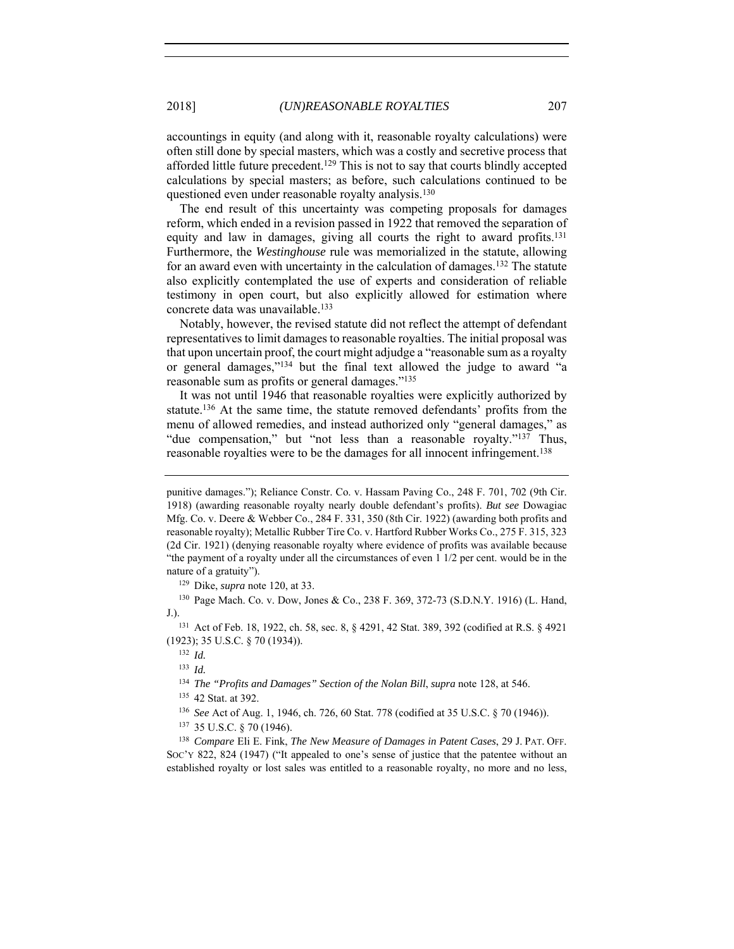accountings in equity (and along with it, reasonable royalty calculations) were often still done by special masters, which was a costly and secretive process that afforded little future precedent.<sup>129</sup> This is not to say that courts blindly accepted calculations by special masters; as before, such calculations continued to be questioned even under reasonable royalty analysis.<sup>130</sup>

The end result of this uncertainty was competing proposals for damages reform, which ended in a revision passed in 1922 that removed the separation of equity and law in damages, giving all courts the right to award profits.131 Furthermore, the *Westinghouse* rule was memorialized in the statute, allowing for an award even with uncertainty in the calculation of damages.132 The statute also explicitly contemplated the use of experts and consideration of reliable testimony in open court, but also explicitly allowed for estimation where concrete data was unavailable.133

Notably, however, the revised statute did not reflect the attempt of defendant representatives to limit damages to reasonable royalties. The initial proposal was that upon uncertain proof, the court might adjudge a "reasonable sum as a royalty or general damages,"134 but the final text allowed the judge to award "a reasonable sum as profits or general damages."135

It was not until 1946 that reasonable royalties were explicitly authorized by statute.136 At the same time, the statute removed defendants' profits from the menu of allowed remedies, and instead authorized only "general damages," as "due compensation," but "not less than a reasonable royalty."<sup>137</sup> Thus, reasonable royalties were to be the damages for all innocent infringement.138

<sup>130</sup> Page Mach. Co. v. Dow, Jones & Co., 238 F. 369, 372-73 (S.D.N.Y. 1916) (L. Hand, J.).

<sup>131</sup> Act of Feb. 18, 1922, ch. 58, sec. 8, § 4291, 42 Stat. 389, 392 (codified at R.S. § 4921 (1923); 35 U.S.C. § 70 (1934)).

<sup>133</sup> *Id.*

<sup>135</sup> 42 Stat. at 392.

<sup>136</sup> *See* Act of Aug. 1, 1946, ch. 726, 60 Stat. 778 (codified at 35 U.S.C. § 70 (1946)).

<sup>137</sup> 35 U.S.C. § 70 (1946).

<sup>138</sup> *Compare* Eli E. Fink, *The New Measure of Damages in Patent Cases*, 29 J. PAT. OFF. SOC'Y 822, 824 (1947) ("It appealed to one's sense of justice that the patentee without an established royalty or lost sales was entitled to a reasonable royalty, no more and no less,

punitive damages."); Reliance Constr. Co. v. Hassam Paving Co., 248 F. 701, 702 (9th Cir. 1918) (awarding reasonable royalty nearly double defendant's profits). *But see* Dowagiac Mfg. Co. v. Deere & Webber Co., 284 F. 331, 350 (8th Cir. 1922) (awarding both profits and reasonable royalty); Metallic Rubber Tire Co. v. Hartford Rubber Works Co., 275 F. 315, 323 (2d Cir. 1921) (denying reasonable royalty where evidence of profits was available because "the payment of a royalty under all the circumstances of even 1 1/2 per cent. would be in the nature of a gratuity"). 129 Dike, *supra* note 120, at 33.

<sup>132</sup> *Id.*

<sup>134</sup> *The "Profits and Damages" Section of the Nolan Bill*, *supra* note 128, at 546.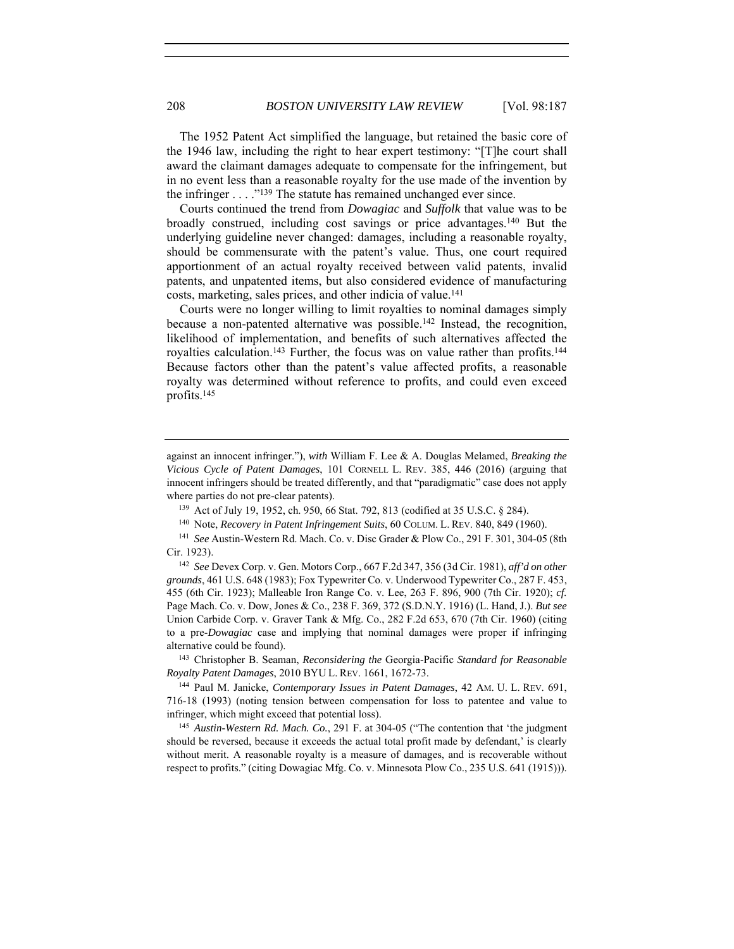The 1952 Patent Act simplified the language, but retained the basic core of the 1946 law, including the right to hear expert testimony: "[T]he court shall award the claimant damages adequate to compensate for the infringement, but in no event less than a reasonable royalty for the use made of the invention by the infringer  $\dots$  ."<sup>139</sup> The statute has remained unchanged ever since.

Courts continued the trend from *Dowagiac* and *Suffolk* that value was to be broadly construed, including cost savings or price advantages.140 But the underlying guideline never changed: damages, including a reasonable royalty, should be commensurate with the patent's value. Thus, one court required apportionment of an actual royalty received between valid patents, invalid patents, and unpatented items, but also considered evidence of manufacturing costs, marketing, sales prices, and other indicia of value.141

Courts were no longer willing to limit royalties to nominal damages simply because a non-patented alternative was possible.<sup>142</sup> Instead, the recognition, likelihood of implementation, and benefits of such alternatives affected the royalties calculation.<sup>143</sup> Further, the focus was on value rather than profits.<sup>144</sup> Because factors other than the patent's value affected profits, a reasonable royalty was determined without reference to profits, and could even exceed profits.145

<sup>143</sup> Christopher B. Seaman, *Reconsidering the* Georgia-Pacific *Standard for Reasonable Royalty Patent Damages*, 2010 BYU L. REV. 1661, 1672-73.

<sup>144</sup> Paul M. Janicke, *Contemporary Issues in Patent Damages*, 42 AM. U. L. REV. 691, 716-18 (1993) (noting tension between compensation for loss to patentee and value to infringer, which might exceed that potential loss).

<sup>145</sup> *Austin-Western Rd. Mach. Co.*, 291 F. at 304-05 ("The contention that 'the judgment should be reversed, because it exceeds the actual total profit made by defendant,' is clearly without merit. A reasonable royalty is a measure of damages, and is recoverable without respect to profits." (citing Dowagiac Mfg. Co. v. Minnesota Plow Co., 235 U.S. 641 (1915))).

against an innocent infringer."), *with* William F. Lee & A. Douglas Melamed, *Breaking the Vicious Cycle of Patent Damages*, 101 CORNELL L. REV. 385, 446 (2016) (arguing that innocent infringers should be treated differently, and that "paradigmatic" case does not apply where parties do not pre-clear patents).<br><sup>139</sup> Act of July 19, 1952, ch. 950, 66 Stat. 792, 813 (codified at 35 U.S.C. § 284).

<sup>&</sup>lt;sup>140</sup> Note, *Recovery in Patent Infringement Suits*, 60 COLUM. L. REV. 840, 849 (1960).<br><sup>141</sup> *See* Austin-Western Rd. Mach. Co. v. Disc Grader & Plow Co., 291 F. 301, 304-05 (8th Cir. 1923).

<sup>142</sup> *See* Devex Corp. v. Gen. Motors Corp., 667 F.2d 347, 356 (3d Cir. 1981), *aff'd on other grounds*, 461 U.S. 648 (1983); Fox Typewriter Co. v. Underwood Typewriter Co., 287 F. 453, 455 (6th Cir. 1923); Malleable Iron Range Co. v. Lee, 263 F. 896, 900 (7th Cir. 1920); *cf.* Page Mach. Co. v. Dow, Jones & Co., 238 F. 369, 372 (S.D.N.Y. 1916) (L. Hand, J.). *But see* Union Carbide Corp. v. Graver Tank & Mfg. Co., 282 F.2d 653, 670 (7th Cir. 1960) (citing to a pre-*Dowagiac* case and implying that nominal damages were proper if infringing alternative could be found).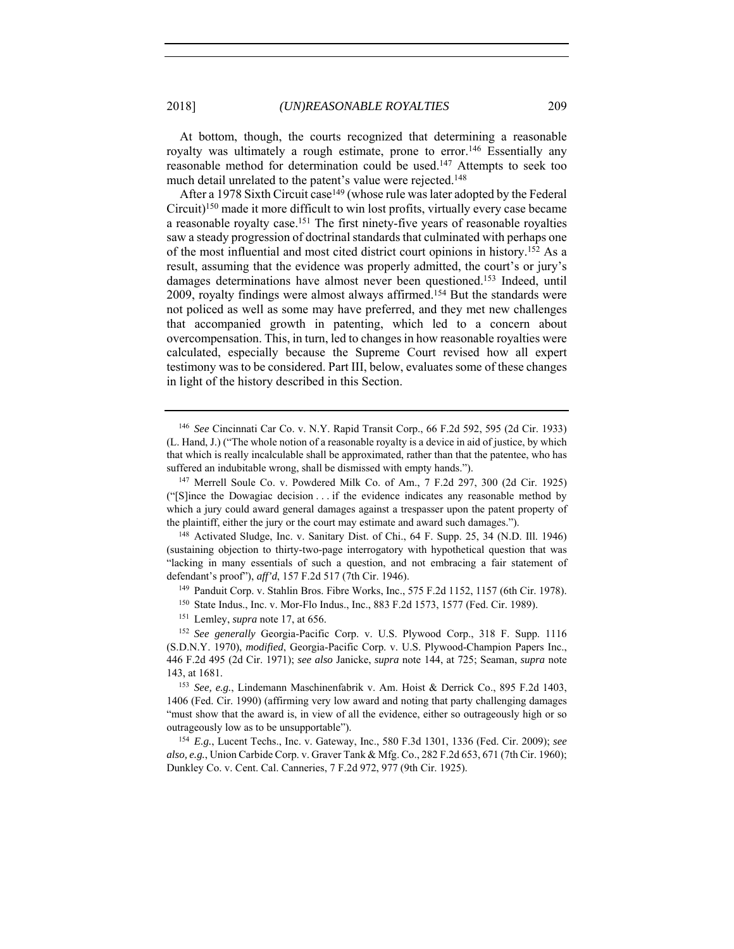At bottom, though, the courts recognized that determining a reasonable royalty was ultimately a rough estimate, prone to error.<sup>146</sup> Essentially any reasonable method for determination could be used.147 Attempts to seek too much detail unrelated to the patent's value were rejected.148

After a 1978 Sixth Circuit case<sup>149</sup> (whose rule was later adopted by the Federal Circuit)150 made it more difficult to win lost profits, virtually every case became a reasonable royalty case.<sup>151</sup> The first ninety-five years of reasonable royalties saw a steady progression of doctrinal standards that culminated with perhaps one of the most influential and most cited district court opinions in history.152 As a result, assuming that the evidence was properly admitted, the court's or jury's damages determinations have almost never been questioned.153 Indeed, until 2009, royalty findings were almost always affirmed.154 But the standards were not policed as well as some may have preferred, and they met new challenges that accompanied growth in patenting, which led to a concern about overcompensation. This, in turn, led to changes in how reasonable royalties were calculated, especially because the Supreme Court revised how all expert testimony was to be considered. Part III, below, evaluates some of these changes in light of the history described in this Section.

(sustaining objection to thirty-two-page interrogatory with hypothetical question that was "lacking in many essentials of such a question, and not embracing a fair statement of defendant's proof"), *aff'd*, 157 F.2d 517 (7th Cir. 1946).<br><sup>149</sup> Panduit Corp. v. Stahlin Bros. Fibre Works, Inc., 575 F.2d 1152, 1157 (6th Cir. 1978).

<sup>150</sup> State Indus., Inc. v. Mor-Flo Indus., Inc., 883 F.2d 1573, 1577 (Fed. Cir. 1989).

<sup>151</sup> Lemley, *supra* note 17, at 656.

<sup>152</sup> *See generally* Georgia-Pacific Corp. v. U.S. Plywood Corp., 318 F. Supp. 1116 (S.D.N.Y. 1970), *modified*, Georgia-Pacific Corp. v. U.S. Plywood-Champion Papers Inc., 446 F.2d 495 (2d Cir. 1971); *see also* Janicke, *supra* note 144, at 725; Seaman, *supra* note 143, at 1681. 153 *See, e.g.*, Lindemann Maschinenfabrik v. Am. Hoist & Derrick Co., 895 F.2d 1403,

1406 (Fed. Cir. 1990) (affirming very low award and noting that party challenging damages "must show that the award is, in view of all the evidence, either so outrageously high or so outrageously low as to be unsupportable"). 154 *E.g.*, Lucent Techs., Inc. v. Gateway, Inc., 580 F.3d 1301, 1336 (Fed. Cir. 2009); *see* 

*also, e.g.*, Union Carbide Corp. v. Graver Tank & Mfg. Co., 282 F.2d 653, 671 (7th Cir. 1960); Dunkley Co. v. Cent. Cal. Canneries, 7 F.2d 972, 977 (9th Cir. 1925).

<sup>146</sup> *See* Cincinnati Car Co. v. N.Y. Rapid Transit Corp., 66 F.2d 592, 595 (2d Cir. 1933) (L. Hand, J.) ("The whole notion of a reasonable royalty is a device in aid of justice, by which that which is really incalculable shall be approximated, rather than that the patentee, who has suffered an indubitable wrong, shall be dismissed with empty hands.").<br><sup>147</sup> Merrell Soule Co. v. Powdered Milk Co. of Am., 7 F.2d 297, 300 (2d Cir. 1925)

<sup>(&</sup>quot;[S]ince the Dowagiac decision . . . if the evidence indicates any reasonable method by which a jury could award general damages against a trespasser upon the patent property of the plaintiff, either the jury or the court may estimate and award such damages.").<br><sup>148</sup> Activated Sludge, Inc. v. Sanitary Dist. of Chi., 64 F. Supp. 25, 34 (N.D. Ill. 1946)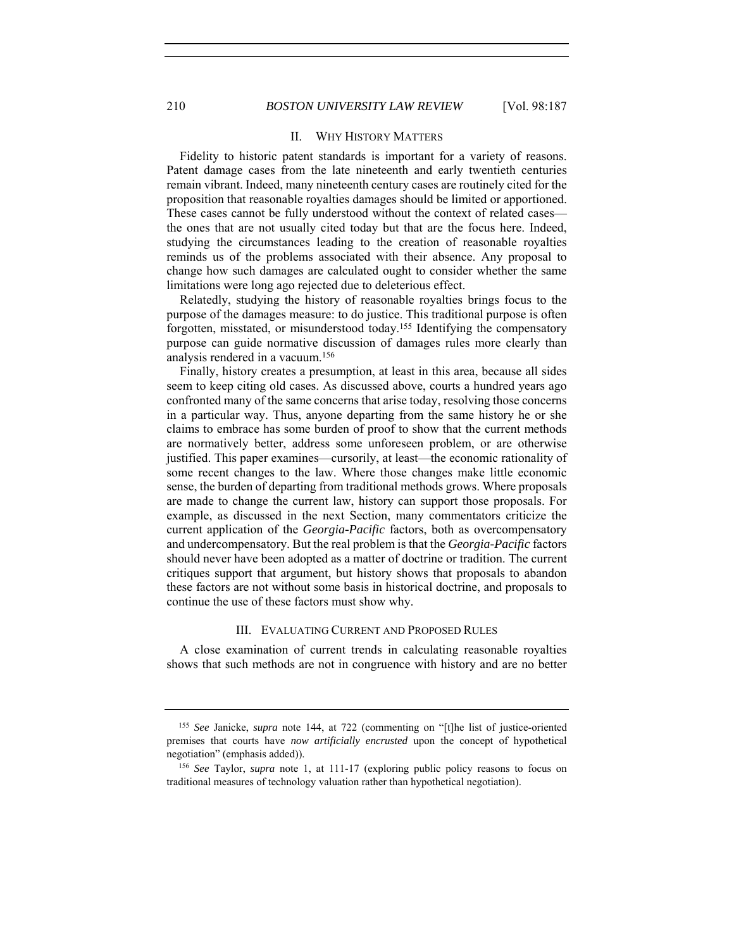# II. WHY HISTORY MATTERS

Fidelity to historic patent standards is important for a variety of reasons. Patent damage cases from the late nineteenth and early twentieth centuries remain vibrant. Indeed, many nineteenth century cases are routinely cited for the proposition that reasonable royalties damages should be limited or apportioned. These cases cannot be fully understood without the context of related cases the ones that are not usually cited today but that are the focus here. Indeed, studying the circumstances leading to the creation of reasonable royalties reminds us of the problems associated with their absence. Any proposal to change how such damages are calculated ought to consider whether the same limitations were long ago rejected due to deleterious effect.

Relatedly, studying the history of reasonable royalties brings focus to the purpose of the damages measure: to do justice. This traditional purpose is often forgotten, misstated, or misunderstood today.155 Identifying the compensatory purpose can guide normative discussion of damages rules more clearly than analysis rendered in a vacuum.156

Finally, history creates a presumption, at least in this area, because all sides seem to keep citing old cases. As discussed above, courts a hundred years ago confronted many of the same concerns that arise today, resolving those concerns in a particular way. Thus, anyone departing from the same history he or she claims to embrace has some burden of proof to show that the current methods are normatively better, address some unforeseen problem, or are otherwise justified. This paper examines—cursorily, at least—the economic rationality of some recent changes to the law. Where those changes make little economic sense, the burden of departing from traditional methods grows. Where proposals are made to change the current law, history can support those proposals. For example, as discussed in the next Section, many commentators criticize the current application of the *Georgia-Pacific* factors, both as overcompensatory and undercompensatory. But the real problem is that the *Georgia-Pacific* factors should never have been adopted as a matter of doctrine or tradition. The current critiques support that argument, but history shows that proposals to abandon these factors are not without some basis in historical doctrine, and proposals to continue the use of these factors must show why.

#### III. EVALUATING CURRENT AND PROPOSED RULES

A close examination of current trends in calculating reasonable royalties shows that such methods are not in congruence with history and are no better

<sup>155</sup> *See* Janicke, *supra* note 144, at 722 (commenting on "[t]he list of justice-oriented premises that courts have *now artificially encrusted* upon the concept of hypothetical negotiation" (emphasis added)). 156 *See* Taylor, *supra* note 1, at 111-17 (exploring public policy reasons to focus on

traditional measures of technology valuation rather than hypothetical negotiation).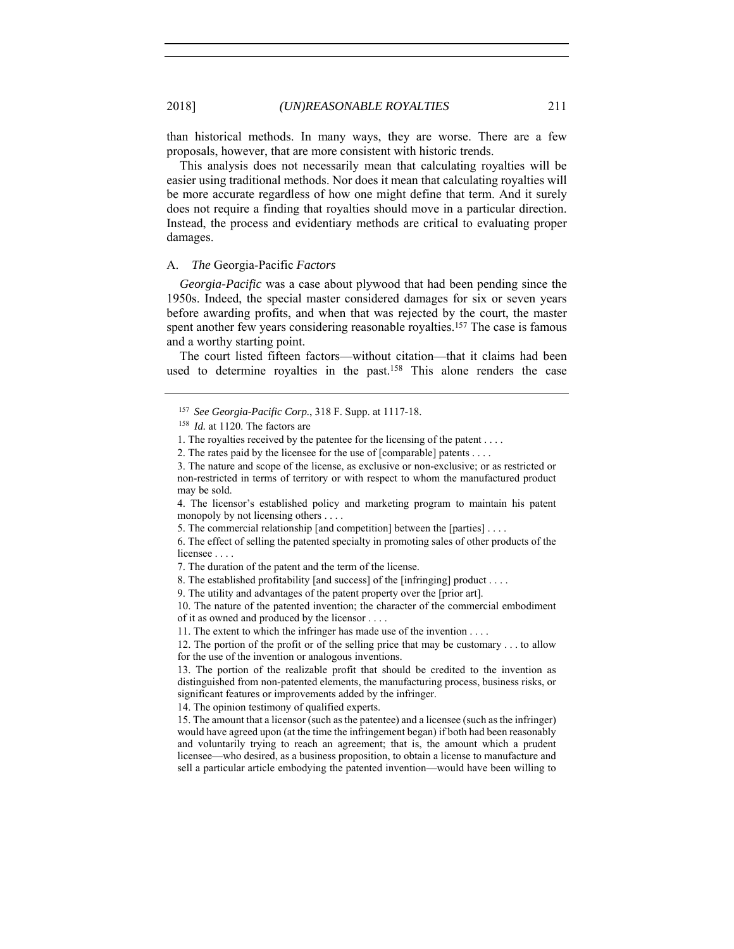than historical methods. In many ways, they are worse. There are a few proposals, however, that are more consistent with historic trends.

This analysis does not necessarily mean that calculating royalties will be easier using traditional methods. Nor does it mean that calculating royalties will be more accurate regardless of how one might define that term. And it surely does not require a finding that royalties should move in a particular direction. Instead, the process and evidentiary methods are critical to evaluating proper damages.

# A. *The* Georgia-Pacific *Factors*

*Georgia-Pacific* was a case about plywood that had been pending since the 1950s. Indeed, the special master considered damages for six or seven years before awarding profits, and when that was rejected by the court, the master spent another few years considering reasonable royalties.<sup>157</sup> The case is famous and a worthy starting point.

The court listed fifteen factors—without citation—that it claims had been used to determine royalties in the past.<sup>158</sup> This alone renders the case

<sup>157</sup> *See Georgia-Pacific Corp.*, 318 F. Supp. at 1117-18.

<sup>158</sup> *Id.* at 1120. The factors are

<sup>1.</sup> The royalties received by the patentee for the licensing of the patent . . . .

<sup>2.</sup> The rates paid by the licensee for the use of [comparable] patents . . . .

<sup>3.</sup> The nature and scope of the license, as exclusive or non-exclusive; or as restricted or non-restricted in terms of territory or with respect to whom the manufactured product may be sold.

<sup>4.</sup> The licensor's established policy and marketing program to maintain his patent monopoly by not licensing others . . . .

<sup>5.</sup> The commercial relationship [and competition] between the [parties] . . . .

<sup>6.</sup> The effect of selling the patented specialty in promoting sales of other products of the licensee . . . .

<sup>7.</sup> The duration of the patent and the term of the license.

<sup>8.</sup> The established profitability [and success] of the [infringing] product . . . .

<sup>9.</sup> The utility and advantages of the patent property over the [prior art].

<sup>10.</sup> The nature of the patented invention; the character of the commercial embodiment of it as owned and produced by the licensor . . . .

<sup>11.</sup> The extent to which the infringer has made use of the invention . . . .

<sup>12.</sup> The portion of the profit or of the selling price that may be customary . . . to allow for the use of the invention or analogous inventions.

<sup>13.</sup> The portion of the realizable profit that should be credited to the invention as distinguished from non-patented elements, the manufacturing process, business risks, or significant features or improvements added by the infringer.

<sup>14.</sup> The opinion testimony of qualified experts.

<sup>15.</sup> The amount that a licensor (such as the patentee) and a licensee (such as the infringer) would have agreed upon (at the time the infringement began) if both had been reasonably and voluntarily trying to reach an agreement; that is, the amount which a prudent licensee—who desired, as a business proposition, to obtain a license to manufacture and sell a particular article embodying the patented invention—would have been willing to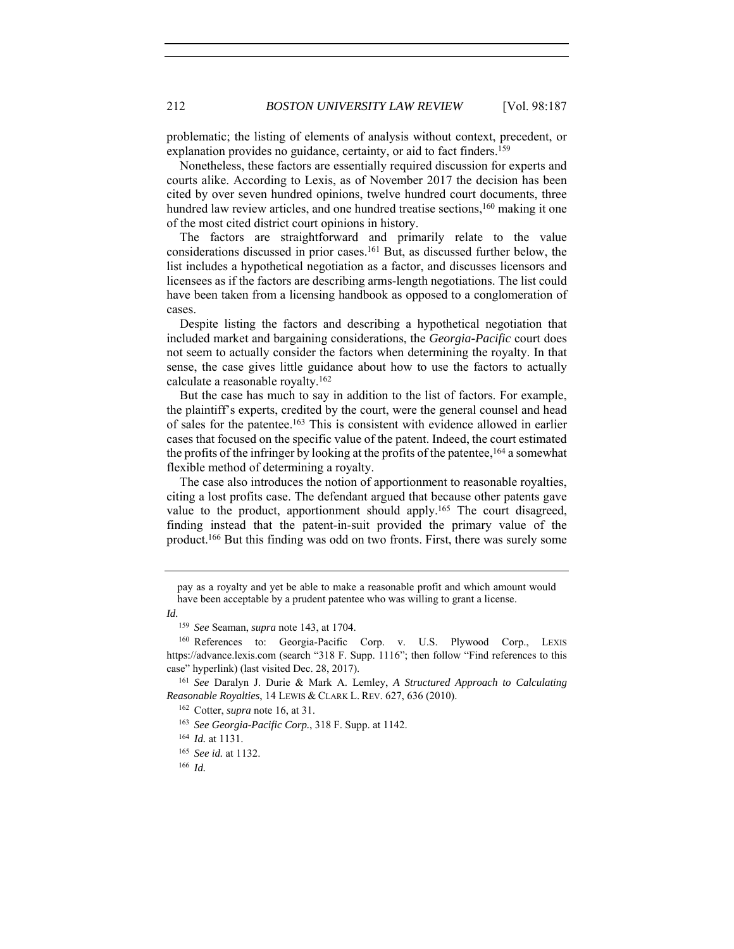problematic; the listing of elements of analysis without context, precedent, or explanation provides no guidance, certainty, or aid to fact finders.<sup>159</sup>

Nonetheless, these factors are essentially required discussion for experts and courts alike. According to Lexis, as of November 2017 the decision has been cited by over seven hundred opinions, twelve hundred court documents, three hundred law review articles, and one hundred treatise sections, $160$  making it one of the most cited district court opinions in history.

The factors are straightforward and primarily relate to the value considerations discussed in prior cases.161 But, as discussed further below, the list includes a hypothetical negotiation as a factor, and discusses licensors and licensees as if the factors are describing arms-length negotiations. The list could have been taken from a licensing handbook as opposed to a conglomeration of cases.

Despite listing the factors and describing a hypothetical negotiation that included market and bargaining considerations, the *Georgia-Pacific* court does not seem to actually consider the factors when determining the royalty. In that sense, the case gives little guidance about how to use the factors to actually calculate a reasonable royalty.162

But the case has much to say in addition to the list of factors. For example, the plaintiff's experts, credited by the court, were the general counsel and head of sales for the patentee.163 This is consistent with evidence allowed in earlier cases that focused on the specific value of the patent. Indeed, the court estimated the profits of the infringer by looking at the profits of the patentee,<sup>164</sup> a somewhat flexible method of determining a royalty.

The case also introduces the notion of apportionment to reasonable royalties, citing a lost profits case. The defendant argued that because other patents gave value to the product, apportionment should apply.165 The court disagreed, finding instead that the patent-in-suit provided the primary value of the product.166 But this finding was odd on two fronts. First, there was surely some

*Id.*

*Reasonable Royalties*, 14 LEWIS & CLARK L. REV. 627, 636 (2010).

pay as a royalty and yet be able to make a reasonable profit and which amount would have been acceptable by a prudent patentee who was willing to grant a license.

<sup>159</sup> *See* Seaman, *supra* note 143, at 1704.

<sup>&</sup>lt;sup>160</sup> References to: Georgia-Pacific Corp. v. U.S. Plywood Corp., LEXIS https://advance.lexis.com (search "318 F. Supp. 1116"; then follow "Find references to this case" hyperlink) (last visited Dec. 28, 2017). 161 *See* Daralyn J. Durie & Mark A. Lemley, *A Structured Approach to Calculating* 

<sup>162</sup> Cotter, *supra* note 16, at 31.

<sup>163</sup> *See Georgia-Pacific Corp.*, 318 F. Supp. at 1142.

<sup>164</sup> *Id.* at 1131.

<sup>165</sup> *See id.* at 1132.

<sup>166</sup> *Id.*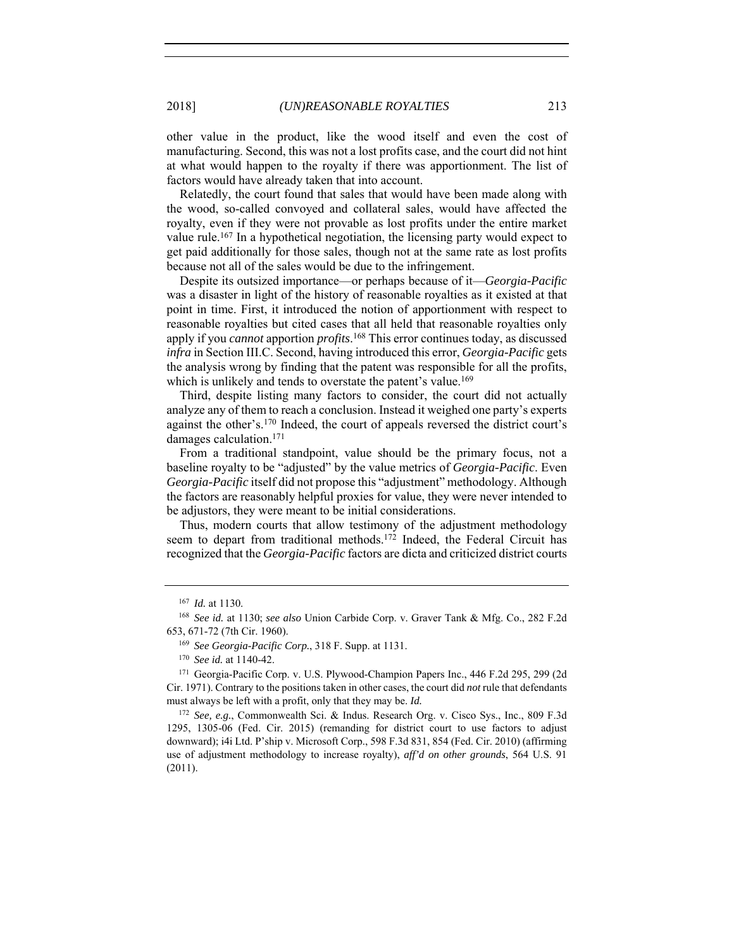other value in the product, like the wood itself and even the cost of manufacturing. Second, this was not a lost profits case, and the court did not hint at what would happen to the royalty if there was apportionment. The list of factors would have already taken that into account.

Relatedly, the court found that sales that would have been made along with the wood, so-called convoyed and collateral sales, would have affected the royalty, even if they were not provable as lost profits under the entire market value rule.<sup>167</sup> In a hypothetical negotiation, the licensing party would expect to get paid additionally for those sales, though not at the same rate as lost profits because not all of the sales would be due to the infringement.

Despite its outsized importance—or perhaps because of it—*Georgia-Pacific* was a disaster in light of the history of reasonable royalties as it existed at that point in time. First, it introduced the notion of apportionment with respect to reasonable royalties but cited cases that all held that reasonable royalties only apply if you *cannot* apportion *profits*. 168 This error continues today, as discussed *infra* in Section III.C. Second, having introduced this error, *Georgia-Pacific* gets the analysis wrong by finding that the patent was responsible for all the profits, which is unlikely and tends to overstate the patent's value.<sup>169</sup>

Third, despite listing many factors to consider, the court did not actually analyze any of them to reach a conclusion. Instead it weighed one party's experts against the other's.170 Indeed, the court of appeals reversed the district court's damages calculation.171

From a traditional standpoint, value should be the primary focus, not a baseline royalty to be "adjusted" by the value metrics of *Georgia-Pacific*. Even *Georgia-Pacific* itself did not propose this "adjustment" methodology. Although the factors are reasonably helpful proxies for value, they were never intended to be adjustors, they were meant to be initial considerations.

Thus, modern courts that allow testimony of the adjustment methodology seem to depart from traditional methods.<sup>172</sup> Indeed, the Federal Circuit has recognized that the *Georgia-Pacific* factors are dicta and criticized district courts

<sup>167</sup> *Id.* at 1130.

<sup>168</sup> *See id.* at 1130; *see also* Union Carbide Corp. v. Graver Tank & Mfg. Co., 282 F.2d 653, 671-72 (7th Cir. 1960).

<sup>169</sup> *See Georgia-Pacific Corp.*, 318 F. Supp. at 1131.

<sup>170</sup> *See id.* at 1140-42.

<sup>171</sup> Georgia-Pacific Corp. v. U.S. Plywood-Champion Papers Inc., 446 F.2d 295, 299 (2d Cir. 1971). Contrary to the positions taken in other cases, the court did *not* rule that defendants must always be left with a profit, only that they may be. *Id.*

<sup>172</sup> *See, e.g.*, Commonwealth Sci. & Indus. Research Org. v. Cisco Sys., Inc., 809 F.3d 1295, 1305-06 (Fed. Cir. 2015) (remanding for district court to use factors to adjust downward); i4i Ltd. P'ship v. Microsoft Corp., 598 F.3d 831, 854 (Fed. Cir. 2010) (affirming use of adjustment methodology to increase royalty), *aff'd on other grounds*, 564 U.S. 91 (2011).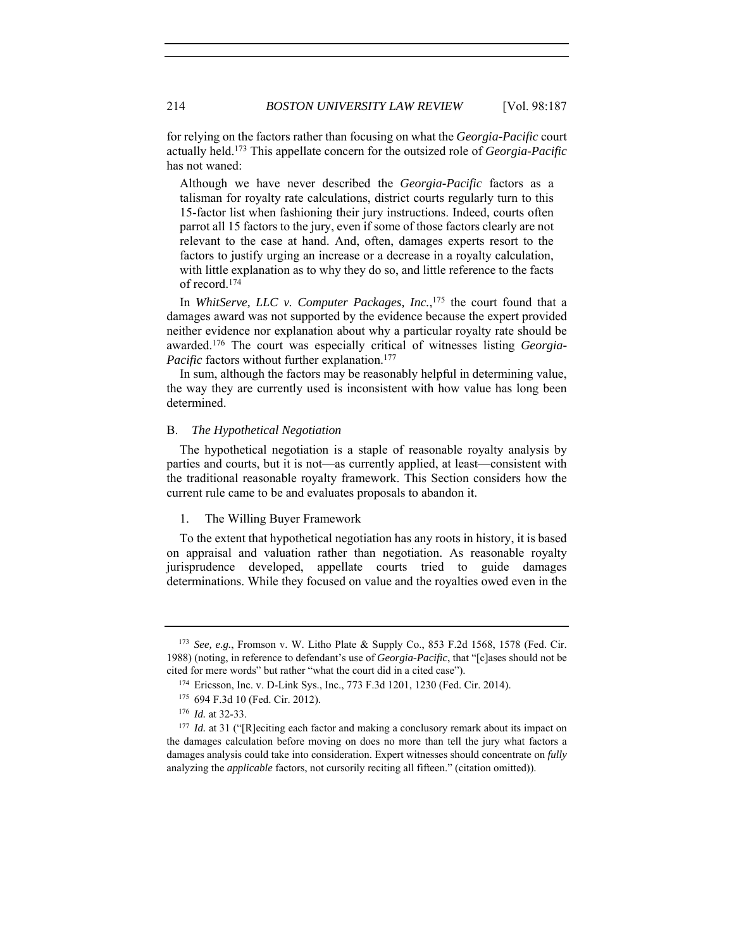for relying on the factors rather than focusing on what the *Georgia-Pacific* court actually held.173 This appellate concern for the outsized role of *Georgia-Pacific* has not waned:

Although we have never described the *Georgia-Pacific* factors as a talisman for royalty rate calculations, district courts regularly turn to this 15-factor list when fashioning their jury instructions. Indeed, courts often parrot all 15 factors to the jury, even if some of those factors clearly are not relevant to the case at hand. And, often, damages experts resort to the factors to justify urging an increase or a decrease in a royalty calculation, with little explanation as to why they do so, and little reference to the facts of record.174

In *WhitServe, LLC v. Computer Packages, Inc.*, 175 the court found that a damages award was not supported by the evidence because the expert provided neither evidence nor explanation about why a particular royalty rate should be awarded.176 The court was especially critical of witnesses listing *Georgia-Pacific* factors without further explanation.<sup>177</sup>

In sum, although the factors may be reasonably helpful in determining value, the way they are currently used is inconsistent with how value has long been determined.

# B. *The Hypothetical Negotiation*

The hypothetical negotiation is a staple of reasonable royalty analysis by parties and courts, but it is not—as currently applied, at least—consistent with the traditional reasonable royalty framework. This Section considers how the current rule came to be and evaluates proposals to abandon it.

# 1. The Willing Buyer Framework

To the extent that hypothetical negotiation has any roots in history, it is based on appraisal and valuation rather than negotiation. As reasonable royalty jurisprudence developed, appellate courts tried to guide damages determinations. While they focused on value and the royalties owed even in the

<sup>173</sup> *See, e.g.*, Fromson v. W. Litho Plate & Supply Co., 853 F.2d 1568, 1578 (Fed. Cir. 1988) (noting, in reference to defendant's use of *Georgia-Pacific*, that "[c]ases should not be cited for mere words" but rather "what the court did in a cited case").

<sup>174</sup> Ericsson, Inc. v. D-Link Sys., Inc., 773 F.3d 1201, 1230 (Fed. Cir. 2014).

<sup>175</sup> 694 F.3d 10 (Fed. Cir. 2012).

<sup>176</sup> *Id.* at 32-33.

<sup>&</sup>lt;sup>177</sup> *Id.* at 31 ("[R]eciting each factor and making a conclusory remark about its impact on the damages calculation before moving on does no more than tell the jury what factors a damages analysis could take into consideration. Expert witnesses should concentrate on *fully* analyzing the *applicable* factors, not cursorily reciting all fifteen." (citation omitted)).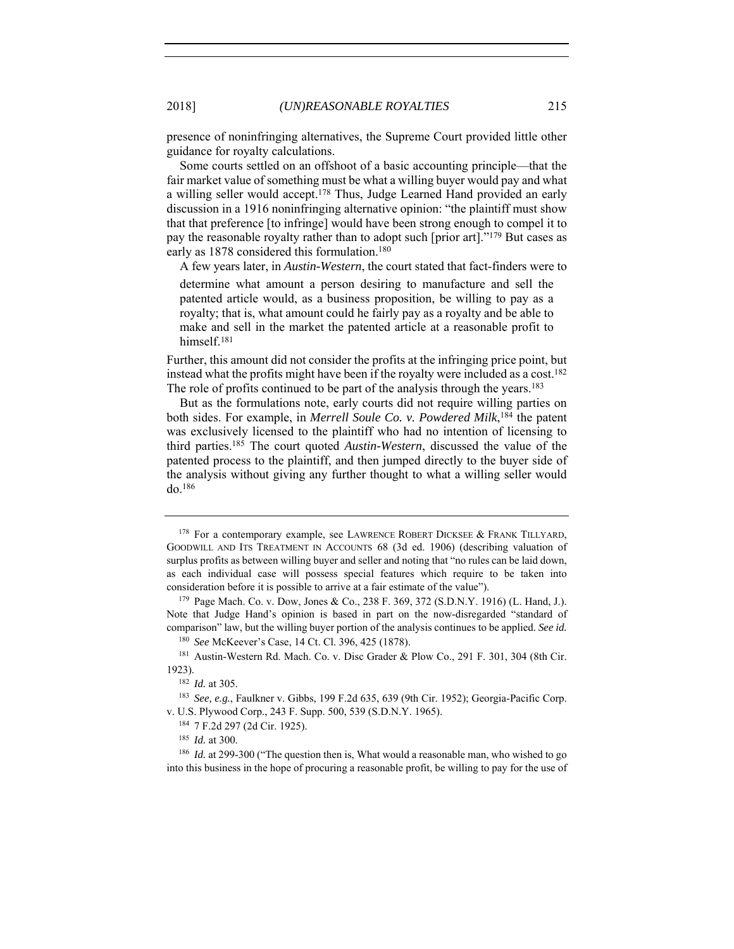presence of noninfringing alternatives, the Supreme Court provided little other guidance for royalty calculations.

Some courts settled on an offshoot of a basic accounting principle—that the fair market value of something must be what a willing buyer would pay and what a willing seller would accept.178 Thus, Judge Learned Hand provided an early discussion in a 1916 noninfringing alternative opinion: "the plaintiff must show that that preference [to infringe] would have been strong enough to compel it to pay the reasonable royalty rather than to adopt such [prior art]."179 But cases as early as 1878 considered this formulation.<sup>180</sup>

A few years later, in *Austin-Western*, the court stated that fact-finders were to

determine what amount a person desiring to manufacture and sell the patented article would, as a business proposition, be willing to pay as a royalty; that is, what amount could he fairly pay as a royalty and be able to make and sell in the market the patented article at a reasonable profit to himself.181

Further, this amount did not consider the profits at the infringing price point, but instead what the profits might have been if the royalty were included as a cost.182 The role of profits continued to be part of the analysis through the years.<sup>183</sup>

But as the formulations note, early courts did not require willing parties on both sides. For example, in *Merrell Soule Co. v. Powdered Milk*, 184 the patent was exclusively licensed to the plaintiff who had no intention of licensing to third parties.185 The court quoted *Austin-Western*, discussed the value of the patented process to the plaintiff, and then jumped directly to the buyer side of the analysis without giving any further thought to what a willing seller would do.186

<sup>&</sup>lt;sup>178</sup> For a contemporary example, see LAWRENCE ROBERT DICKSEE & FRANK TILLYARD, GOODWILL AND ITS TREATMENT IN ACCOUNTS 68 (3d ed. 1906) (describing valuation of surplus profits as between willing buyer and seller and noting that "no rules can be laid down, as each individual case will possess special features which require to be taken into consideration before it is possible to arrive at a fair estimate of the value").<br><sup>179</sup> Page Mach. Co. v. Dow, Jones & Co., 238 F. 369, 372 (S.D.N.Y. 1916) (L. Hand, J.).

Note that Judge Hand's opinion is based in part on the now-disregarded "standard of comparison" law, but the willing buyer portion of the analysis continues to be applied. *See id.*

<sup>180</sup> *See* McKeever's Case, 14 Ct. Cl. 396, 425 (1878).

<sup>181</sup> Austin-Western Rd. Mach. Co. v. Disc Grader & Plow Co., 291 F. 301, 304 (8th Cir. 1923). 182 *Id.* at 305.

<sup>183</sup> *See, e.g.*, Faulkner v. Gibbs, 199 F.2d 635, 639 (9th Cir. 1952); Georgia-Pacific Corp. v. U.S. Plywood Corp., 243 F. Supp. 500, 539 (S.D.N.Y. 1965). 184 7 F.2d 297 (2d Cir. 1925).

<sup>185</sup> *Id.* at 300.

<sup>&</sup>lt;sup>186</sup> *Id.* at 299-300 ("The question then is, What would a reasonable man, who wished to go into this business in the hope of procuring a reasonable profit, be willing to pay for the use of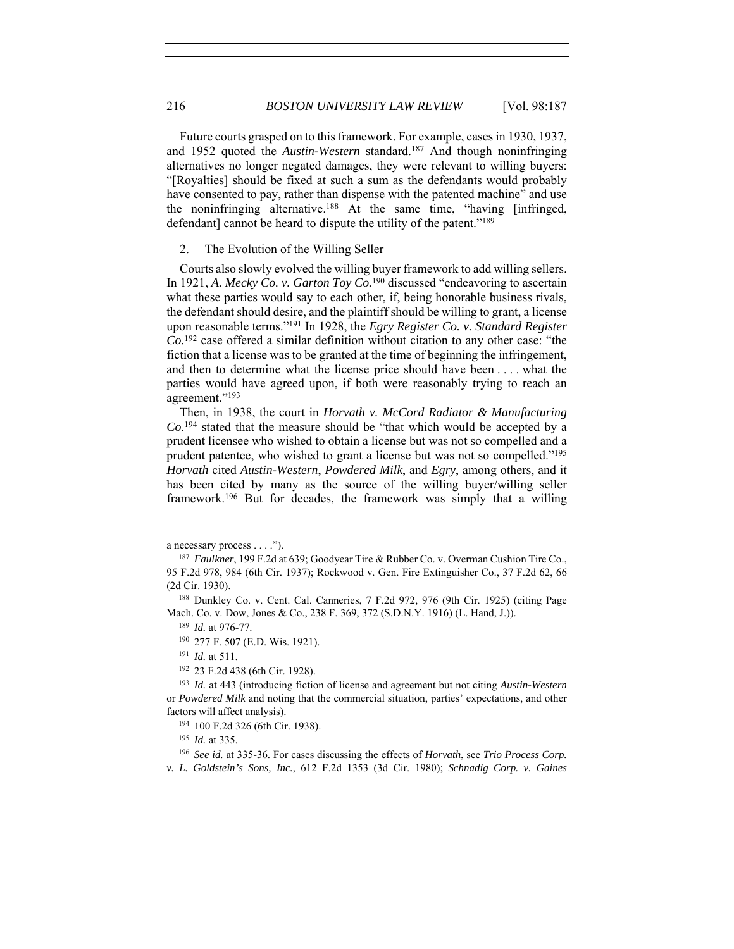Future courts grasped on to this framework. For example, cases in 1930, 1937, and 1952 quoted the *Austin-Western* standard.187 And though noninfringing alternatives no longer negated damages, they were relevant to willing buyers: "[Royalties] should be fixed at such a sum as the defendants would probably have consented to pay, rather than dispense with the patented machine" and use the noninfringing alternative.188 At the same time, "having [infringed, defendant] cannot be heard to dispute the utility of the patent."<sup>189</sup>

2. The Evolution of the Willing Seller

Courts also slowly evolved the willing buyer framework to add willing sellers. In 1921, *A. Mecky Co. v. Garton Toy Co.*<sup>190</sup> discussed "endeavoring to ascertain what these parties would say to each other, if, being honorable business rivals, the defendant should desire, and the plaintiff should be willing to grant, a license upon reasonable terms."191 In 1928, the *Egry Register Co. v. Standard Register Co.*192 case offered a similar definition without citation to any other case: "the fiction that a license was to be granted at the time of beginning the infringement, and then to determine what the license price should have been . . . . what the parties would have agreed upon, if both were reasonably trying to reach an agreement."193

Then, in 1938, the court in *Horvath v. McCord Radiator & Manufacturing Co.*194 stated that the measure should be "that which would be accepted by a prudent licensee who wished to obtain a license but was not so compelled and a prudent patentee, who wished to grant a license but was not so compelled."195 *Horvath* cited *Austin-Western*, *Powdered Milk*, and *Egry*, among others, and it has been cited by many as the source of the willing buyer/willing seller framework.196 But for decades, the framework was simply that a willing

a necessary process . . . .").

<sup>187</sup> *Faulkner*, 199 F.2d at 639; Goodyear Tire & Rubber Co. v. Overman Cushion Tire Co., 95 F.2d 978, 984 (6th Cir. 1937); Rockwood v. Gen. Fire Extinguisher Co., 37 F.2d 62, 66 (2d Cir. 1930). 188 Dunkley Co. v. Cent. Cal. Canneries, 7 F.2d 972, 976 (9th Cir. 1925) (citing Page

Mach. Co. v. Dow, Jones & Co., 238 F. 369, 372 (S.D.N.Y. 1916) (L. Hand, J.)).

<sup>189</sup> *Id.* at 976-77.

<sup>190</sup> 277 F. 507 (E.D. Wis. 1921).

<sup>191</sup> *Id.* at 511.

<sup>192</sup> 23 F.2d 438 (6th Cir. 1928).

<sup>193</sup> *Id.* at 443 (introducing fiction of license and agreement but not citing *Austin-Western* or *Powdered Milk* and noting that the commercial situation, parties' expectations, and other factors will affect analysis). 194 100 F.2d 326 (6th Cir. 1938).

<sup>195</sup> *Id.* at 335.

<sup>196</sup> *See id.* at 335-36. For cases discussing the effects of *Horvath*, see *Trio Process Corp.* 

*v. L. Goldstein's Sons, Inc.*, 612 F.2d 1353 (3d Cir. 1980); *Schnadig Corp. v. Gaines*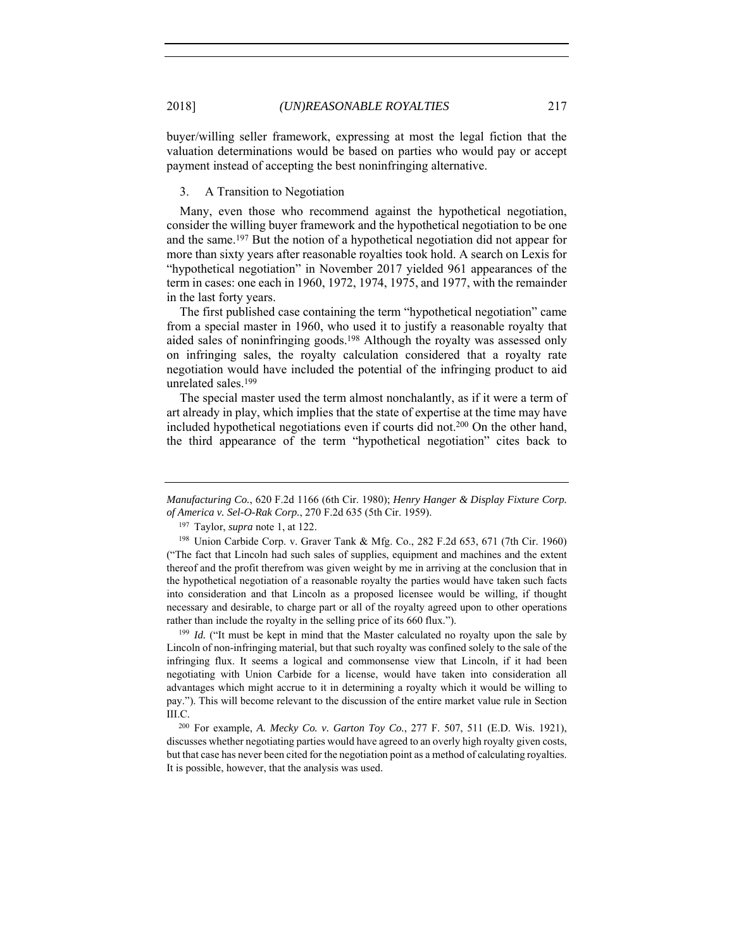buyer/willing seller framework, expressing at most the legal fiction that the valuation determinations would be based on parties who would pay or accept payment instead of accepting the best noninfringing alternative.

# 3. A Transition to Negotiation

Many, even those who recommend against the hypothetical negotiation, consider the willing buyer framework and the hypothetical negotiation to be one and the same.197 But the notion of a hypothetical negotiation did not appear for more than sixty years after reasonable royalties took hold. A search on Lexis for "hypothetical negotiation" in November 2017 yielded 961 appearances of the term in cases: one each in 1960, 1972, 1974, 1975, and 1977, with the remainder in the last forty years.

The first published case containing the term "hypothetical negotiation" came from a special master in 1960, who used it to justify a reasonable royalty that aided sales of noninfringing goods.198 Although the royalty was assessed only on infringing sales, the royalty calculation considered that a royalty rate negotiation would have included the potential of the infringing product to aid unrelated sales.199

The special master used the term almost nonchalantly, as if it were a term of art already in play, which implies that the state of expertise at the time may have included hypothetical negotiations even if courts did not.200 On the other hand, the third appearance of the term "hypothetical negotiation" cites back to

<sup>199</sup> *Id.* ("It must be kept in mind that the Master calculated no royalty upon the sale by Lincoln of non-infringing material, but that such royalty was confined solely to the sale of the infringing flux. It seems a logical and commonsense view that Lincoln, if it had been negotiating with Union Carbide for a license, would have taken into consideration all advantages which might accrue to it in determining a royalty which it would be willing to pay."). This will become relevant to the discussion of the entire market value rule in Section III.C.

<sup>200</sup> For example, *A. Mecky Co. v. Garton Toy Co.*, 277 F. 507, 511 (E.D. Wis. 1921), discusses whether negotiating parties would have agreed to an overly high royalty given costs, but that case has never been cited for the negotiation point as a method of calculating royalties. It is possible, however, that the analysis was used.

*Manufacturing Co.*, 620 F.2d 1166 (6th Cir. 1980); *Henry Hanger & Display Fixture Corp. of America v. Sel-O-Rak Corp.*, 270 F.2d 635 (5th Cir. 1959).

<sup>197</sup> Taylor, *supra* note 1, at 122.

<sup>198</sup> Union Carbide Corp. v. Graver Tank & Mfg. Co., 282 F.2d 653, 671 (7th Cir. 1960) ("The fact that Lincoln had such sales of supplies, equipment and machines and the extent thereof and the profit therefrom was given weight by me in arriving at the conclusion that in the hypothetical negotiation of a reasonable royalty the parties would have taken such facts into consideration and that Lincoln as a proposed licensee would be willing, if thought necessary and desirable, to charge part or all of the royalty agreed upon to other operations rather than include the royalty in the selling price of its 660 flux.").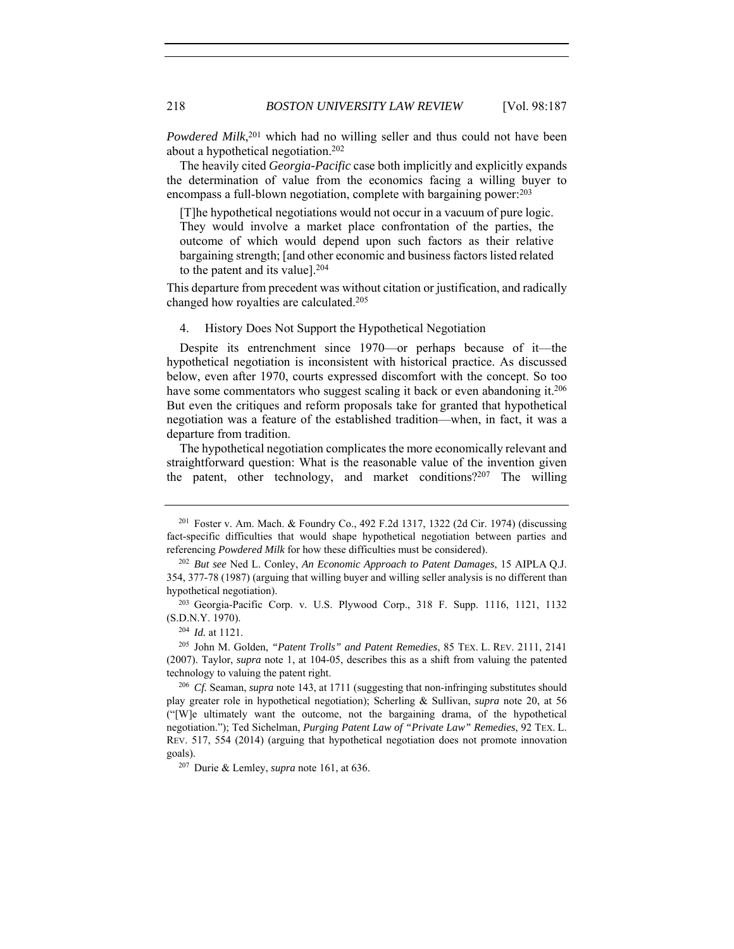Powdered Milk,<sup>201</sup> which had no willing seller and thus could not have been about a hypothetical negotiation.202

The heavily cited *Georgia-Pacific* case both implicitly and explicitly expands the determination of value from the economics facing a willing buyer to encompass a full-blown negotiation, complete with bargaining power:203

[T]he hypothetical negotiations would not occur in a vacuum of pure logic. They would involve a market place confrontation of the parties, the outcome of which would depend upon such factors as their relative bargaining strength; [and other economic and business factors listed related to the patent and its value].204

This departure from precedent was without citation or justification, and radically changed how royalties are calculated.205

4. History Does Not Support the Hypothetical Negotiation

Despite its entrenchment since 1970—or perhaps because of it—the hypothetical negotiation is inconsistent with historical practice. As discussed below, even after 1970, courts expressed discomfort with the concept. So too have some commentators who suggest scaling it back or even abandoning it.<sup>206</sup> But even the critiques and reform proposals take for granted that hypothetical negotiation was a feature of the established tradition—when, in fact, it was a departure from tradition.

The hypothetical negotiation complicates the more economically relevant and straightforward question: What is the reasonable value of the invention given the patent, other technology, and market conditions?207 The willing

<sup>201</sup> Foster v. Am. Mach. & Foundry Co., 492 F.2d 1317, 1322 (2d Cir. 1974) (discussing fact-specific difficulties that would shape hypothetical negotiation between parties and referencing *Powdered Milk* for how these difficulties must be considered).

<sup>202</sup> *But see* Ned L. Conley, *An Economic Approach to Patent Damages*, 15 AIPLA Q.J. 354, 377-78 (1987) (arguing that willing buyer and willing seller analysis is no different than hypothetical negotiation).<br><sup>203</sup> Georgia-Pacific Corp. v. U.S. Plywood Corp., 318 F. Supp. 1116, 1121, 1132

<sup>(</sup>S.D.N.Y. 1970).

<sup>204</sup> *Id.* at 1121. 205 John M. Golden, *"Patent Trolls" and Patent Remedies*, 85 TEX. L. REV. 2111, 2141 (2007). Taylor, *supra* note 1, at 104-05, describes this as a shift from valuing the patented technology to valuing the patent right. 206 *Cf.* Seaman, *supra* note 143, at 1711 (suggesting that non-infringing substitutes should

play greater role in hypothetical negotiation); Scherling & Sullivan, *supra* note 20, at 56 ("[W]e ultimately want the outcome, not the bargaining drama, of the hypothetical negotiation."); Ted Sichelman, *Purging Patent Law of "Private Law" Remedies*, 92 TEX. L. REV. 517, 554 (2014) (arguing that hypothetical negotiation does not promote innovation goals).

<sup>207</sup> Durie & Lemley, *supra* note 161, at 636.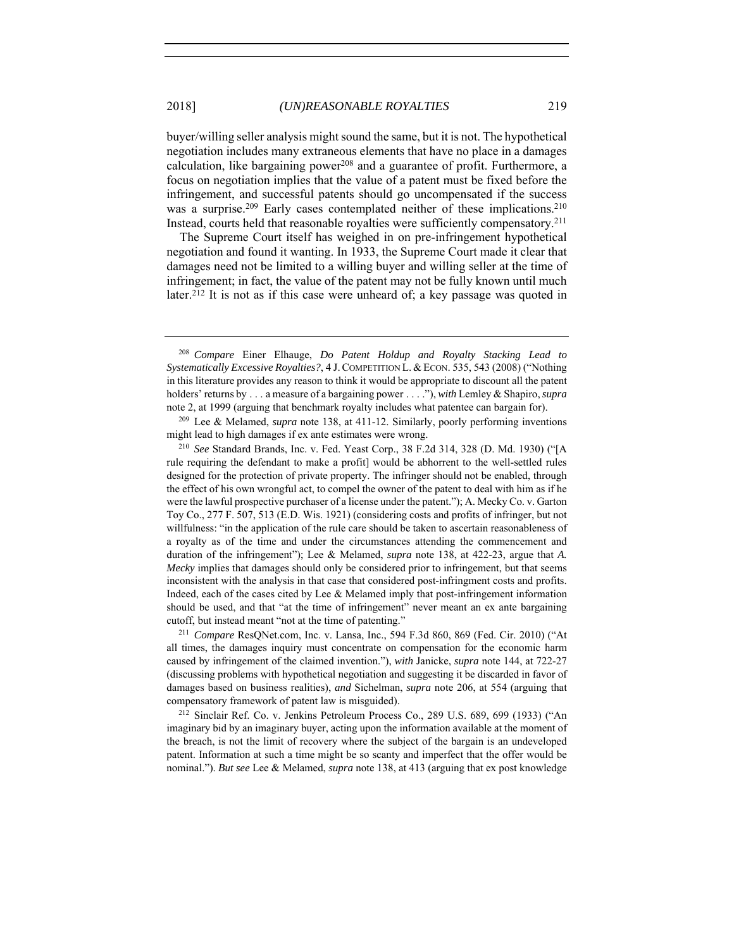buyer/willing seller analysis might sound the same, but it is not. The hypothetical negotiation includes many extraneous elements that have no place in a damages calculation, like bargaining power<sup>208</sup> and a guarantee of profit. Furthermore, a focus on negotiation implies that the value of a patent must be fixed before the infringement, and successful patents should go uncompensated if the success was a surprise.<sup>209</sup> Early cases contemplated neither of these implications.<sup>210</sup> Instead, courts held that reasonable royalties were sufficiently compensatory.211

The Supreme Court itself has weighed in on pre-infringement hypothetical negotiation and found it wanting. In 1933, the Supreme Court made it clear that damages need not be limited to a willing buyer and willing seller at the time of infringement; in fact, the value of the patent may not be fully known until much later.<sup>212</sup> It is not as if this case were unheard of; a key passage was quoted in

<sup>211</sup> *Compare* ResQNet.com, Inc. v. Lansa, Inc., 594 F.3d 860, 869 (Fed. Cir. 2010) ("At all times, the damages inquiry must concentrate on compensation for the economic harm caused by infringement of the claimed invention."), *with* Janicke, *supra* note 144, at 722-27 (discussing problems with hypothetical negotiation and suggesting it be discarded in favor of damages based on business realities), *and* Sichelman, *supra* note 206, at 554 (arguing that compensatory framework of patent law is misguided). 212 Sinclair Ref. Co. v. Jenkins Petroleum Process Co., 289 U.S. 689, 699 (1933) ("An

imaginary bid by an imaginary buyer, acting upon the information available at the moment of the breach, is not the limit of recovery where the subject of the bargain is an undeveloped patent. Information at such a time might be so scanty and imperfect that the offer would be nominal."). *But see* Lee & Melamed, *supra* note 138, at 413 (arguing that ex post knowledge

<sup>208</sup> *Compare* Einer Elhauge, *Do Patent Holdup and Royalty Stacking Lead to Systematically Excessive Royalties?*, 4 J.COMPETITION L. & ECON. 535, 543 (2008) ("Nothing in this literature provides any reason to think it would be appropriate to discount all the patent holders' returns by . . . a measure of a bargaining power . . . ."), *with* Lemley & Shapiro, *supra* note 2, at 1999 (arguing that benchmark royalty includes what patentee can bargain for). 209 Lee & Melamed, *supra* note 138, at 411-12. Similarly, poorly performing inventions

might lead to high damages if ex ante estimates were wrong.

<sup>210</sup> *See* Standard Brands, Inc. v. Fed. Yeast Corp., 38 F.2d 314, 328 (D. Md. 1930) ("[A rule requiring the defendant to make a profit] would be abhorrent to the well-settled rules designed for the protection of private property. The infringer should not be enabled, through the effect of his own wrongful act, to compel the owner of the patent to deal with him as if he were the lawful prospective purchaser of a license under the patent."); A. Mecky Co. v. Garton Toy Co., 277 F. 507, 513 (E.D. Wis. 1921) (considering costs and profits of infringer, but not willfulness: "in the application of the rule care should be taken to ascertain reasonableness of a royalty as of the time and under the circumstances attending the commencement and duration of the infringement"); Lee & Melamed, *supra* note 138, at 422-23, argue that *A. Mecky* implies that damages should only be considered prior to infringement, but that seems inconsistent with the analysis in that case that considered post-infringment costs and profits. Indeed, each of the cases cited by Lee & Melamed imply that post-infringement information should be used, and that "at the time of infringement" never meant an ex ante bargaining cutoff, but instead meant "not at the time of patenting."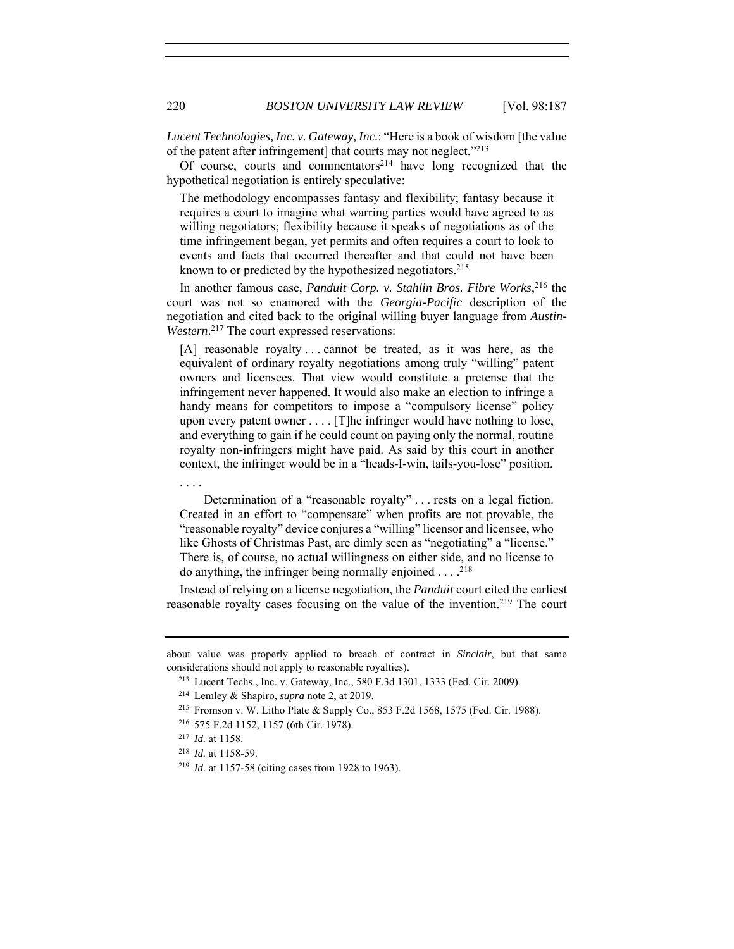*Lucent Technologies, Inc. v. Gateway, Inc.*: "Here is a book of wisdom [the value of the patent after infringement] that courts may not neglect."213

Of course, courts and commentators $2^{14}$  have long recognized that the hypothetical negotiation is entirely speculative:

The methodology encompasses fantasy and flexibility; fantasy because it requires a court to imagine what warring parties would have agreed to as willing negotiators; flexibility because it speaks of negotiations as of the time infringement began, yet permits and often requires a court to look to events and facts that occurred thereafter and that could not have been known to or predicted by the hypothesized negotiators.215

In another famous case, *Panduit Corp. v. Stahlin Bros. Fibre Works*, 216 the court was not so enamored with the *Georgia-Pacific* description of the negotiation and cited back to the original willing buyer language from *Austin-Western*. 217 The court expressed reservations:

[A] reasonable royalty . . . cannot be treated, as it was here, as the equivalent of ordinary royalty negotiations among truly "willing" patent owners and licensees. That view would constitute a pretense that the infringement never happened. It would also make an election to infringe a handy means for competitors to impose a "compulsory license" policy upon every patent owner . . . . [T]he infringer would have nothing to lose, and everything to gain if he could count on paying only the normal, routine royalty non-infringers might have paid. As said by this court in another context, the infringer would be in a "heads-I-win, tails-you-lose" position.

. . . .

 Determination of a "reasonable royalty" . . . rests on a legal fiction. Created in an effort to "compensate" when profits are not provable, the "reasonable royalty" device conjures a "willing" licensor and licensee, who like Ghosts of Christmas Past, are dimly seen as "negotiating" a "license." There is, of course, no actual willingness on either side, and no license to do anything, the infringer being normally enjoined  $\dots$ .<sup>218</sup>

Instead of relying on a license negotiation, the *Panduit* court cited the earliest reasonable royalty cases focusing on the value of the invention. 219 The court

about value was properly applied to breach of contract in *Sinclair*, but that same considerations should not apply to reasonable royalties).

<sup>213</sup> Lucent Techs., Inc. v. Gateway, Inc., 580 F.3d 1301, 1333 (Fed. Cir. 2009).

<sup>214</sup> Lemley & Shapiro, *supra* note 2, at 2019.

<sup>215</sup> Fromson v. W. Litho Plate & Supply Co., 853 F.2d 1568, 1575 (Fed. Cir. 1988).

<sup>216</sup> 575 F.2d 1152, 1157 (6th Cir. 1978).

<sup>217</sup> *Id.* at 1158.

<sup>218</sup> *Id.* at 1158-59.

<sup>219</sup> *Id.* at 1157-58 (citing cases from 1928 to 1963).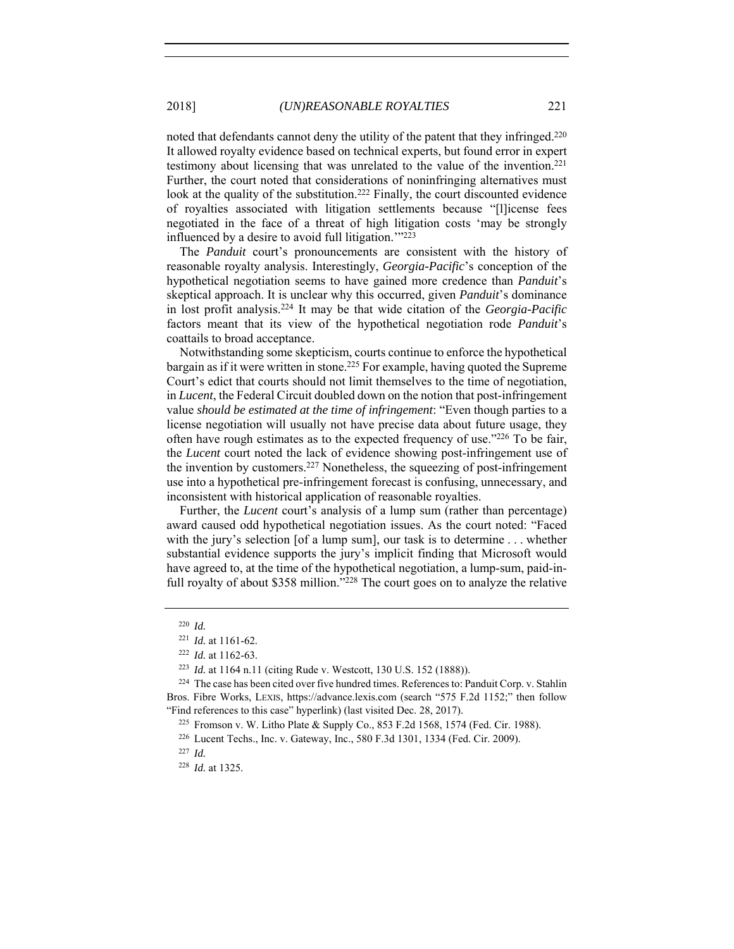noted that defendants cannot deny the utility of the patent that they infringed.220 It allowed royalty evidence based on technical experts, but found error in expert testimony about licensing that was unrelated to the value of the invention.221 Further, the court noted that considerations of noninfringing alternatives must look at the quality of the substitution.<sup>222</sup> Finally, the court discounted evidence of royalties associated with litigation settlements because "[l]icense fees negotiated in the face of a threat of high litigation costs 'may be strongly influenced by a desire to avoid full litigation.'"223

The *Panduit* court's pronouncements are consistent with the history of reasonable royalty analysis. Interestingly, *Georgia-Pacific*'s conception of the hypothetical negotiation seems to have gained more credence than *Panduit*'s skeptical approach. It is unclear why this occurred, given *Panduit*'s dominance in lost profit analysis.224 It may be that wide citation of the *Georgia-Pacific* factors meant that its view of the hypothetical negotiation rode *Panduit*'s coattails to broad acceptance.

Notwithstanding some skepticism, courts continue to enforce the hypothetical bargain as if it were written in stone.<sup>225</sup> For example, having quoted the Supreme Court's edict that courts should not limit themselves to the time of negotiation, in *Lucent*, the Federal Circuit doubled down on the notion that post-infringement value *should be estimated at the time of infringement*: "Even though parties to a license negotiation will usually not have precise data about future usage, they often have rough estimates as to the expected frequency of use."226 To be fair, the *Lucent* court noted the lack of evidence showing post-infringement use of the invention by customers.<sup>227</sup> Nonetheless, the squeezing of post-infringement use into a hypothetical pre-infringement forecast is confusing, unnecessary, and inconsistent with historical application of reasonable royalties.

Further, the *Lucent* court's analysis of a lump sum (rather than percentage) award caused odd hypothetical negotiation issues. As the court noted: "Faced with the jury's selection [of a lump sum], our task is to determine . . . whether substantial evidence supports the jury's implicit finding that Microsoft would have agreed to, at the time of the hypothetical negotiation, a lump-sum, paid-infull royalty of about \$358 million."<sup>228</sup> The court goes on to analyze the relative

<sup>227</sup> *Id.*

<sup>220</sup> *Id.*

<sup>221</sup> *Id.* at 1161-62.

<sup>&</sup>lt;sup>222</sup> *Id.* at 1162-63.<br><sup>223</sup> *Id.* at 1164 n.11 (citing Rude v. Westcott, 130 U.S. 152 (1888)).<br><sup>224</sup> The case has been cited over five hundred times. References to: Panduit Corp. v. Stahlin

Bros. Fibre Works, LEXIS, https://advance.lexis.com (search "575 F.2d 1152;" then follow "Find references to this case" hyperlink) (last visited Dec. 28, 2017).

<sup>225</sup> Fromson v. W. Litho Plate & Supply Co., 853 F.2d 1568, 1574 (Fed. Cir. 1988).

<sup>226</sup> Lucent Techs., Inc. v. Gateway, Inc., 580 F.3d 1301, 1334 (Fed. Cir. 2009).

<sup>228</sup> *Id.* at 1325.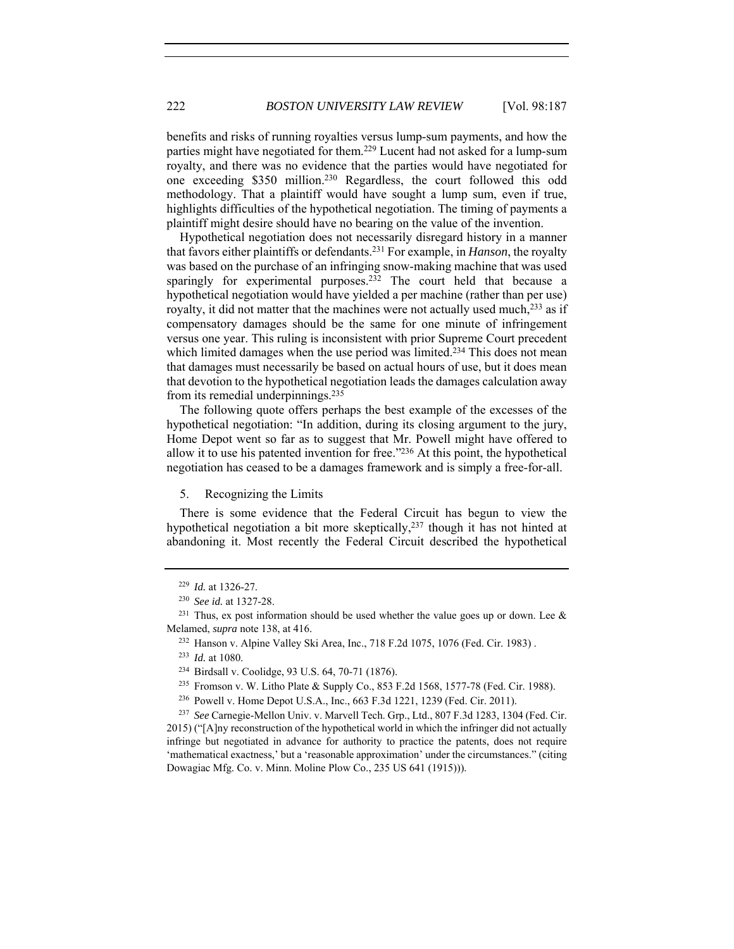benefits and risks of running royalties versus lump-sum payments, and how the parties might have negotiated for them.229 Lucent had not asked for a lump-sum royalty, and there was no evidence that the parties would have negotiated for one exceeding \$350 million.230 Regardless, the court followed this odd methodology. That a plaintiff would have sought a lump sum, even if true, highlights difficulties of the hypothetical negotiation. The timing of payments a plaintiff might desire should have no bearing on the value of the invention.

Hypothetical negotiation does not necessarily disregard history in a manner that favors either plaintiffs or defendants.231 For example, in *Hanson*, the royalty was based on the purchase of an infringing snow-making machine that was used sparingly for experimental purposes.<sup>232</sup> The court held that because a hypothetical negotiation would have yielded a per machine (rather than per use) royalty, it did not matter that the machines were not actually used much,<sup>233</sup> as if compensatory damages should be the same for one minute of infringement versus one year. This ruling is inconsistent with prior Supreme Court precedent which limited damages when the use period was limited.<sup>234</sup> This does not mean that damages must necessarily be based on actual hours of use, but it does mean that devotion to the hypothetical negotiation leads the damages calculation away from its remedial underpinnings.235

The following quote offers perhaps the best example of the excesses of the hypothetical negotiation: "In addition, during its closing argument to the jury, Home Depot went so far as to suggest that Mr. Powell might have offered to allow it to use his patented invention for free."236 At this point, the hypothetical negotiation has ceased to be a damages framework and is simply a free-for-all.

5. Recognizing the Limits

There is some evidence that the Federal Circuit has begun to view the hypothetical negotiation a bit more skeptically,<sup>237</sup> though it has not hinted at abandoning it. Most recently the Federal Circuit described the hypothetical

<sup>229</sup> *Id.* at 1326-27.

<sup>230</sup> *See id.* at 1327-28.

<sup>&</sup>lt;sup>231</sup> Thus, ex post information should be used whether the value goes up or down. Lee  $\&$ Melamed, *supra* note 138, at 416.<br><sup>232</sup> Hanson v. Alpine Valley Ski Area, Inc., 718 F.2d 1075, 1076 (Fed. Cir. 1983).

<sup>233</sup> *Id.* at 1080.

<sup>234</sup> Birdsall v. Coolidge, 93 U.S. 64, 70-71 (1876).

<sup>235</sup> Fromson v. W. Litho Plate & Supply Co., 853 F.2d 1568, 1577-78 (Fed. Cir. 1988).

<sup>236</sup> Powell v. Home Depot U.S.A., Inc., 663 F.3d 1221, 1239 (Fed. Cir. 2011).

<sup>237</sup> *See* Carnegie-Mellon Univ. v. Marvell Tech. Grp., Ltd., 807 F.3d 1283, 1304 (Fed. Cir. 2015) ("[A]ny reconstruction of the hypothetical world in which the infringer did not actually infringe but negotiated in advance for authority to practice the patents, does not require 'mathematical exactness,' but a 'reasonable approximation' under the circumstances." (citing Dowagiac Mfg. Co. v. Minn. Moline Plow Co., 235 US 641 (1915))).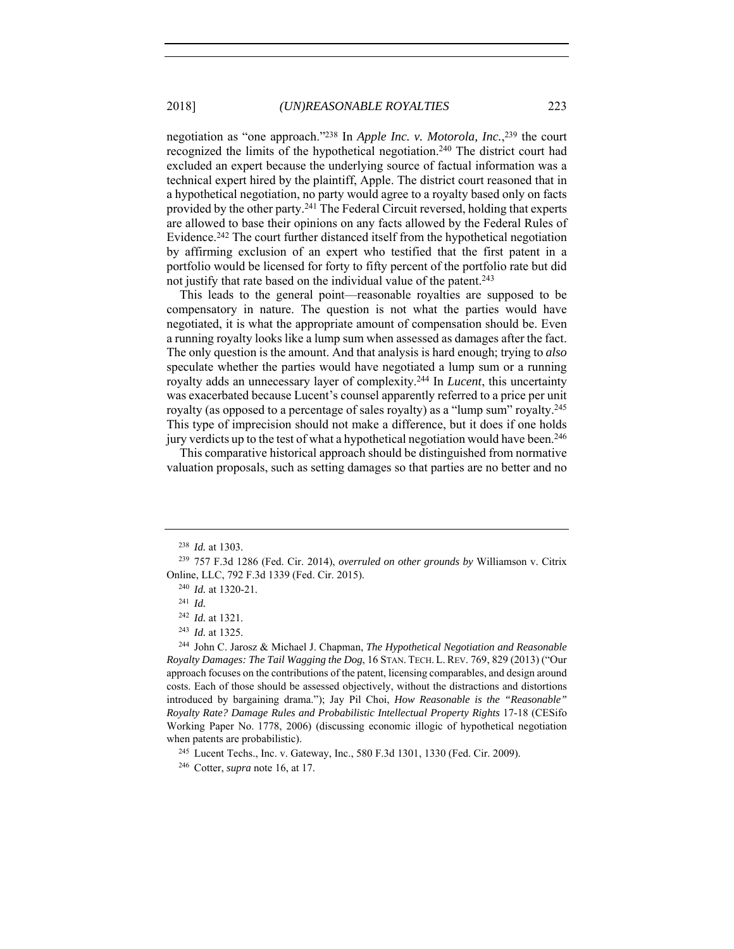negotiation as "one approach."238 In *Apple Inc. v. Motorola, Inc.*, 239 the court recognized the limits of the hypothetical negotiation.240 The district court had excluded an expert because the underlying source of factual information was a technical expert hired by the plaintiff, Apple. The district court reasoned that in a hypothetical negotiation, no party would agree to a royalty based only on facts provided by the other party.<sup>241</sup> The Federal Circuit reversed, holding that experts are allowed to base their opinions on any facts allowed by the Federal Rules of Evidence.242 The court further distanced itself from the hypothetical negotiation by affirming exclusion of an expert who testified that the first patent in a portfolio would be licensed for forty to fifty percent of the portfolio rate but did not justify that rate based on the individual value of the patent.<sup>243</sup>

This leads to the general point—reasonable royalties are supposed to be compensatory in nature. The question is not what the parties would have negotiated, it is what the appropriate amount of compensation should be. Even a running royalty looks like a lump sum when assessed as damages after the fact. The only question is the amount. And that analysis is hard enough; trying to *also* speculate whether the parties would have negotiated a lump sum or a running royalty adds an unnecessary layer of complexity.244 In *Lucent*, this uncertainty was exacerbated because Lucent's counsel apparently referred to a price per unit royalty (as opposed to a percentage of sales royalty) as a "lump sum" royalty.245 This type of imprecision should not make a difference, but it does if one holds jury verdicts up to the test of what a hypothetical negotiation would have been.246

This comparative historical approach should be distinguished from normative valuation proposals, such as setting damages so that parties are no better and no

<sup>245</sup> Lucent Techs., Inc. v. Gateway, Inc., 580 F.3d 1301, 1330 (Fed. Cir. 2009).

<sup>238</sup> *Id.* at 1303.

<sup>239</sup> 757 F.3d 1286 (Fed. Cir. 2014), *overruled on other grounds by* Williamson v. Citrix Online, LLC, 792 F.3d 1339 (Fed. Cir. 2015). 240 *Id.* at 1320-21.

<sup>241</sup> *Id.*

<sup>242</sup> *Id.* at 1321.

<sup>243</sup> *Id.* at 1325. 244 John C. Jarosz & Michael J. Chapman, *The Hypothetical Negotiation and Reasonable Royalty Damages: The Tail Wagging the Dog*, 16 STAN. TECH. L. REV. 769, 829 (2013) ("Our approach focuses on the contributions of the patent, licensing comparables, and design around costs. Each of those should be assessed objectively, without the distractions and distortions introduced by bargaining drama."); Jay Pil Choi, *How Reasonable is the "Reasonable" Royalty Rate? Damage Rules and Probabilistic Intellectual Property Rights* 17-18 (CESifo Working Paper No. 1778, 2006) (discussing economic illogic of hypothetical negotiation when patents are probabilistic).

<sup>246</sup> Cotter, *supra* note 16, at 17.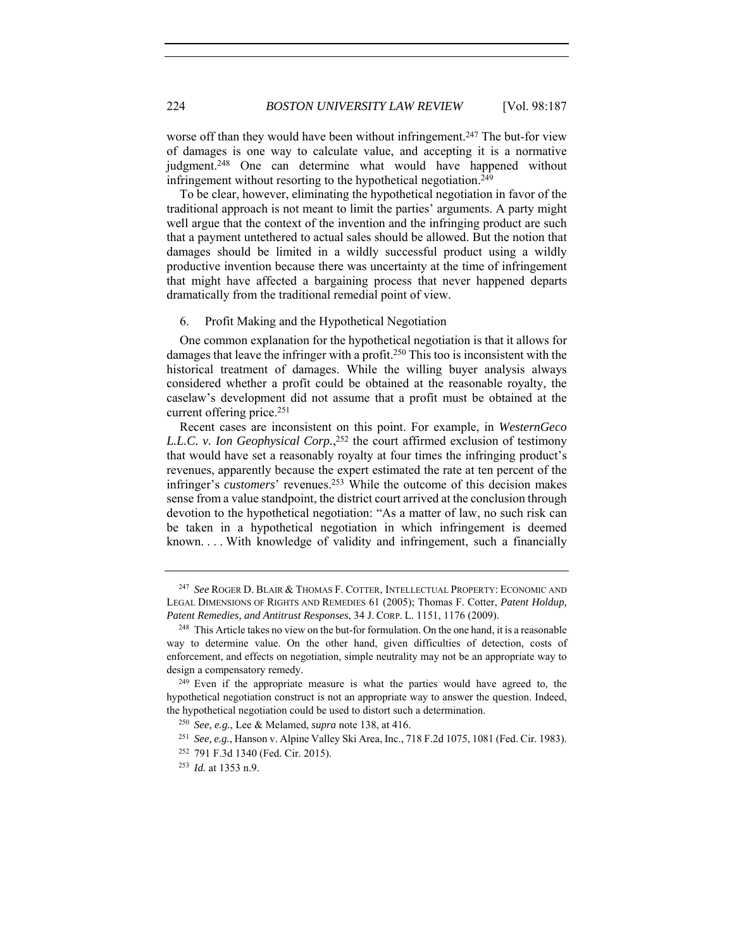worse off than they would have been without infringement.<sup>247</sup> The but-for view of damages is one way to calculate value, and accepting it is a normative judgment.<sup>248</sup> One can determine what would have happened without infringement without resorting to the hypothetical negotiation.<sup>249</sup>

To be clear, however, eliminating the hypothetical negotiation in favor of the traditional approach is not meant to limit the parties' arguments. A party might well argue that the context of the invention and the infringing product are such that a payment untethered to actual sales should be allowed. But the notion that damages should be limited in a wildly successful product using a wildly productive invention because there was uncertainty at the time of infringement that might have affected a bargaining process that never happened departs dramatically from the traditional remedial point of view.

### 6. Profit Making and the Hypothetical Negotiation

One common explanation for the hypothetical negotiation is that it allows for damages that leave the infringer with a profit.<sup>250</sup> This too is inconsistent with the historical treatment of damages. While the willing buyer analysis always considered whether a profit could be obtained at the reasonable royalty, the caselaw's development did not assume that a profit must be obtained at the current offering price.<sup>251</sup>

Recent cases are inconsistent on this point. For example, in *WesternGeco L.L.C. v. Ion Geophysical Corp.*, 252 the court affirmed exclusion of testimony that would have set a reasonably royalty at four times the infringing product's revenues, apparently because the expert estimated the rate at ten percent of the infringer's *customers*' revenues.253 While the outcome of this decision makes sense from a value standpoint, the district court arrived at the conclusion through devotion to the hypothetical negotiation: "As a matter of law, no such risk can be taken in a hypothetical negotiation in which infringement is deemed known. . . . With knowledge of validity and infringement, such a financially

<sup>247</sup> *See* ROGER D. BLAIR & THOMAS F. COTTER, INTELLECTUAL PROPERTY: ECONOMIC AND LEGAL DIMENSIONS OF RIGHTS AND REMEDIES 61 (2005); Thomas F. Cotter, *Patent Holdup, Patent Remedies, and Antitrust Responses*, 34 J. CORP. L. 1151, 1176 (2009).

<sup>&</sup>lt;sup>248</sup> This Article takes no view on the but-for formulation. On the one hand, it is a reasonable way to determine value. On the other hand, given difficulties of detection, costs of enforcement, and effects on negotiation, simple neutrality may not be an appropriate way to design a compensatory remedy.<br><sup>249</sup> Even if the appropriate measure is what the parties would have agreed to, the

hypothetical negotiation construct is not an appropriate way to answer the question. Indeed, the hypothetical negotiation could be used to distort such a determination.

<sup>250</sup> *See, e.g.*, Lee & Melamed, *supra* note 138, at 416.

<sup>251</sup> *See, e.g.*, Hanson v. Alpine Valley Ski Area, Inc., 718 F.2d 1075, 1081 (Fed. Cir. 1983).

<sup>252</sup> 791 F.3d 1340 (Fed. Cir. 2015).

<sup>253</sup> *Id.* at 1353 n.9.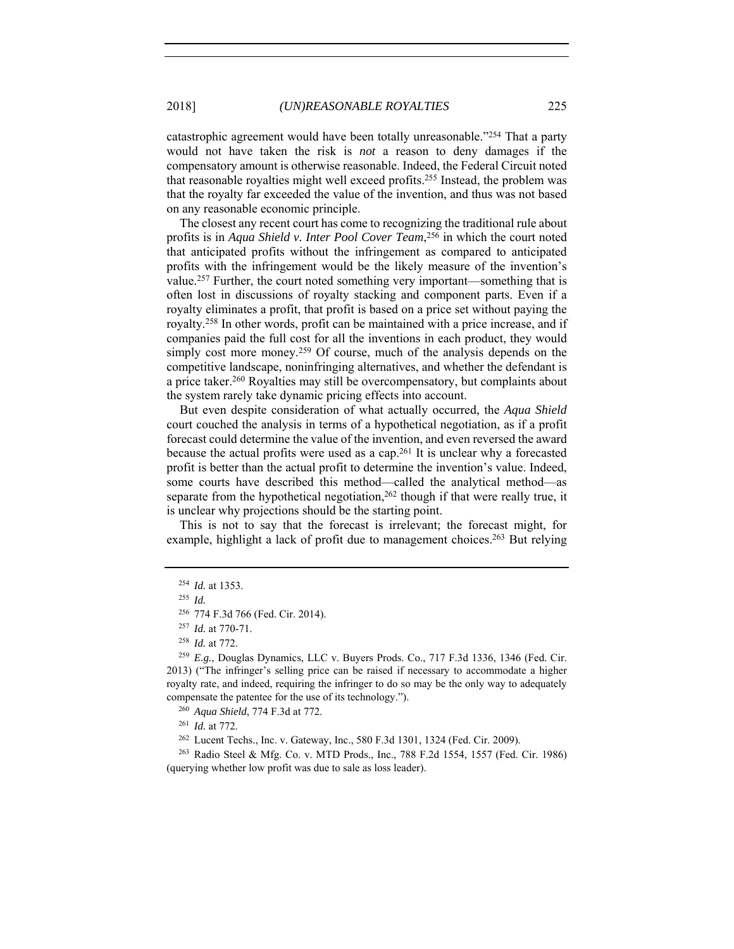catastrophic agreement would have been totally unreasonable."254 That a party would not have taken the risk is *not* a reason to deny damages if the compensatory amount is otherwise reasonable. Indeed, the Federal Circuit noted that reasonable royalties might well exceed profits.255 Instead, the problem was that the royalty far exceeded the value of the invention, and thus was not based on any reasonable economic principle.

The closest any recent court has come to recognizing the traditional rule about profits is in *Aqua Shield v. Inter Pool Cover Team*, 256 in which the court noted that anticipated profits without the infringement as compared to anticipated profits with the infringement would be the likely measure of the invention's value.257 Further, the court noted something very important—something that is often lost in discussions of royalty stacking and component parts. Even if a royalty eliminates a profit, that profit is based on a price set without paying the royalty.258 In other words, profit can be maintained with a price increase, and if companies paid the full cost for all the inventions in each product, they would simply cost more money.<sup>259</sup> Of course, much of the analysis depends on the competitive landscape, noninfringing alternatives, and whether the defendant is a price taker.260 Royalties may still be overcompensatory, but complaints about the system rarely take dynamic pricing effects into account.

But even despite consideration of what actually occurred, the *Aqua Shield* court couched the analysis in terms of a hypothetical negotiation, as if a profit forecast could determine the value of the invention, and even reversed the award because the actual profits were used as a cap.261 It is unclear why a forecasted profit is better than the actual profit to determine the invention's value. Indeed, some courts have described this method—called the analytical method—as separate from the hypothetical negotiation,<sup>262</sup> though if that were really true, it is unclear why projections should be the starting point.

This is not to say that the forecast is irrelevant; the forecast might, for example, highlight a lack of profit due to management choices.263 But relying

<sup>261</sup> *Id.* at 772.

<sup>263</sup> Radio Steel & Mfg. Co. v. MTD Prods., Inc., 788 F.2d 1554, 1557 (Fed. Cir. 1986) (querying whether low profit was due to sale as loss leader).

<sup>254</sup> *Id.* at 1353.

<sup>255</sup> *Id.*

<sup>256</sup> 774 F.3d 766 (Fed. Cir. 2014).

<sup>257</sup> *Id.* at 770-71. 258 *Id.* at 772.

<sup>259</sup> *E.g.*, Douglas Dynamics, LLC v. Buyers Prods. Co., 717 F.3d 1336, 1346 (Fed. Cir. 2013) ("The infringer's selling price can be raised if necessary to accommodate a higher royalty rate, and indeed, requiring the infringer to do so may be the only way to adequately compensate the patentee for the use of its technology."). 260 *Aqua Shield*, 774 F.3d at 772.

<sup>262</sup> Lucent Techs., Inc. v. Gateway, Inc., 580 F.3d 1301, 1324 (Fed. Cir. 2009).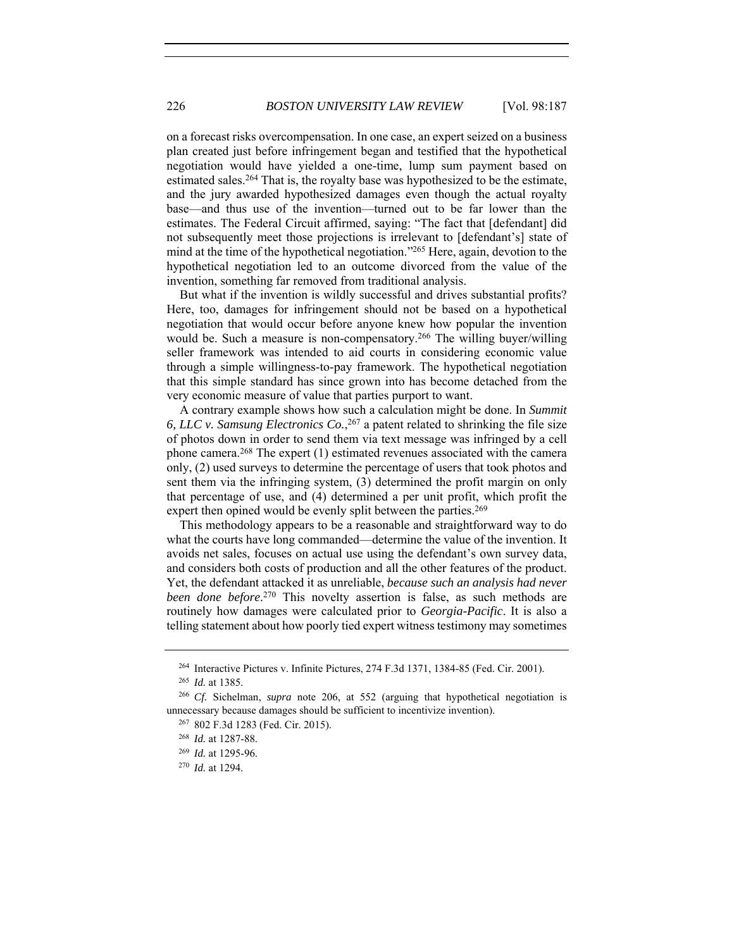on a forecast risks overcompensation. In one case, an expert seized on a business plan created just before infringement began and testified that the hypothetical negotiation would have yielded a one-time, lump sum payment based on estimated sales.<sup>264</sup> That is, the royalty base was hypothesized to be the estimate, and the jury awarded hypothesized damages even though the actual royalty base—and thus use of the invention—turned out to be far lower than the estimates. The Federal Circuit affirmed, saying: "The fact that [defendant] did not subsequently meet those projections is irrelevant to [defendant's] state of mind at the time of the hypothetical negotiation."265 Here, again, devotion to the hypothetical negotiation led to an outcome divorced from the value of the invention, something far removed from traditional analysis.

But what if the invention is wildly successful and drives substantial profits? Here, too, damages for infringement should not be based on a hypothetical negotiation that would occur before anyone knew how popular the invention would be. Such a measure is non-compensatory.<sup>266</sup> The willing buyer/willing seller framework was intended to aid courts in considering economic value through a simple willingness-to-pay framework. The hypothetical negotiation that this simple standard has since grown into has become detached from the very economic measure of value that parties purport to want.

A contrary example shows how such a calculation might be done. In *Summit*  6, LLC v. Samsung Electronics  $Co$ ,  $2^{67}$  a patent related to shrinking the file size of photos down in order to send them via text message was infringed by a cell phone camera.<sup>268</sup> The expert (1) estimated revenues associated with the camera only, (2) used surveys to determine the percentage of users that took photos and sent them via the infringing system, (3) determined the profit margin on only that percentage of use, and (4) determined a per unit profit, which profit the expert then opined would be evenly split between the parties.<sup>269</sup>

This methodology appears to be a reasonable and straightforward way to do what the courts have long commanded—determine the value of the invention. It avoids net sales, focuses on actual use using the defendant's own survey data, and considers both costs of production and all the other features of the product. Yet, the defendant attacked it as unreliable, *because such an analysis had never been done before*. 270 This novelty assertion is false, as such methods are routinely how damages were calculated prior to *Georgia-Pacific*. It is also a telling statement about how poorly tied expert witness testimony may sometimes

<sup>264</sup> Interactive Pictures v. Infinite Pictures, 274 F.3d 1371, 1384-85 (Fed. Cir. 2001).

<sup>265</sup> *Id.* at 1385.

<sup>266</sup> *Cf.* Sichelman, *supra* note 206, at 552 (arguing that hypothetical negotiation is unnecessary because damages should be sufficient to incentivize invention).

<sup>267</sup> 802 F.3d 1283 (Fed. Cir. 2015).

<sup>268</sup> *Id.* at 1287-88.

<sup>269</sup> *Id.* at 1295-96.

<sup>270</sup> *Id.* at 1294.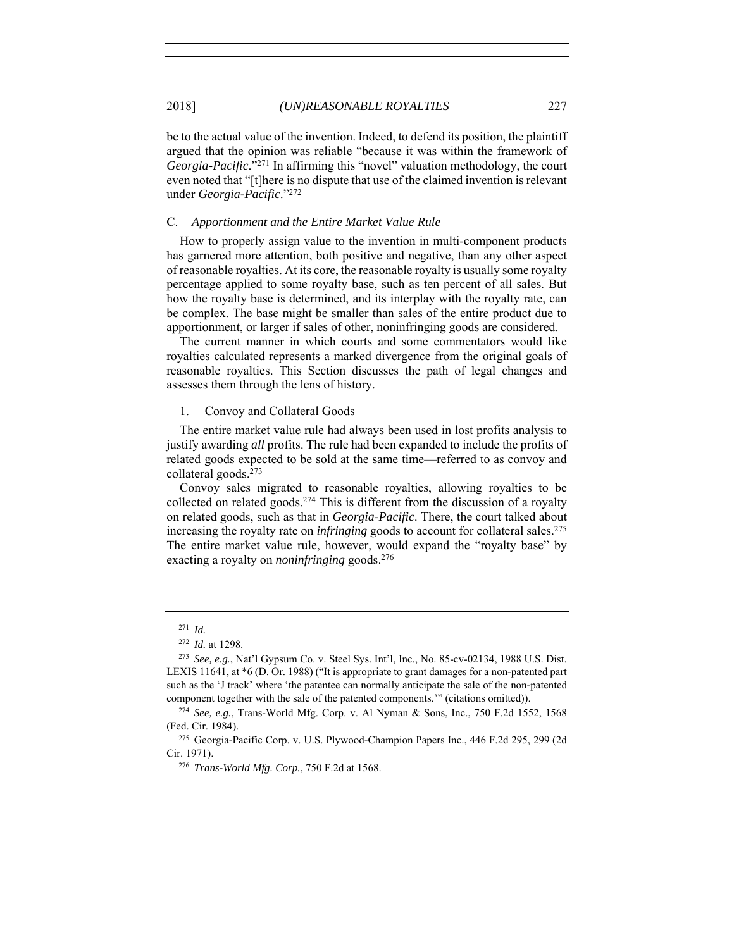be to the actual value of the invention. Indeed, to defend its position, the plaintiff argued that the opinion was reliable "because it was within the framework of *Georgia-Pacific*."271 In affirming this "novel" valuation methodology, the court even noted that "[t]here is no dispute that use of the claimed invention is relevant under *Georgia-Pacific*."272

### C. *Apportionment and the Entire Market Value Rule*

How to properly assign value to the invention in multi-component products has garnered more attention, both positive and negative, than any other aspect of reasonable royalties. At its core, the reasonable royalty is usually some royalty percentage applied to some royalty base, such as ten percent of all sales. But how the royalty base is determined, and its interplay with the royalty rate, can be complex. The base might be smaller than sales of the entire product due to apportionment, or larger if sales of other, noninfringing goods are considered.

The current manner in which courts and some commentators would like royalties calculated represents a marked divergence from the original goals of reasonable royalties. This Section discusses the path of legal changes and assesses them through the lens of history.

### 1. Convoy and Collateral Goods

The entire market value rule had always been used in lost profits analysis to justify awarding *all* profits. The rule had been expanded to include the profits of related goods expected to be sold at the same time—referred to as convoy and collateral goods.273

Convoy sales migrated to reasonable royalties, allowing royalties to be collected on related goods.<sup>274</sup> This is different from the discussion of a royalty on related goods, such as that in *Georgia-Pacific*. There, the court talked about increasing the royalty rate on *infringing* goods to account for collateral sales.275 The entire market value rule, however, would expand the "royalty base" by exacting a royalty on *noninfringing* goods.276

<sup>271</sup> *Id.*

<sup>&</sup>lt;sup>272</sup> *Id.* at 1298.<br><sup>273</sup> *See, e.g.*, Nat'l Gypsum Co. v. Steel Sys. Int'l, Inc., No. 85-cv-02134, 1988 U.S. Dist. LEXIS 11641, at \*6 (D. Or. 1988) ("It is appropriate to grant damages for a non-patented part such as the 'J track' where 'the patentee can normally anticipate the sale of the non-patented component together with the sale of the patented components.'" (citations omitted)). 274 *See, e.g.*, Trans-World Mfg. Corp. v. Al Nyman & Sons, Inc., 750 F.2d 1552, 1568

<sup>(</sup>Fed. Cir. 1984). 275 Georgia-Pacific Corp. v. U.S. Plywood-Champion Papers Inc., 446 F.2d 295, 299 (2d

Cir. 1971).

<sup>276</sup> *Trans-World Mfg. Corp.*, 750 F.2d at 1568.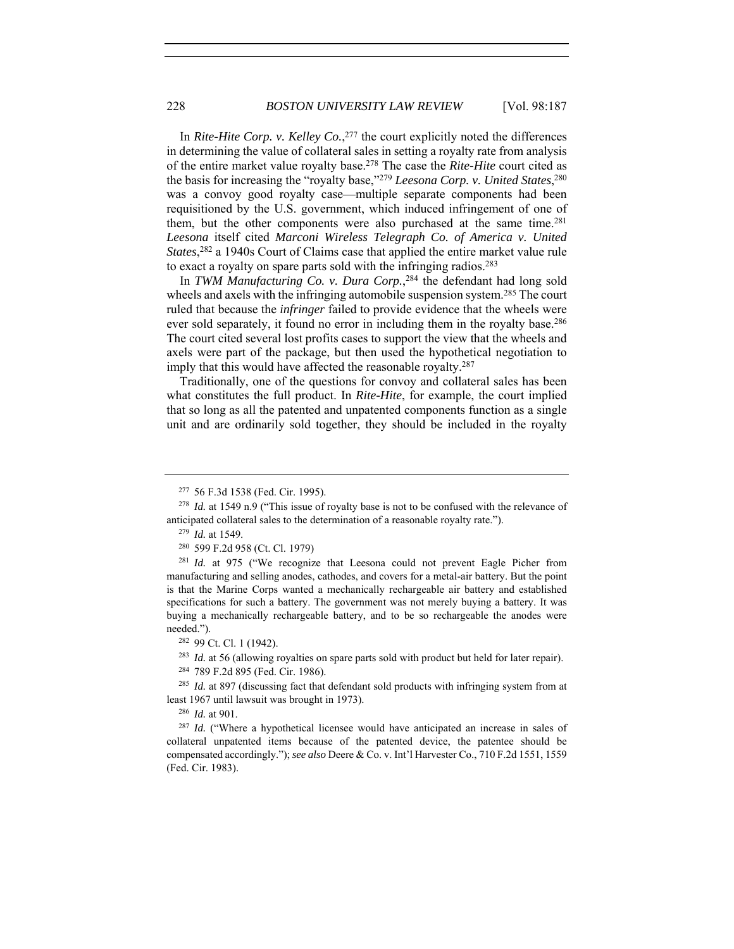In *Rite-Hite Corp. v. Kelley Co.*, 277 the court explicitly noted the differences in determining the value of collateral sales in setting a royalty rate from analysis of the entire market value royalty base.278 The case the *Rite-Hite* court cited as the basis for increasing the "royalty base,"279 *Leesona Corp. v. United States*, 280 was a convoy good royalty case—multiple separate components had been requisitioned by the U.S. government, which induced infringement of one of them, but the other components were also purchased at the same time.<sup>281</sup> *Leesona* itself cited *Marconi Wireless Telegraph Co. of America v. United States*, 282 a 1940s Court of Claims case that applied the entire market value rule to exact a royalty on spare parts sold with the infringing radios.283

In *TWM Manufacturing Co. v. Dura Corp.*, 284 the defendant had long sold wheels and axels with the infringing automobile suspension system.<sup>285</sup> The court ruled that because the *infringer* failed to provide evidence that the wheels were ever sold separately, it found no error in including them in the royalty base.<sup>286</sup> The court cited several lost profits cases to support the view that the wheels and axels were part of the package, but then used the hypothetical negotiation to imply that this would have affected the reasonable royalty.<sup>287</sup>

Traditionally, one of the questions for convoy and collateral sales has been what constitutes the full product. In *Rite-Hite*, for example, the court implied that so long as all the patented and unpatented components function as a single unit and are ordinarily sold together, they should be included in the royalty

<sup>&</sup>lt;sup>277</sup> 56 F.3d 1538 (Fed. Cir. 1995).<br><sup>278</sup> *Id.* at 1549 n.9 ("This issue of royalty base is not to be confused with the relevance of anticipated collateral sales to the determination of a reasonable royalty rate.").

<sup>279</sup> *Id.* at 1549.

<sup>280</sup> 599 F.2d 958 (Ct. Cl. 1979)

<sup>&</sup>lt;sup>281</sup> *Id.* at 975 ("We recognize that Leesona could not prevent Eagle Picher from manufacturing and selling anodes, cathodes, and covers for a metal-air battery. But the point is that the Marine Corps wanted a mechanically rechargeable air battery and established specifications for such a battery. The government was not merely buying a battery. It was buying a mechanically rechargeable battery, and to be so rechargeable the anodes were needed.").<br><sup>282</sup> 99 Ct. Cl. 1 (1942).

<sup>&</sup>lt;sup>283</sup> *Id.* at 56 (allowing royalties on spare parts sold with product but held for later repair). <sup>284</sup> 789 F.2d 895 (Fed. Cir. 1986).

<sup>&</sup>lt;sup>285</sup> *Id.* at 897 (discussing fact that defendant sold products with infringing system from at least 1967 until lawsuit was brought in 1973).

<sup>286</sup> *Id.* at 901.

<sup>&</sup>lt;sup>287</sup> *Id.* ("Where a hypothetical licensee would have anticipated an increase in sales of collateral unpatented items because of the patented device, the patentee should be compensated accordingly."); *see also* Deere & Co. v. Int'l Harvester Co., 710 F.2d 1551, 1559 (Fed. Cir. 1983).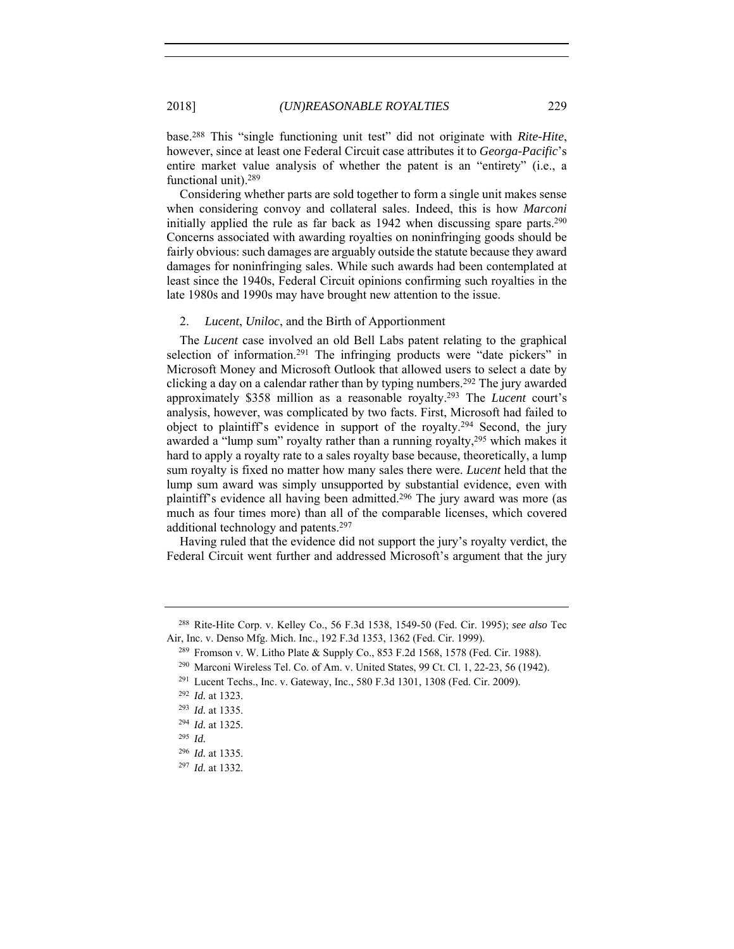base.288 This "single functioning unit test" did not originate with *Rite-Hite*, however, since at least one Federal Circuit case attributes it to *Georga-Pacific*'s entire market value analysis of whether the patent is an "entirety" (i.e., a functional unit).289

Considering whether parts are sold together to form a single unit makes sense when considering convoy and collateral sales. Indeed, this is how *Marconi* initially applied the rule as far back as 1942 when discussing spare parts.<sup>290</sup> Concerns associated with awarding royalties on noninfringing goods should be fairly obvious: such damages are arguably outside the statute because they award damages for noninfringing sales. While such awards had been contemplated at least since the 1940s, Federal Circuit opinions confirming such royalties in the late 1980s and 1990s may have brought new attention to the issue.

### 2. *Lucent*, *Uniloc*, and the Birth of Apportionment

The *Lucent* case involved an old Bell Labs patent relating to the graphical selection of information.<sup>291</sup> The infringing products were "date pickers" in Microsoft Money and Microsoft Outlook that allowed users to select a date by clicking a day on a calendar rather than by typing numbers.292 The jury awarded approximately \$358 million as a reasonable royalty.293 The *Lucent* court's analysis, however, was complicated by two facts. First, Microsoft had failed to object to plaintiff's evidence in support of the royalty.294 Second, the jury awarded a "lump sum" royalty rather than a running royalty,<sup>295</sup> which makes it hard to apply a royalty rate to a sales royalty base because, theoretically, a lump sum royalty is fixed no matter how many sales there were. *Lucent* held that the lump sum award was simply unsupported by substantial evidence, even with plaintiff's evidence all having been admitted.296 The jury award was more (as much as four times more) than all of the comparable licenses, which covered additional technology and patents.297

Having ruled that the evidence did not support the jury's royalty verdict, the Federal Circuit went further and addressed Microsoft's argument that the jury

<sup>288</sup> Rite-Hite Corp. v. Kelley Co., 56 F.3d 1538, 1549-50 (Fed. Cir. 1995); *see also* Tec Air, Inc. v. Denso Mfg. Mich. Inc., 192 F.3d 1353, 1362 (Fed. Cir. 1999).

<sup>289</sup> Fromson v. W. Litho Plate & Supply Co., 853 F.2d 1568, 1578 (Fed. Cir. 1988).

<sup>290</sup> Marconi Wireless Tel. Co. of Am. v. United States, 99 Ct. Cl. 1, 22-23, 56 (1942).

<sup>291</sup> Lucent Techs., Inc. v. Gateway, Inc., 580 F.3d 1301, 1308 (Fed. Cir. 2009).

<sup>292</sup> *Id.* at 1323.

<sup>293</sup> *Id.* at 1335.

<sup>294</sup> *Id.* at 1325.

<sup>295</sup> *Id.*

<sup>296</sup> *Id.* at 1335.

<sup>297</sup> *Id.* at 1332.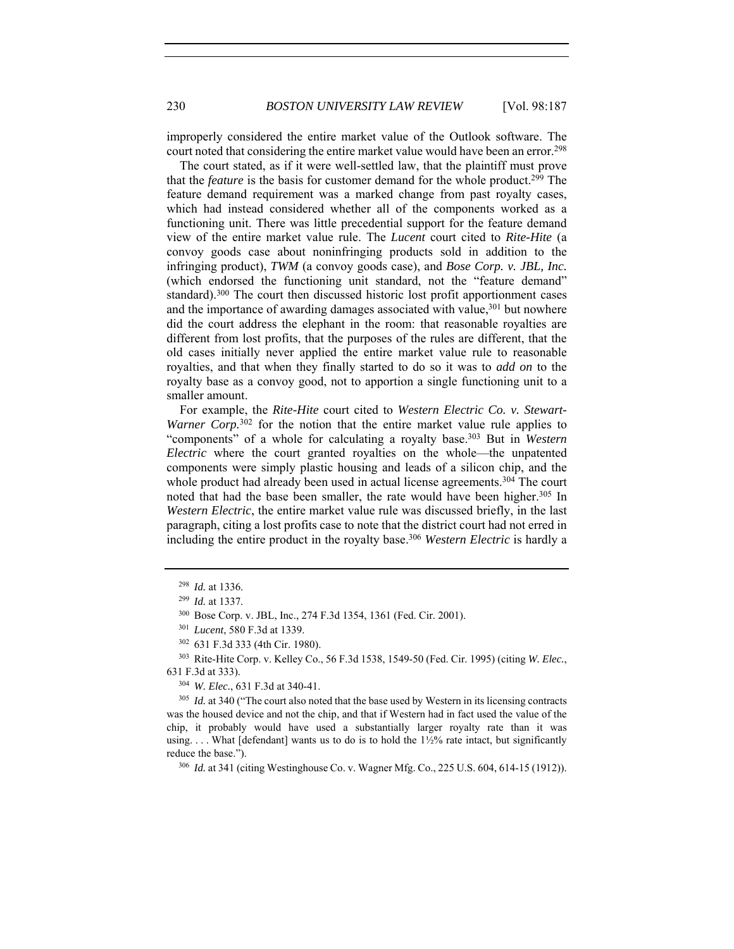improperly considered the entire market value of the Outlook software. The court noted that considering the entire market value would have been an error.298

The court stated, as if it were well-settled law, that the plaintiff must prove that the *feature* is the basis for customer demand for the whole product.299 The feature demand requirement was a marked change from past royalty cases, which had instead considered whether all of the components worked as a functioning unit. There was little precedential support for the feature demand view of the entire market value rule. The *Lucent* court cited to *Rite-Hite* (a convoy goods case about noninfringing products sold in addition to the infringing product), *TWM* (a convoy goods case), and *Bose Corp. v. JBL, Inc.* (which endorsed the functioning unit standard, not the "feature demand" standard).300 The court then discussed historic lost profit apportionment cases and the importance of awarding damages associated with value,<sup>301</sup> but nowhere did the court address the elephant in the room: that reasonable royalties are different from lost profits, that the purposes of the rules are different, that the old cases initially never applied the entire market value rule to reasonable royalties, and that when they finally started to do so it was to *add on* to the royalty base as a convoy good, not to apportion a single functioning unit to a smaller amount.

For example, the *Rite-Hite* court cited to *Western Electric Co. v. Stewart-Warner Corp.*<sup>302</sup> for the notion that the entire market value rule applies to "components" of a whole for calculating a royalty base.303 But in *Western Electric* where the court granted royalties on the whole—the unpatented components were simply plastic housing and leads of a silicon chip, and the whole product had already been used in actual license agreements.<sup>304</sup> The court noted that had the base been smaller, the rate would have been higher.<sup>305</sup> In *Western Electric*, the entire market value rule was discussed briefly, in the last paragraph, citing a lost profits case to note that the district court had not erred in including the entire product in the royalty base.306 *Western Electric* is hardly a

<sup>305</sup> *Id.* at 340 ("The court also noted that the base used by Western in its licensing contracts was the housed device and not the chip, and that if Western had in fact used the value of the chip, it probably would have used a substantially larger royalty rate than it was using.  $\dots$  What [defendant] wants us to do is to hold the  $1\frac{1}{2}\%$  rate intact, but significantly reduce the base.").

<sup>306</sup> *Id.* at 341 (citing Westinghouse Co. v. Wagner Mfg. Co., 225 U.S. 604, 614-15 (1912)).

<sup>298</sup> *Id.* at 1336.

<sup>299</sup> *Id.* at 1337.

<sup>300</sup> Bose Corp. v. JBL, Inc., 274 F.3d 1354, 1361 (Fed. Cir. 2001).

<sup>301</sup> *Lucent*, 580 F.3d at 1339.

<sup>302</sup> 631 F.3d 333 (4th Cir. 1980). 303 Rite-Hite Corp. v. Kelley Co., 56 F.3d 1538, 1549-50 (Fed. Cir. 1995) (citing *W. Elec.*, 631 F.3d at 333). 304 *W. Elec.*, 631 F.3d at 340-41.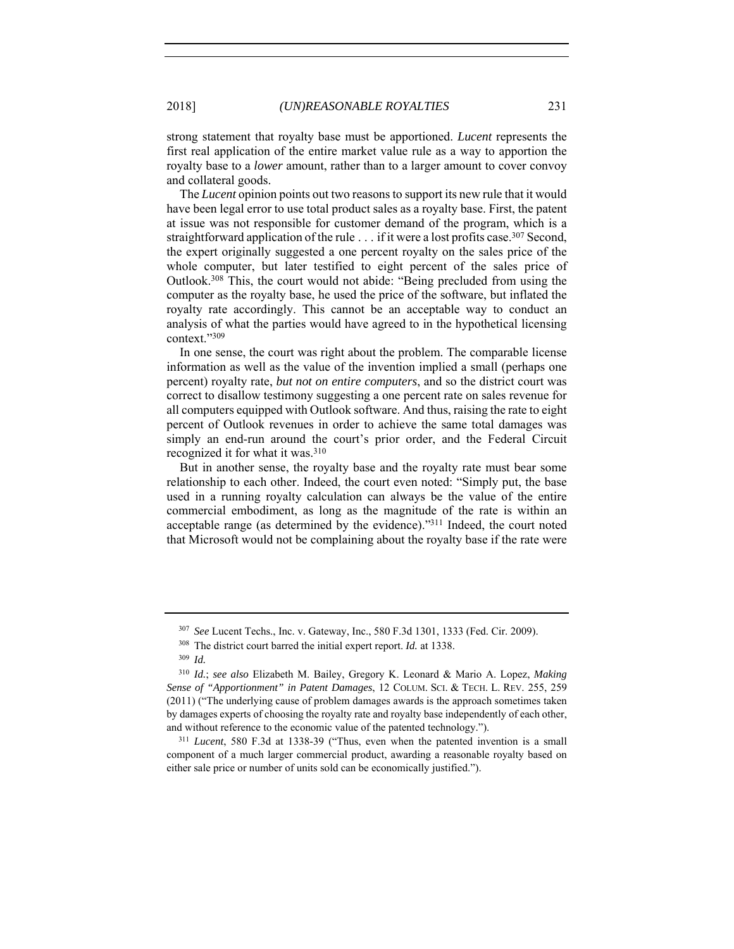strong statement that royalty base must be apportioned. *Lucent* represents the first real application of the entire market value rule as a way to apportion the royalty base to a *lower* amount, rather than to a larger amount to cover convoy and collateral goods.

The *Lucent* opinion points out two reasons to support its new rule that it would have been legal error to use total product sales as a royalty base. First, the patent at issue was not responsible for customer demand of the program, which is a straightforward application of the rule  $\ldots$  if it were a lost profits case.<sup>307</sup> Second, the expert originally suggested a one percent royalty on the sales price of the whole computer, but later testified to eight percent of the sales price of Outlook.308 This, the court would not abide: "Being precluded from using the computer as the royalty base, he used the price of the software, but inflated the royalty rate accordingly. This cannot be an acceptable way to conduct an analysis of what the parties would have agreed to in the hypothetical licensing context."309

In one sense, the court was right about the problem. The comparable license information as well as the value of the invention implied a small (perhaps one percent) royalty rate, *but not on entire computers*, and so the district court was correct to disallow testimony suggesting a one percent rate on sales revenue for all computers equipped with Outlook software. And thus, raising the rate to eight percent of Outlook revenues in order to achieve the same total damages was simply an end-run around the court's prior order, and the Federal Circuit recognized it for what it was.310

But in another sense, the royalty base and the royalty rate must bear some relationship to each other. Indeed, the court even noted: "Simply put, the base used in a running royalty calculation can always be the value of the entire commercial embodiment, as long as the magnitude of the rate is within an acceptable range (as determined by the evidence)."311 Indeed, the court noted that Microsoft would not be complaining about the royalty base if the rate were

<sup>307</sup> *See* Lucent Techs., Inc. v. Gateway, Inc., 580 F.3d 1301, 1333 (Fed. Cir. 2009).

<sup>308</sup> The district court barred the initial expert report. *Id.* at 1338.

<sup>309</sup> *Id.*

<sup>310</sup> *Id.*; *see also* Elizabeth M. Bailey, Gregory K. Leonard & Mario A. Lopez, *Making Sense of "Apportionment" in Patent Damages*, 12 COLUM. SCI. & TECH. L. REV. 255, 259 (2011) ("The underlying cause of problem damages awards is the approach sometimes taken by damages experts of choosing the royalty rate and royalty base independently of each other, and without reference to the economic value of the patented technology."). 311 *Lucent*, 580 F.3d at 1338-39 ("Thus, even when the patented invention is a small

component of a much larger commercial product, awarding a reasonable royalty based on either sale price or number of units sold can be economically justified.").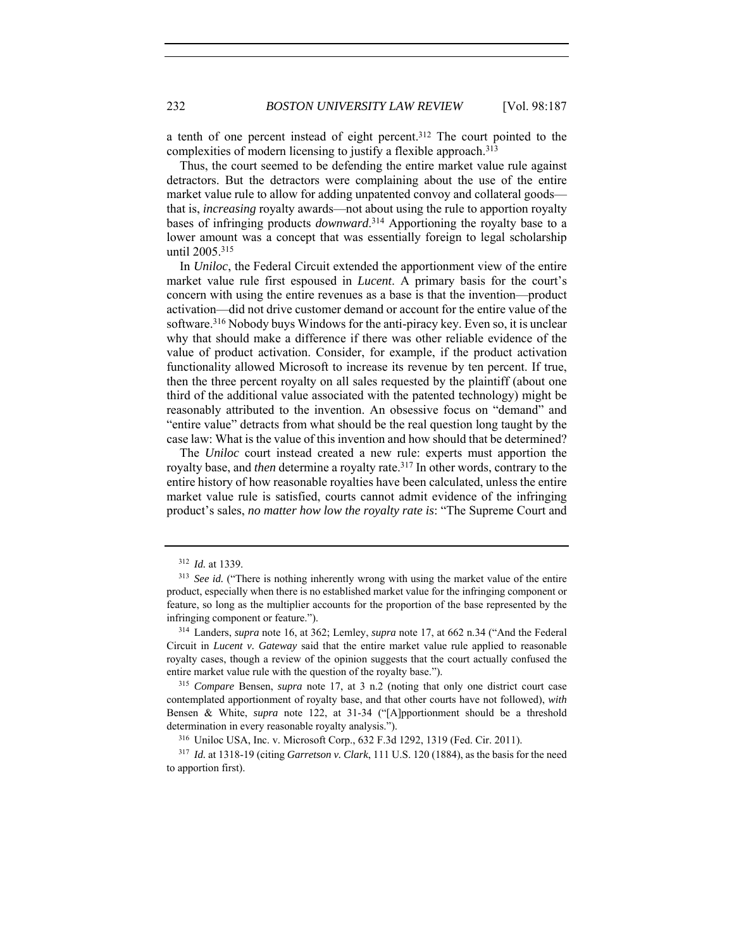a tenth of one percent instead of eight percent.312 The court pointed to the complexities of modern licensing to justify a flexible approach. 313

Thus, the court seemed to be defending the entire market value rule against detractors. But the detractors were complaining about the use of the entire market value rule to allow for adding unpatented convoy and collateral goods that is, *increasing* royalty awards—not about using the rule to apportion royalty bases of infringing products *downward*. 314 Apportioning the royalty base to a lower amount was a concept that was essentially foreign to legal scholarship until 2005.315

In *Uniloc*, the Federal Circuit extended the apportionment view of the entire market value rule first espoused in *Lucent*. A primary basis for the court's concern with using the entire revenues as a base is that the invention—product activation—did not drive customer demand or account for the entire value of the software.<sup>316</sup> Nobody buys Windows for the anti-piracy key. Even so, it is unclear why that should make a difference if there was other reliable evidence of the value of product activation. Consider, for example, if the product activation functionality allowed Microsoft to increase its revenue by ten percent. If true, then the three percent royalty on all sales requested by the plaintiff (about one third of the additional value associated with the patented technology) might be reasonably attributed to the invention. An obsessive focus on "demand" and "entire value" detracts from what should be the real question long taught by the case law: What is the value of this invention and how should that be determined?

The *Uniloc* court instead created a new rule: experts must apportion the royalty base, and *then* determine a royalty rate.317 In other words, contrary to the entire history of how reasonable royalties have been calculated, unless the entire market value rule is satisfied, courts cannot admit evidence of the infringing product's sales, *no matter how low the royalty rate is*: "The Supreme Court and

<sup>312</sup> *Id.* at 1339.

<sup>&</sup>lt;sup>313</sup> See id. ("There is nothing inherently wrong with using the market value of the entire product, especially when there is no established market value for the infringing component or feature, so long as the multiplier accounts for the proportion of the base represented by the infringing component or feature."). 314 Landers, *supra* note 16, at 362; Lemley, *supra* note 17, at 662 n.34 ("And the Federal

Circuit in *Lucent v. Gateway* said that the entire market value rule applied to reasonable royalty cases, though a review of the opinion suggests that the court actually confused the entire market value rule with the question of the royalty base."). 315 *Compare* Bensen, *supra* note 17, at 3 n.2 (noting that only one district court case

contemplated apportionment of royalty base, and that other courts have not followed), *with* Bensen & White, *supra* note 122, at 31-34 ("[A]pportionment should be a threshold determination in every reasonable royalty analysis.").<br><sup>316</sup> Uniloc USA, Inc. v. Microsoft Corp., 632 F.3d 1292, 1319 (Fed. Cir. 2011).

<sup>317</sup> *Id.* at 1318-19 (citing *Garretson v. Clark*, 111 U.S. 120 (1884), as the basis for the need to apportion first).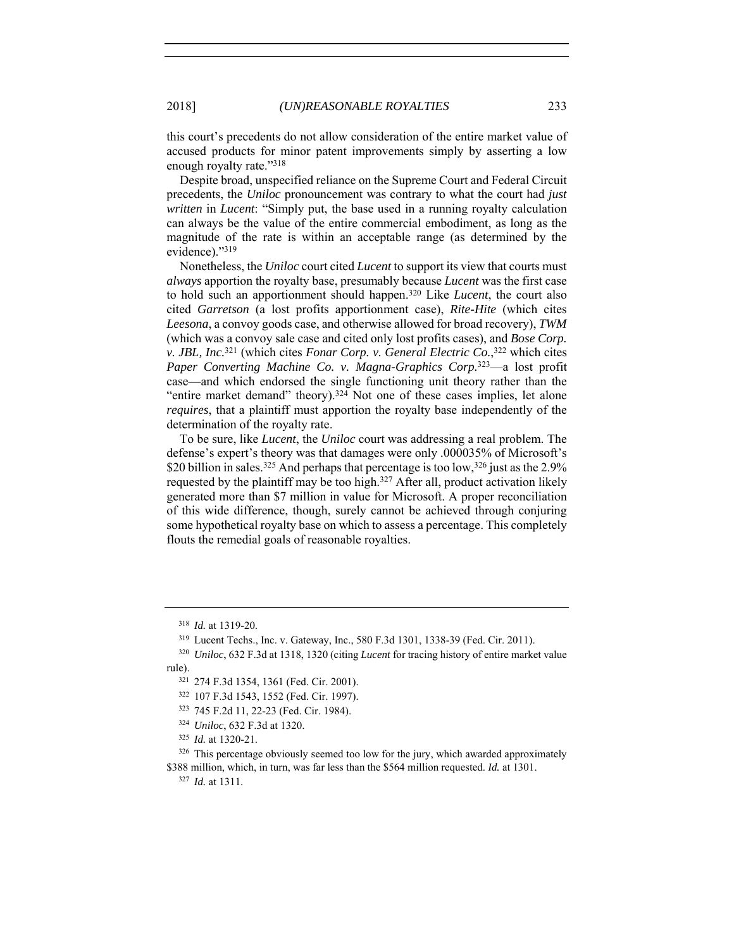this court's precedents do not allow consideration of the entire market value of accused products for minor patent improvements simply by asserting a low enough royalty rate."318

Despite broad, unspecified reliance on the Supreme Court and Federal Circuit precedents, the *Uniloc* pronouncement was contrary to what the court had *just written* in *Lucent*: "Simply put, the base used in a running royalty calculation can always be the value of the entire commercial embodiment, as long as the magnitude of the rate is within an acceptable range (as determined by the evidence)."319

Nonetheless, the *Uniloc* court cited *Lucent* to support its view that courts must *always* apportion the royalty base, presumably because *Lucent* was the first case to hold such an apportionment should happen.320 Like *Lucent*, the court also cited *Garretson* (a lost profits apportionment case), *Rite-Hite* (which cites *Leesona*, a convoy goods case, and otherwise allowed for broad recovery), *TWM* (which was a convoy sale case and cited only lost profits cases), and *Bose Corp. v. JBL, Inc.*321 (which cites *Fonar Corp. v. General Electric Co.*, 322 which cites *Paper Converting Machine Co. v. Magna-Graphics Corp.*323—a lost profit case—and which endorsed the single functioning unit theory rather than the "entire market demand" theory).<sup>324</sup> Not one of these cases implies, let alone *requires*, that a plaintiff must apportion the royalty base independently of the determination of the royalty rate.

To be sure, like *Lucent*, the *Uniloc* court was addressing a real problem. The defense's expert's theory was that damages were only .000035% of Microsoft's \$20 billion in sales.<sup>325</sup> And perhaps that percentage is too low,<sup>326</sup> just as the 2.9% requested by the plaintiff may be too high.327 After all, product activation likely generated more than \$7 million in value for Microsoft. A proper reconciliation of this wide difference, though, surely cannot be achieved through conjuring some hypothetical royalty base on which to assess a percentage. This completely flouts the remedial goals of reasonable royalties.

<sup>318</sup> *Id.* at 1319-20.

<sup>319</sup> Lucent Techs., Inc. v. Gateway, Inc., 580 F.3d 1301, 1338-39 (Fed. Cir. 2011).

<sup>320</sup> *Uniloc*, 632 F.3d at 1318, 1320 (citing *Lucent* for tracing history of entire market value rule).

<sup>321</sup> 274 F.3d 1354, 1361 (Fed. Cir. 2001).

<sup>322</sup> 107 F.3d 1543, 1552 (Fed. Cir. 1997).

<sup>323</sup> 745 F.2d 11, 22-23 (Fed. Cir. 1984).

<sup>324</sup> *Uniloc*, 632 F.3d at 1320.

<sup>325</sup> *Id.* at 1320-21.

 $326$  This percentage obviously seemed too low for the jury, which awarded approximately \$388 million, which, in turn, was far less than the \$564 million requested. *Id.* at 1301. <sup>327</sup> *Id.* at 1311.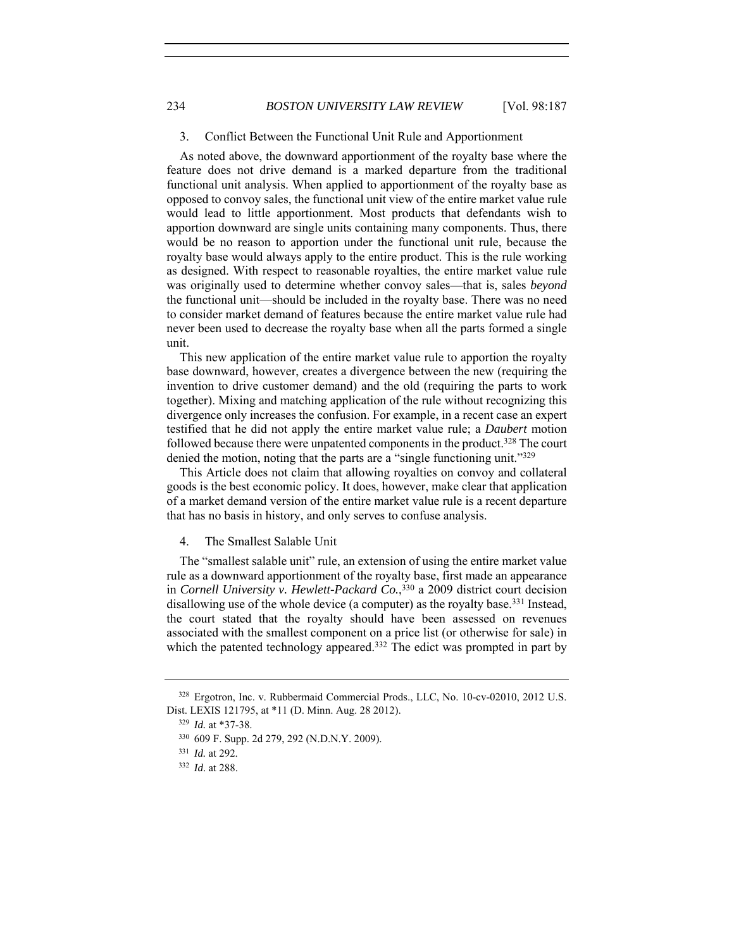## 3. Conflict Between the Functional Unit Rule and Apportionment

As noted above, the downward apportionment of the royalty base where the feature does not drive demand is a marked departure from the traditional functional unit analysis. When applied to apportionment of the royalty base as opposed to convoy sales, the functional unit view of the entire market value rule would lead to little apportionment. Most products that defendants wish to apportion downward are single units containing many components. Thus, there would be no reason to apportion under the functional unit rule, because the royalty base would always apply to the entire product. This is the rule working as designed. With respect to reasonable royalties, the entire market value rule was originally used to determine whether convoy sales—that is, sales *beyond* the functional unit—should be included in the royalty base. There was no need to consider market demand of features because the entire market value rule had never been used to decrease the royalty base when all the parts formed a single unit.

This new application of the entire market value rule to apportion the royalty base downward, however, creates a divergence between the new (requiring the invention to drive customer demand) and the old (requiring the parts to work together). Mixing and matching application of the rule without recognizing this divergence only increases the confusion. For example, in a recent case an expert testified that he did not apply the entire market value rule; a *Daubert* motion followed because there were unpatented components in the product.328 The court denied the motion, noting that the parts are a "single functioning unit."329

This Article does not claim that allowing royalties on convoy and collateral goods is the best economic policy. It does, however, make clear that application of a market demand version of the entire market value rule is a recent departure that has no basis in history, and only serves to confuse analysis.

# 4. The Smallest Salable Unit

The "smallest salable unit" rule, an extension of using the entire market value rule as a downward apportionment of the royalty base, first made an appearance in *Cornell University v. Hewlett-Packard Co.*, 330 a 2009 district court decision disallowing use of the whole device (a computer) as the royalty base.<sup>331</sup> Instead, the court stated that the royalty should have been assessed on revenues associated with the smallest component on a price list (or otherwise for sale) in which the patented technology appeared.<sup>332</sup> The edict was prompted in part by

<sup>328</sup> Ergotron, Inc. v. Rubbermaid Commercial Prods., LLC, No. 10-cv-02010, 2012 U.S. Dist. LEXIS 121795, at \*11 (D. Minn. Aug. 28 2012).

<sup>329</sup> *Id.* at \*37-38.

<sup>330</sup> 609 F. Supp. 2d 279, 292 (N.D.N.Y. 2009).

<sup>331</sup> *Id.* at 292.

<sup>332</sup> *Id*. at 288.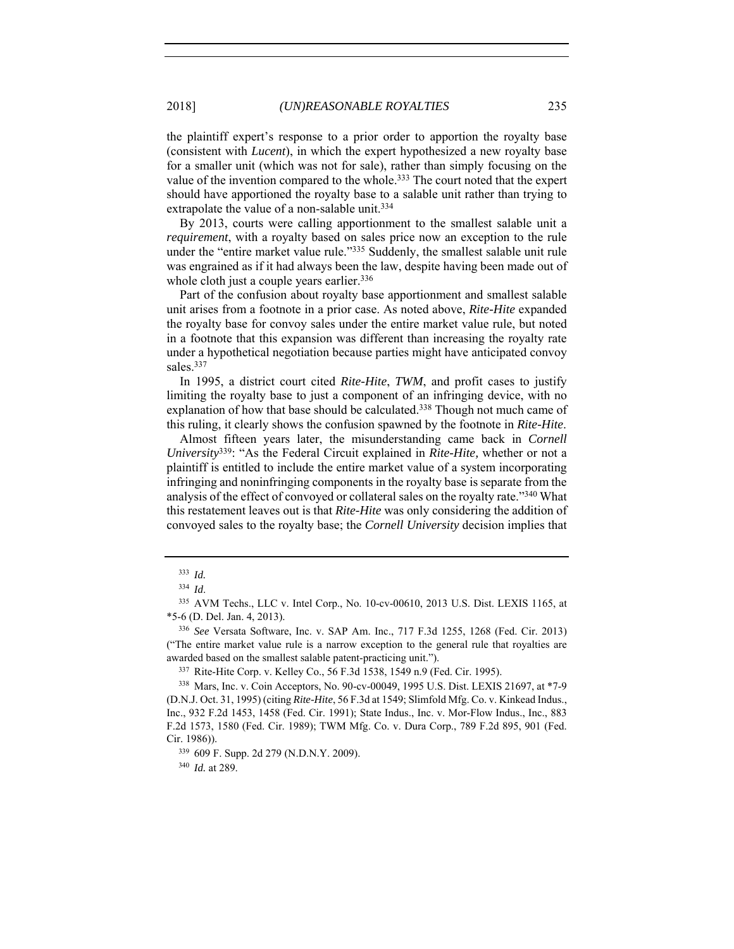the plaintiff expert's response to a prior order to apportion the royalty base (consistent with *Lucent*), in which the expert hypothesized a new royalty base for a smaller unit (which was not for sale), rather than simply focusing on the value of the invention compared to the whole.<sup>333</sup> The court noted that the expert should have apportioned the royalty base to a salable unit rather than trying to extrapolate the value of a non-salable unit.<sup>334</sup>

By 2013, courts were calling apportionment to the smallest salable unit a *requirement*, with a royalty based on sales price now an exception to the rule under the "entire market value rule."335 Suddenly, the smallest salable unit rule was engrained as if it had always been the law, despite having been made out of whole cloth just a couple years earlier.<sup>336</sup>

Part of the confusion about royalty base apportionment and smallest salable unit arises from a footnote in a prior case. As noted above, *Rite-Hite* expanded the royalty base for convoy sales under the entire market value rule, but noted in a footnote that this expansion was different than increasing the royalty rate under a hypothetical negotiation because parties might have anticipated convoy sales.337

In 1995, a district court cited *Rite-Hite*, *TWM*, and profit cases to justify limiting the royalty base to just a component of an infringing device, with no explanation of how that base should be calculated.338 Though not much came of this ruling, it clearly shows the confusion spawned by the footnote in *Rite-Hite*.

Almost fifteen years later, the misunderstanding came back in *Cornell University*339: "As the Federal Circuit explained in *Rite-Hite,* whether or not a plaintiff is entitled to include the entire market value of a system incorporating infringing and noninfringing components in the royalty base is separate from the analysis of the effect of convoyed or collateral sales on the royalty rate."340 What this restatement leaves out is that *Rite-Hite* was only considering the addition of convoyed sales to the royalty base; the *Cornell University* decision implies that

<sup>340</sup> *Id.* at 289.

<sup>333</sup> *Id.*

<sup>334</sup> *Id*.

<sup>335</sup> AVM Techs., LLC v. Intel Corp., No. 10-cv-00610, 2013 U.S. Dist. LEXIS 1165, at \*5-6 (D. Del. Jan. 4, 2013).

<sup>336</sup> *See* Versata Software, Inc. v. SAP Am. Inc., 717 F.3d 1255, 1268 (Fed. Cir. 2013) ("The entire market value rule is a narrow exception to the general rule that royalties are awarded based on the smallest salable patent-practicing unit.").<br><sup>337</sup> Rite-Hite Corp. v. Kelley Co., 56 F.3d 1538, 1549 n.9 (Fed. Cir. 1995).

<sup>338</sup> Mars, Inc. v. Coin Acceptors, No. 90-cv-00049, 1995 U.S. Dist. LEXIS 21697, at \*7-9 (D.N.J. Oct. 31, 1995) (citing *Rite-Hite*, 56 F.3d at 1549; Slimfold Mfg. Co. v. Kinkead Indus., Inc., 932 F.2d 1453, 1458 (Fed. Cir. 1991); State Indus., Inc. v. Mor-Flow Indus., Inc., 883 F.2d 1573, 1580 (Fed. Cir. 1989); TWM Mfg. Co. v. Dura Corp., 789 F.2d 895, 901 (Fed. Cir. 1986)).

<sup>339</sup> 609 F. Supp. 2d 279 (N.D.N.Y. 2009).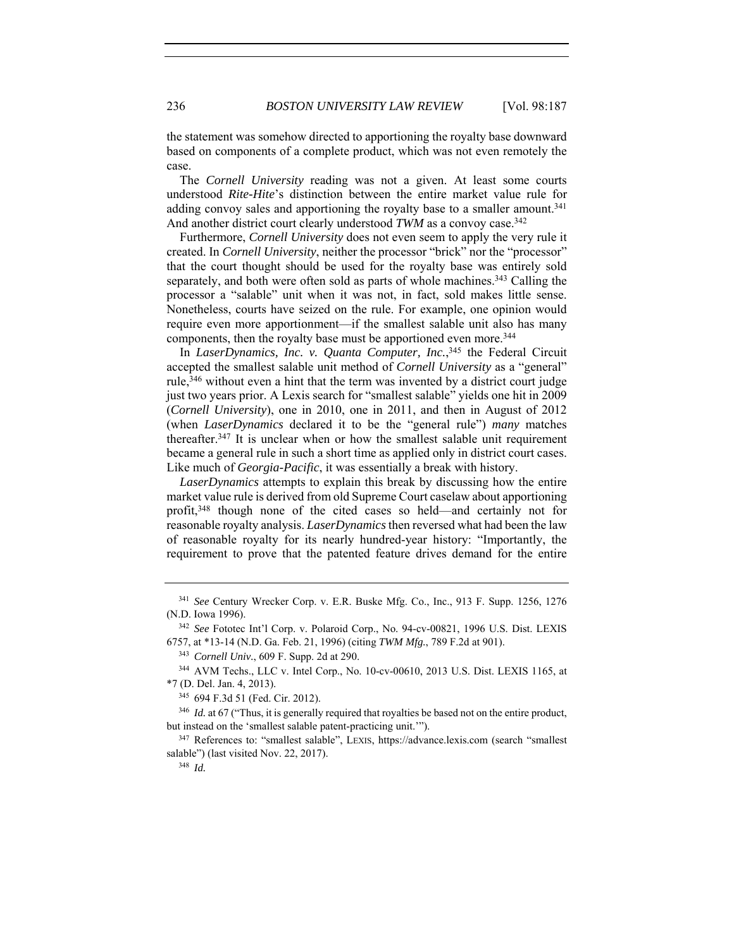the statement was somehow directed to apportioning the royalty base downward based on components of a complete product, which was not even remotely the case.

The *Cornell University* reading was not a given. At least some courts understood *Rite-Hite*'s distinction between the entire market value rule for adding convoy sales and apportioning the royalty base to a smaller amount.341 And another district court clearly understood TWM as a convoy case.<sup>342</sup>

Furthermore, *Cornell University* does not even seem to apply the very rule it created. In *Cornell University*, neither the processor "brick" nor the "processor" that the court thought should be used for the royalty base was entirely sold separately, and both were often sold as parts of whole machines.<sup>343</sup> Calling the processor a "salable" unit when it was not, in fact, sold makes little sense. Nonetheless, courts have seized on the rule. For example, one opinion would require even more apportionment—if the smallest salable unit also has many components, then the royalty base must be apportioned even more. 344

In *LaserDynamics, Inc. v. Quanta Computer, Inc.*, 345 the Federal Circuit accepted the smallest salable unit method of *Cornell University* as a "general" rule,<sup>346</sup> without even a hint that the term was invented by a district court judge just two years prior. A Lexis search for "smallest salable" yields one hit in 2009 (*Cornell University*), one in 2010, one in 2011, and then in August of 2012 (when *LaserDynamics* declared it to be the "general rule") *many* matches thereafter.347 It is unclear when or how the smallest salable unit requirement became a general rule in such a short time as applied only in district court cases. Like much of *Georgia-Pacific*, it was essentially a break with history.

*LaserDynamics* attempts to explain this break by discussing how the entire market value rule is derived from old Supreme Court caselaw about apportioning profit,348 though none of the cited cases so held—and certainly not for reasonable royalty analysis. *LaserDynamics* then reversed what had been the law of reasonable royalty for its nearly hundred-year history: "Importantly, the requirement to prove that the patented feature drives demand for the entire

<sup>341</sup> *See* Century Wrecker Corp. v. E.R. Buske Mfg. Co., Inc., 913 F. Supp. 1256, 1276 (N.D. Iowa 1996).

<sup>342</sup> *See* Fototec Int'l Corp. v. Polaroid Corp., No. 94-cv-00821, 1996 U.S. Dist. LEXIS 6757, at \*13-14 (N.D. Ga. Feb. 21, 1996) (citing *TWM Mfg.*, 789 F.2d at 901).

<sup>343</sup> *Cornell Univ.*, 609 F. Supp. 2d at 290.

<sup>344</sup> AVM Techs., LLC v. Intel Corp., No. 10-cv-00610, 2013 U.S. Dist. LEXIS 1165, at \*7 (D. Del. Jan. 4, 2013).

<sup>345</sup> 694 F.3d 51 (Fed. Cir. 2012).

<sup>&</sup>lt;sup>346</sup> *Id.* at 67 ("Thus, it is generally required that royalties be based not on the entire product, but instead on the 'smallest salable patent-practicing unit.'").<br><sup>347</sup> References to: "smallest salable", LEXIS, https://advance.lexis.com (search "smallest

salable") (last visited Nov. 22, 2017).

<sup>348</sup> *Id.*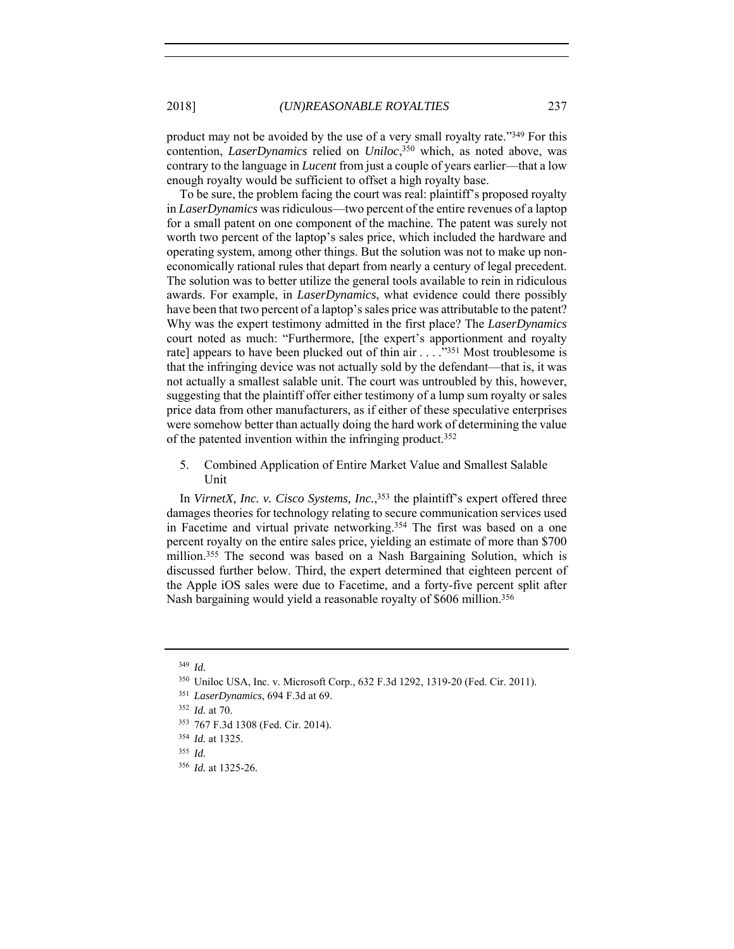product may not be avoided by the use of a very small royalty rate."349 For this contention, *LaserDynamics* relied on *Uniloc*, 350 which, as noted above, was contrary to the language in *Lucent* from just a couple of years earlier—that a low enough royalty would be sufficient to offset a high royalty base.

To be sure, the problem facing the court was real: plaintiff's proposed royalty in *LaserDynamics* was ridiculous—two percent of the entire revenues of a laptop for a small patent on one component of the machine. The patent was surely not worth two percent of the laptop's sales price, which included the hardware and operating system, among other things. But the solution was not to make up noneconomically rational rules that depart from nearly a century of legal precedent. The solution was to better utilize the general tools available to rein in ridiculous awards. For example, in *LaserDynamics*, what evidence could there possibly have been that two percent of a laptop's sales price was attributable to the patent? Why was the expert testimony admitted in the first place? The *LaserDynamics* court noted as much: "Furthermore, [the expert's apportionment and royalty rate] appears to have been plucked out of thin air . . . . . . . . . . . . . . . 1951 Most troublesome is that the infringing device was not actually sold by the defendant—that is, it was not actually a smallest salable unit. The court was untroubled by this, however, suggesting that the plaintiff offer either testimony of a lump sum royalty or sales price data from other manufacturers, as if either of these speculative enterprises were somehow better than actually doing the hard work of determining the value of the patented invention within the infringing product.<sup>352</sup>

5. Combined Application of Entire Market Value and Smallest Salable Unit

In *VirnetX, Inc. v. Cisco Systems, Inc.*, 353 the plaintiff's expert offered three damages theories for technology relating to secure communication services used in Facetime and virtual private networking.<sup>354</sup> The first was based on a one percent royalty on the entire sales price, yielding an estimate of more than \$700 million.355 The second was based on a Nash Bargaining Solution, which is discussed further below. Third, the expert determined that eighteen percent of the Apple iOS sales were due to Facetime, and a forty-five percent split after Nash bargaining would yield a reasonable royalty of \$606 million.356

<sup>349</sup> *Id.*

<sup>350</sup> Uniloc USA, Inc. v. Microsoft Corp., 632 F.3d 1292, 1319-20 (Fed. Cir. 2011).

<sup>351</sup> *LaserDynamics*, 694 F.3d at 69.

<sup>352</sup> *Id.* at 70.

<sup>353</sup> 767 F.3d 1308 (Fed. Cir. 2014).

<sup>354</sup> *Id.* at 1325.

<sup>355</sup> *Id.*

<sup>356</sup> *Id.* at 1325-26.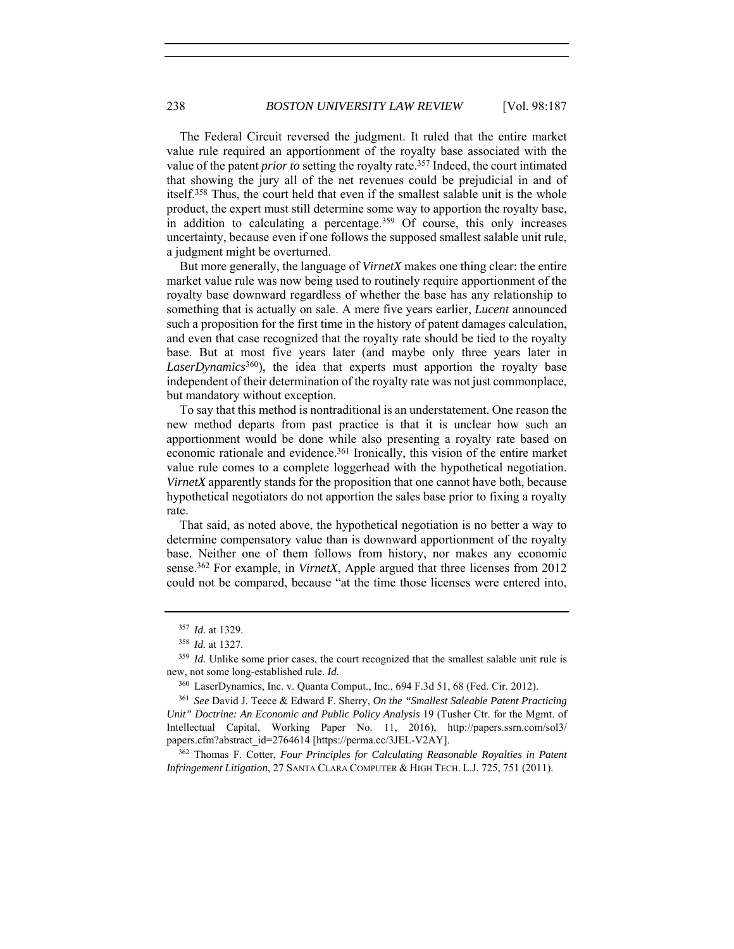The Federal Circuit reversed the judgment. It ruled that the entire market value rule required an apportionment of the royalty base associated with the value of the patent *prior to* setting the royalty rate.357 Indeed, the court intimated that showing the jury all of the net revenues could be prejudicial in and of itself.358 Thus, the court held that even if the smallest salable unit is the whole product, the expert must still determine some way to apportion the royalty base, in addition to calculating a percentage.359 Of course, this only increases uncertainty, because even if one follows the supposed smallest salable unit rule, a judgment might be overturned.

But more generally, the language of *VirnetX* makes one thing clear: the entire market value rule was now being used to routinely require apportionment of the royalty base downward regardless of whether the base has any relationship to something that is actually on sale. A mere five years earlier, *Lucent* announced such a proposition for the first time in the history of patent damages calculation, and even that case recognized that the royalty rate should be tied to the royalty base. But at most five years later (and maybe only three years later in *LaserDynamics*360), the idea that experts must apportion the royalty base independent of their determination of the royalty rate was not just commonplace, but mandatory without exception.

To say that this method is nontraditional is an understatement. One reason the new method departs from past practice is that it is unclear how such an apportionment would be done while also presenting a royalty rate based on economic rationale and evidence.<sup>361</sup> Ironically, this vision of the entire market value rule comes to a complete loggerhead with the hypothetical negotiation. *VirnetX* apparently stands for the proposition that one cannot have both, because hypothetical negotiators do not apportion the sales base prior to fixing a royalty rate.

That said, as noted above, the hypothetical negotiation is no better a way to determine compensatory value than is downward apportionment of the royalty base. Neither one of them follows from history, nor makes any economic sense.362 For example, in *VirnetX*, Apple argued that three licenses from 2012 could not be compared, because "at the time those licenses were entered into,

papers.cfm?abstract\_id=2764614 [https://perma.cc/3JEL-V2AY]. 362 Thomas F. Cotter, *Four Principles for Calculating Reasonable Royalties in Patent Infringement Litigation*, 27 SANTA CLARA COMPUTER & HIGH TECH. L.J. 725, 751 (2011).

<sup>357</sup> *Id.* at 1329.

<sup>&</sup>lt;sup>358</sup> *Id.* at 1327.<br><sup>359</sup> *Id.* Unlike some prior cases, the court recognized that the smallest salable unit rule is new, not some long-established rule. *Id.*

<sup>360</sup> LaserDynamics, Inc. v. Quanta Comput., Inc., 694 F.3d 51, 68 (Fed. Cir. 2012).

<sup>361</sup> *See* David J. Teece & Edward F. Sherry, *On the "Smallest Saleable Patent Practicing Unit" Doctrine: An Economic and Public Policy Analysis* 19 (Tusher Ctr. for the Mgmt. of Intellectual Capital, Working Paper No. 11, 2016), http://papers.ssrn.com/sol3/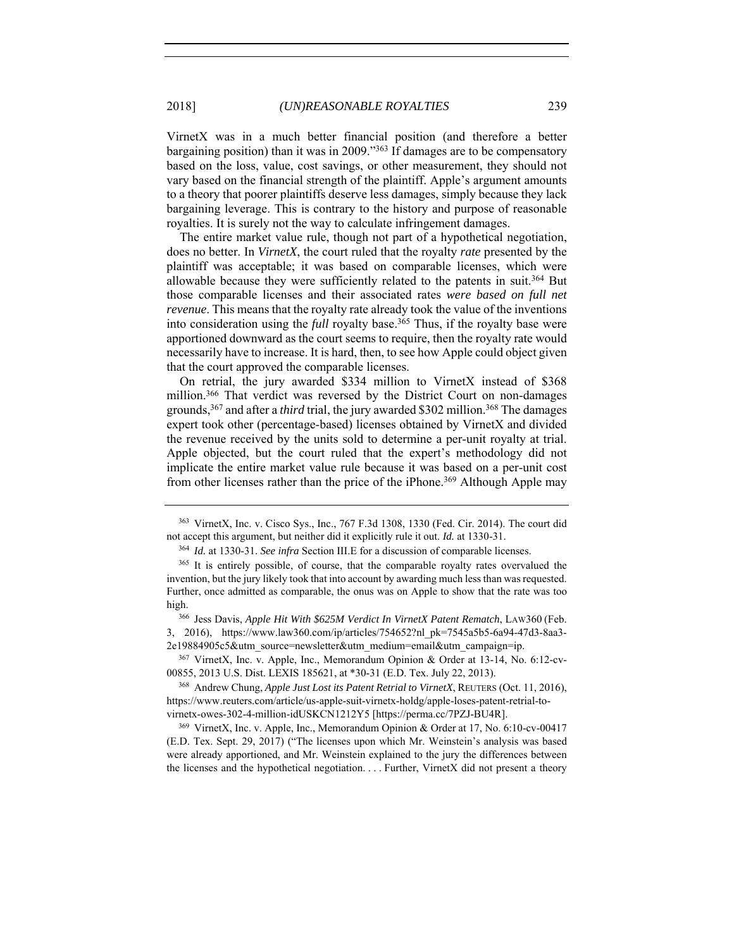VirnetX was in a much better financial position (and therefore a better bargaining position) than it was in 2009."363 If damages are to be compensatory based on the loss, value, cost savings, or other measurement, they should not vary based on the financial strength of the plaintiff. Apple's argument amounts to a theory that poorer plaintiffs deserve less damages, simply because they lack bargaining leverage. This is contrary to the history and purpose of reasonable royalties. It is surely not the way to calculate infringement damages.

The entire market value rule, though not part of a hypothetical negotiation, does no better. In *VirnetX*, the court ruled that the royalty *rate* presented by the plaintiff was acceptable; it was based on comparable licenses, which were allowable because they were sufficiently related to the patents in suit.364 But those comparable licenses and their associated rates *were based on full net revenue*. This means that the royalty rate already took the value of the inventions into consideration using the *full* royalty base.<sup>365</sup> Thus, if the royalty base were apportioned downward as the court seems to require, then the royalty rate would necessarily have to increase. It is hard, then, to see how Apple could object given that the court approved the comparable licenses.

On retrial, the jury awarded \$334 million to VirnetX instead of \$368 million.366 That verdict was reversed by the District Court on non-damages grounds,367 and after a *third* trial, the jury awarded \$302 million.368 The damages expert took other (percentage-based) licenses obtained by VirnetX and divided the revenue received by the units sold to determine a per-unit royalty at trial. Apple objected, but the court ruled that the expert's methodology did not implicate the entire market value rule because it was based on a per-unit cost from other licenses rather than the price of the iPhone.<sup>369</sup> Although Apple may

<sup>367</sup> VirnetX, Inc. v. Apple, Inc., Memorandum Opinion & Order at 13-14, No. 6:12-cv-00855, 2013 U.S. Dist. LEXIS 185621, at \*30-31 (E.D. Tex. July 22, 2013).

<sup>368</sup> Andrew Chung, *Apple Just Lost its Patent Retrial to VirnetX*, REUTERS (Oct. 11, 2016), https://www.reuters.com/article/us-apple-suit-virnetx-holdg/apple-loses-patent-retrial-tovirnetx-owes-302-4-million-idUSKCN1212Y5 [https://perma.cc/7PZJ-BU4R].

<sup>369</sup> VirnetX, Inc. v. Apple, Inc., Memorandum Opinion & Order at 17, No. 6:10-cv-00417 (E.D. Tex. Sept. 29, 2017) ("The licenses upon which Mr. Weinstein's analysis was based were already apportioned, and Mr. Weinstein explained to the jury the differences between the licenses and the hypothetical negotiation. . . . Further, VirnetX did not present a theory

<sup>363</sup> VirnetX, Inc. v. Cisco Sys., Inc., 767 F.3d 1308, 1330 (Fed. Cir. 2014). The court did not accept this argument, but neither did it explicitly rule it out. *Id.* at 1330-31.

<sup>364</sup> *Id.* at 1330-31. *See infra* Section III.E for a discussion of comparable licenses.

<sup>&</sup>lt;sup>365</sup> It is entirely possible, of course, that the comparable royalty rates overvalued the invention, but the jury likely took that into account by awarding much less than was requested. Further, once admitted as comparable, the onus was on Apple to show that the rate was too high. 366 Jess Davis, *Apple Hit With \$625M Verdict In VirnetX Patent Rematch*, LAW360 (Feb.

<sup>3, 2016),</sup> https://www.law360.com/ip/articles/754652?nl\_pk=7545a5b5-6a94-47d3-8aa3- 2e19884905c5&utm\_source=newsletter&utm\_medium=email&utm\_campaign=ip.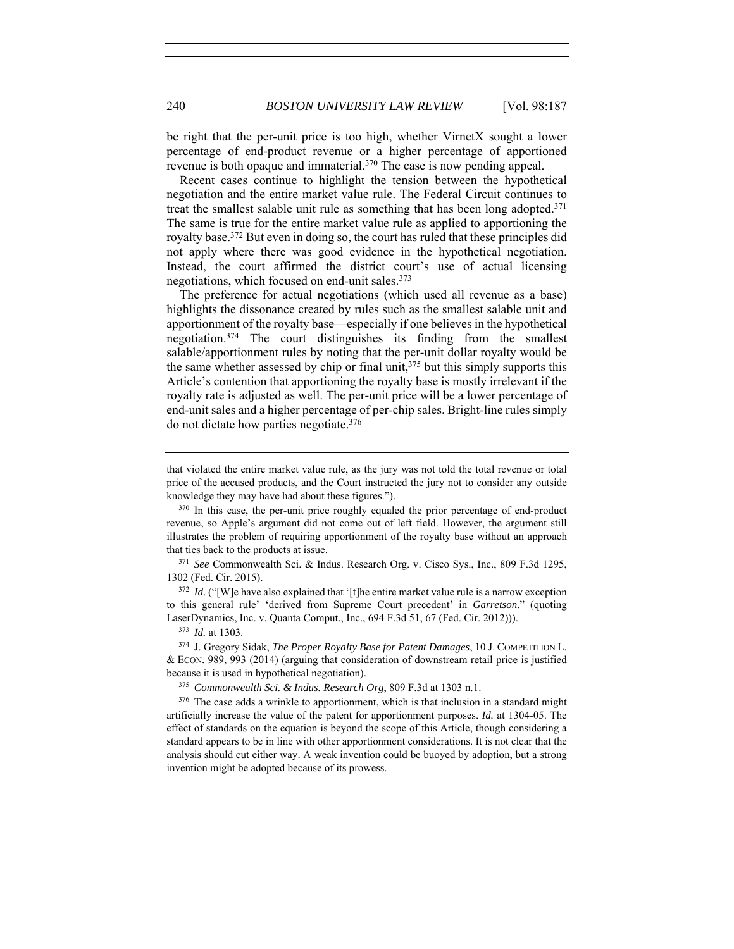be right that the per-unit price is too high, whether VirnetX sought a lower percentage of end-product revenue or a higher percentage of apportioned revenue is both opaque and immaterial.370 The case is now pending appeal.

Recent cases continue to highlight the tension between the hypothetical negotiation and the entire market value rule. The Federal Circuit continues to treat the smallest salable unit rule as something that has been long adopted.371 The same is true for the entire market value rule as applied to apportioning the royalty base.372 But even in doing so, the court has ruled that these principles did not apply where there was good evidence in the hypothetical negotiation. Instead, the court affirmed the district court's use of actual licensing negotiations, which focused on end-unit sales.373

The preference for actual negotiations (which used all revenue as a base) highlights the dissonance created by rules such as the smallest salable unit and apportionment of the royalty base—especially if one believes in the hypothetical negotiation.374 The court distinguishes its finding from the smallest salable/apportionment rules by noting that the per-unit dollar royalty would be the same whether assessed by chip or final unit,<sup>375</sup> but this simply supports this Article's contention that apportioning the royalty base is mostly irrelevant if the royalty rate is adjusted as well. The per-unit price will be a lower percentage of end-unit sales and a higher percentage of per-chip sales. Bright-line rules simply do not dictate how parties negotiate.376

1302 (Fed. Cir. 2015).

<sup>372</sup> *Id.* ("[W]e have also explained that '[t]he entire market value rule is a narrow exception to this general rule' 'derived from Supreme Court precedent' in *Garretson*." (quoting LaserDynamics, Inc. v. Quanta Comput., Inc., 694 F.3d 51, 67 (Fed. Cir. 2012))).<br><sup>373</sup> *Id.* at 1303.<br><sup>374</sup> J. Gregory Sidak, *The Proper Royalty Base for Patent Damages*, 10 J. COMPETITION L.

& ECON. 989, 993 (2014) (arguing that consideration of downstream retail price is justified because it is used in hypothetical negotiation). 375 *Commonwealth Sci. & Indus. Research Org*, 809 F.3d at 1303 n.1.

<sup>376</sup> The case adds a wrinkle to apportionment, which is that inclusion in a standard might artificially increase the value of the patent for apportionment purposes. *Id.* at 1304-05. The effect of standards on the equation is beyond the scope of this Article, though considering a standard appears to be in line with other apportionment considerations. It is not clear that the analysis should cut either way. A weak invention could be buoyed by adoption, but a strong invention might be adopted because of its prowess.

that violated the entire market value rule, as the jury was not told the total revenue or total price of the accused products, and the Court instructed the jury not to consider any outside

knowledge they may have had about these figures.").<br> $370 \text{ In this case, the per-unit price roughly equaled the prior percentage of end-product}$ revenue, so Apple's argument did not come out of left field. However, the argument still illustrates the problem of requiring apportionment of the royalty base without an approach that ties back to the products at issue. 371 *See* Commonwealth Sci. & Indus. Research Org. v. Cisco Sys., Inc., 809 F.3d 1295,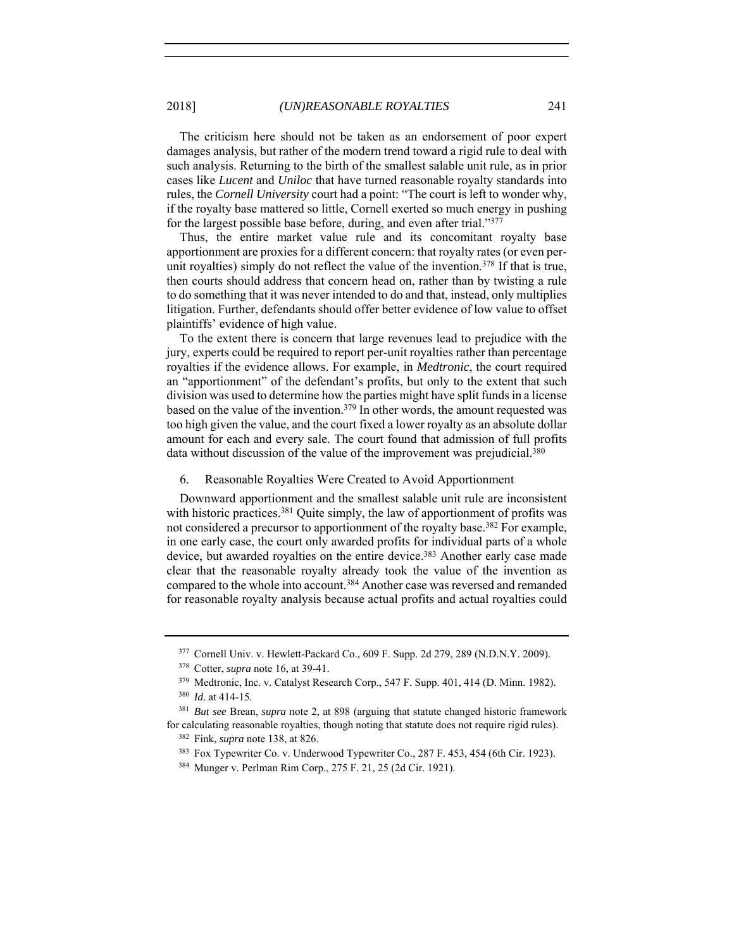The criticism here should not be taken as an endorsement of poor expert damages analysis, but rather of the modern trend toward a rigid rule to deal with such analysis. Returning to the birth of the smallest salable unit rule, as in prior cases like *Lucent* and *Uniloc* that have turned reasonable royalty standards into rules, the *Cornell University* court had a point: "The court is left to wonder why, if the royalty base mattered so little, Cornell exerted so much energy in pushing for the largest possible base before, during, and even after trial."377

Thus, the entire market value rule and its concomitant royalty base apportionment are proxies for a different concern: that royalty rates (or even perunit royalties) simply do not reflect the value of the invention.<sup>378</sup> If that is true, then courts should address that concern head on, rather than by twisting a rule to do something that it was never intended to do and that, instead, only multiplies litigation. Further, defendants should offer better evidence of low value to offset plaintiffs' evidence of high value.

To the extent there is concern that large revenues lead to prejudice with the jury, experts could be required to report per-unit royalties rather than percentage royalties if the evidence allows. For example, in *Medtronic*, the court required an "apportionment" of the defendant's profits, but only to the extent that such division was used to determine how the parties might have split funds in a license based on the value of the invention.379 In other words, the amount requested was too high given the value, and the court fixed a lower royalty as an absolute dollar amount for each and every sale. The court found that admission of full profits data without discussion of the value of the improvement was prejudicial.<sup>380</sup>

#### 6. Reasonable Royalties Were Created to Avoid Apportionment

Downward apportionment and the smallest salable unit rule are inconsistent with historic practices.<sup>381</sup> Quite simply, the law of apportionment of profits was not considered a precursor to apportionment of the royalty base. 382 For example, in one early case, the court only awarded profits for individual parts of a whole device, but awarded royalties on the entire device.<sup>383</sup> Another early case made clear that the reasonable royalty already took the value of the invention as compared to the whole into account.384 Another case was reversed and remanded for reasonable royalty analysis because actual profits and actual royalties could

<sup>377</sup> Cornell Univ. v. Hewlett-Packard Co., 609 F. Supp. 2d 279, 289 (N.D.N.Y. 2009).

<sup>378</sup> Cotter, *supra* note 16, at 39-41.

<sup>379</sup> Medtronic, Inc. v. Catalyst Research Corp., 547 F. Supp. 401, 414 (D. Minn. 1982).

<sup>380</sup> *Id*. at 414-15.

<sup>381</sup> *But see* Brean, *supra* note 2, at 898 (arguing that statute changed historic framework for calculating reasonable royalties, though noting that statute does not require rigid rules).

<sup>382</sup> Fink, *supra* note 138, at 826.

<sup>383</sup> Fox Typewriter Co. v. Underwood Typewriter Co., 287 F. 453, 454 (6th Cir. 1923).

<sup>384</sup> Munger v. Perlman Rim Corp., 275 F. 21, 25 (2d Cir. 1921).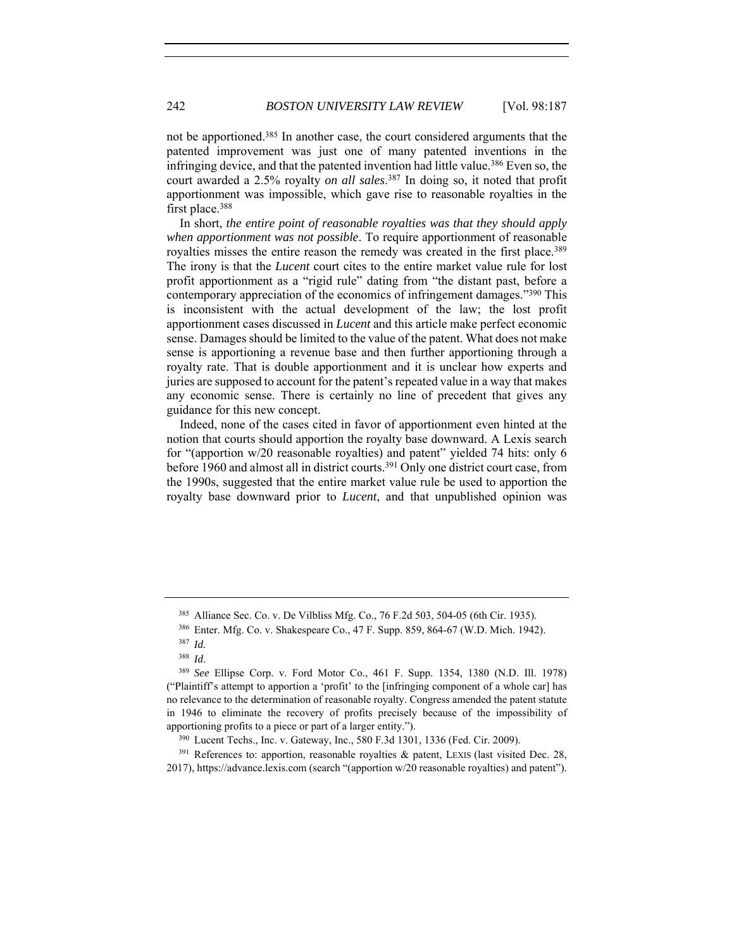not be apportioned.385 In another case, the court considered arguments that the patented improvement was just one of many patented inventions in the infringing device, and that the patented invention had little value.386 Even so, the court awarded a 2.5% royalty *on all sales*. <sup>387</sup> In doing so, it noted that profit apportionment was impossible, which gave rise to reasonable royalties in the first place.388

In short, *the entire point of reasonable royalties was that they should apply when apportionment was not possible*. To require apportionment of reasonable royalties misses the entire reason the remedy was created in the first place.<sup>389</sup> The irony is that the *Lucent* court cites to the entire market value rule for lost profit apportionment as a "rigid rule" dating from "the distant past, before a contemporary appreciation of the economics of infringement damages."390 This is inconsistent with the actual development of the law; the lost profit apportionment cases discussed in *Lucent* and this article make perfect economic sense. Damages should be limited to the value of the patent. What does not make sense is apportioning a revenue base and then further apportioning through a royalty rate. That is double apportionment and it is unclear how experts and juries are supposed to account for the patent's repeated value in a way that makes any economic sense. There is certainly no line of precedent that gives any guidance for this new concept.

Indeed, none of the cases cited in favor of apportionment even hinted at the notion that courts should apportion the royalty base downward. A Lexis search for "(apportion w/20 reasonable royalties) and patent" yielded 74 hits: only 6 before 1960 and almost all in district courts.391 Only one district court case, from the 1990s, suggested that the entire market value rule be used to apportion the royalty base downward prior to *Lucent*, and that unpublished opinion was

 $391$  References to: apportion, reasonable royalties & patent, LEXIS (last visited Dec. 28, 2017), https://advance.lexis.com (search "(apportion w/20 reasonable royalties) and patent").

<sup>385</sup> Alliance Sec. Co. v. De Vilbliss Mfg. Co., 76 F.2d 503, 504-05 (6th Cir. 1935).

<sup>386</sup> Enter. Mfg. Co. v. Shakespeare Co., 47 F. Supp. 859, 864-67 (W.D. Mich. 1942).

<sup>387</sup> *Id.* 

<sup>388</sup> *Id*. 389 *See* Ellipse Corp. v. Ford Motor Co., 461 F. Supp. 1354, 1380 (N.D. Ill. 1978) ("Plaintiff's attempt to apportion a 'profit' to the [infringing component of a whole car] has no relevance to the determination of reasonable royalty. Congress amended the patent statute in 1946 to eliminate the recovery of profits precisely because of the impossibility of apportioning profits to a piece or part of a larger entity.").<br><sup>390</sup> Lucent Techs., Inc. v. Gateway, Inc., 580 F.3d 1301, 1336 (Fed. Cir. 2009).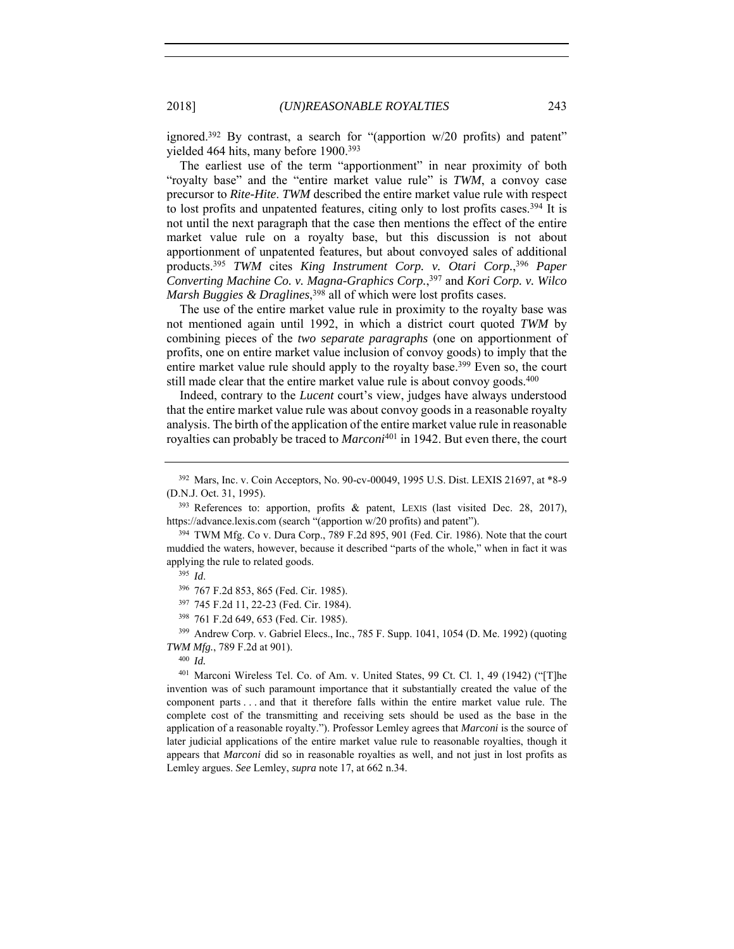ignored.392 By contrast, a search for "(apportion w/20 profits) and patent" yielded 464 hits, many before 1900.393

The earliest use of the term "apportionment" in near proximity of both "royalty base" and the "entire market value rule" is *TWM*, a convoy case precursor to *Rite-Hite*. *TWM* described the entire market value rule with respect to lost profits and unpatented features, citing only to lost profits cases.394 It is not until the next paragraph that the case then mentions the effect of the entire market value rule on a royalty base, but this discussion is not about apportionment of unpatented features, but about convoyed sales of additional products.395 *TWM* cites *King Instrument Corp. v. Otari Corp.*, <sup>396</sup> *Paper Converting Machine Co. v. Magna-Graphics Corp.*, 397 and *Kori Corp. v. Wilco Marsh Buggies & Draglines*, 398 all of which were lost profits cases.

The use of the entire market value rule in proximity to the royalty base was not mentioned again until 1992, in which a district court quoted *TWM* by combining pieces of the *two separate paragraphs* (one on apportionment of profits, one on entire market value inclusion of convoy goods) to imply that the entire market value rule should apply to the royalty base.<sup>399</sup> Even so, the court still made clear that the entire market value rule is about convoy goods.<sup>400</sup>

Indeed, contrary to the *Lucent* court's view, judges have always understood that the entire market value rule was about convoy goods in a reasonable royalty analysis. The birth of the application of the entire market value rule in reasonable royalties can probably be traced to *Marconi*401 in 1942. But even there, the court

<sup>397</sup> 745 F.2d 11, 22-23 (Fed. Cir. 1984).

<sup>401</sup> Marconi Wireless Tel. Co. of Am. v. United States, 99 Ct. Cl. 1, 49 (1942) ("[T]he invention was of such paramount importance that it substantially created the value of the component parts . . . and that it therefore falls within the entire market value rule. The complete cost of the transmitting and receiving sets should be used as the base in the application of a reasonable royalty."). Professor Lemley agrees that *Marconi* is the source of later judicial applications of the entire market value rule to reasonable royalties, though it appears that *Marconi* did so in reasonable royalties as well, and not just in lost profits as Lemley argues. *See* Lemley, *supra* note 17, at 662 n.34.

<sup>392</sup> Mars, Inc. v. Coin Acceptors, No. 90-cv-00049, 1995 U.S. Dist. LEXIS 21697, at \*8-9 (D.N.J. Oct. 31, 1995).

<sup>&</sup>lt;sup>393</sup> References to: apportion, profits & patent, LEXIS (last visited Dec. 28, 2017), https://advance.lexis.com (search "(apportion w/20 profits) and patent").

<sup>394</sup> TWM Mfg. Co v. Dura Corp., 789 F.2d 895, 901 (Fed. Cir. 1986). Note that the court muddied the waters, however, because it described "parts of the whole," when in fact it was applying the rule to related goods.<br><sup>395</sup> *Id*.<br><sup>396</sup> 767 F.2d 853, 865 (Fed. Cir. 1985).

<sup>398</sup> 761 F.2d 649, 653 (Fed. Cir. 1985).

<sup>399</sup> Andrew Corp. v. Gabriel Elecs., Inc., 785 F. Supp. 1041, 1054 (D. Me. 1992) (quoting *TWM Mfg.*, 789 F.2d at 901). 400 *Id.*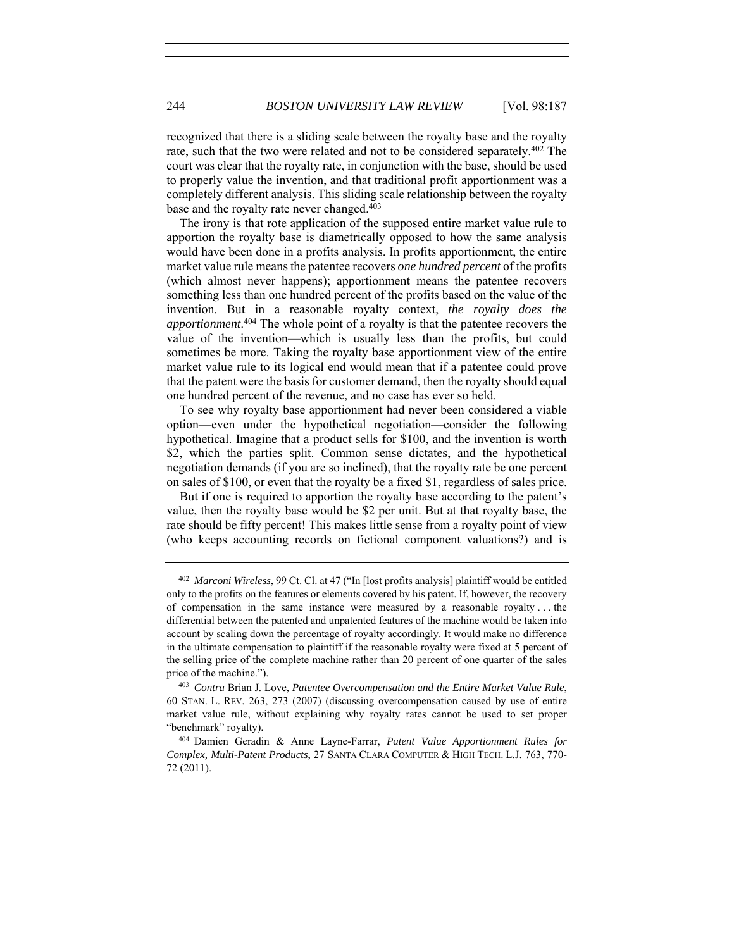recognized that there is a sliding scale between the royalty base and the royalty rate, such that the two were related and not to be considered separately.402 The court was clear that the royalty rate, in conjunction with the base, should be used to properly value the invention, and that traditional profit apportionment was a completely different analysis. This sliding scale relationship between the royalty base and the royalty rate never changed.<sup>403</sup>

The irony is that rote application of the supposed entire market value rule to apportion the royalty base is diametrically opposed to how the same analysis would have been done in a profits analysis. In profits apportionment, the entire market value rule means the patentee recovers *one hundred percent* of the profits (which almost never happens); apportionment means the patentee recovers something less than one hundred percent of the profits based on the value of the invention. But in a reasonable royalty context, *the royalty does the apportionment*. 404 The whole point of a royalty is that the patentee recovers the value of the invention—which is usually less than the profits, but could sometimes be more. Taking the royalty base apportionment view of the entire market value rule to its logical end would mean that if a patentee could prove that the patent were the basis for customer demand, then the royalty should equal one hundred percent of the revenue, and no case has ever so held.

To see why royalty base apportionment had never been considered a viable option—even under the hypothetical negotiation—consider the following hypothetical. Imagine that a product sells for \$100, and the invention is worth \$2, which the parties split. Common sense dictates, and the hypothetical negotiation demands (if you are so inclined), that the royalty rate be one percent on sales of \$100, or even that the royalty be a fixed \$1, regardless of sales price.

But if one is required to apportion the royalty base according to the patent's value, then the royalty base would be \$2 per unit. But at that royalty base, the rate should be fifty percent! This makes little sense from a royalty point of view (who keeps accounting records on fictional component valuations?) and is

<sup>402</sup> *Marconi Wireless*, 99 Ct. Cl. at 47 ("In [lost profits analysis] plaintiff would be entitled only to the profits on the features or elements covered by his patent. If, however, the recovery of compensation in the same instance were measured by a reasonable royalty . . . the differential between the patented and unpatented features of the machine would be taken into account by scaling down the percentage of royalty accordingly. It would make no difference in the ultimate compensation to plaintiff if the reasonable royalty were fixed at 5 percent of the selling price of the complete machine rather than 20 percent of one quarter of the sales price of the machine.").<br><sup>403</sup> *Contra* Brian J. Love, *Patentee Overcompensation and the Entire Market Value Rule*,

<sup>60</sup> STAN. L. REV. 263, 273 (2007) (discussing overcompensation caused by use of entire market value rule, without explaining why royalty rates cannot be used to set proper "benchmark" royalty). 404 Damien Geradin & Anne Layne-Farrar, *Patent Value Apportionment Rules for* 

*Complex, Multi-Patent Products*, 27 SANTA CLARA COMPUTER & HIGH TECH. L.J. 763, 770- 72 (2011).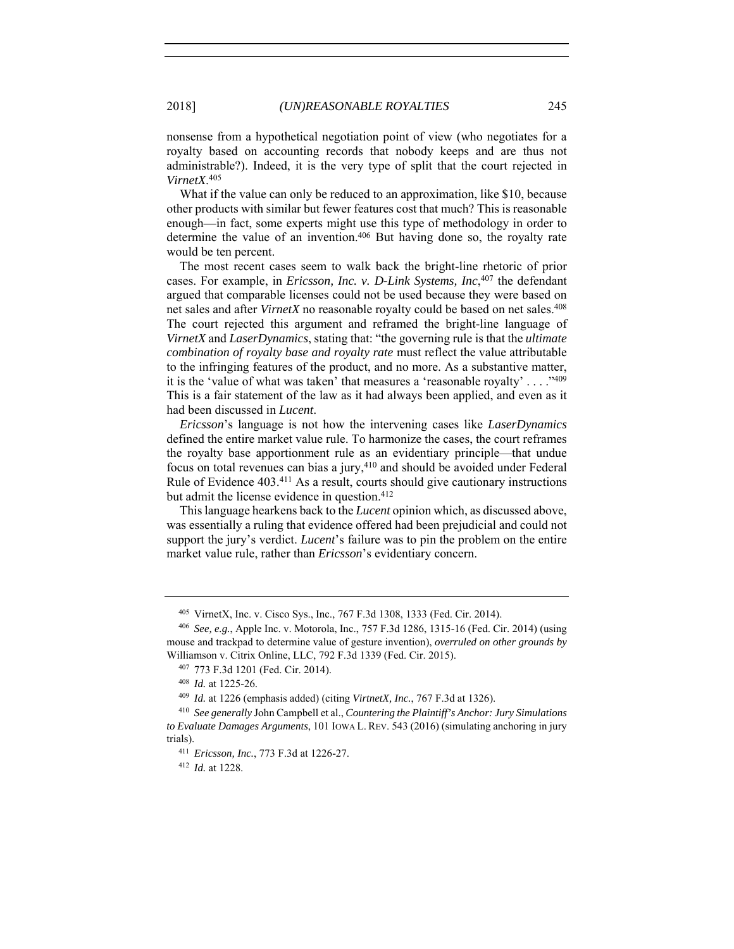nonsense from a hypothetical negotiation point of view (who negotiates for a royalty based on accounting records that nobody keeps and are thus not administrable?). Indeed, it is the very type of split that the court rejected in *VirnetX*. 405

What if the value can only be reduced to an approximation, like \$10, because other products with similar but fewer features cost that much? This is reasonable enough—in fact, some experts might use this type of methodology in order to determine the value of an invention.406 But having done so, the royalty rate would be ten percent.

The most recent cases seem to walk back the bright-line rhetoric of prior cases. For example, in *Ericsson, Inc. v. D-Link Systems, Inc*, <sup>407</sup> the defendant argued that comparable licenses could not be used because they were based on net sales and after *VirnetX* no reasonable royalty could be based on net sales.408 The court rejected this argument and reframed the bright-line language of *VirnetX* and *LaserDynamics*, stating that: "the governing rule is that the *ultimate combination of royalty base and royalty rate* must reflect the value attributable to the infringing features of the product, and no more. As a substantive matter, it is the 'value of what was taken' that measures a 'reasonable royalty' . . . ."409 This is a fair statement of the law as it had always been applied, and even as it had been discussed in *Lucent*.

*Ericsson*'s language is not how the intervening cases like *LaserDynamics* defined the entire market value rule. To harmonize the cases, the court reframes the royalty base apportionment rule as an evidentiary principle—that undue focus on total revenues can bias a jury,<sup>410</sup> and should be avoided under Federal Rule of Evidence 403.411 As a result, courts should give cautionary instructions but admit the license evidence in question.412

This language hearkens back to the *Lucent* opinion which, as discussed above, was essentially a ruling that evidence offered had been prejudicial and could not support the jury's verdict. *Lucent*'s failure was to pin the problem on the entire market value rule, rather than *Ericsson*'s evidentiary concern.

<sup>405</sup> VirnetX, Inc. v. Cisco Sys., Inc., 767 F.3d 1308, 1333 (Fed. Cir. 2014).

<sup>406</sup> *See, e.g.*, Apple Inc. v. Motorola, Inc., 757 F.3d 1286, 1315-16 (Fed. Cir. 2014) (using mouse and trackpad to determine value of gesture invention), *overruled on other grounds by*  Williamson v. Citrix Online, LLC, 792 F.3d 1339 (Fed. Cir. 2015).

<sup>407</sup> 773 F.3d 1201 (Fed. Cir. 2014). 408 *Id.* at 1225-26.

<sup>409</sup> *Id.* at 1226 (emphasis added) (citing *VirtnetX, Inc.*, 767 F.3d at 1326).

<sup>410</sup> *See generally* John Campbell et al., *Countering the Plaintiff's Anchor: Jury Simulations to Evaluate Damages Arguments*, 101 IOWA L. REV. 543 (2016) (simulating anchoring in jury trials).

<sup>411</sup> *Ericsson, Inc.*, 773 F.3d at 1226-27.

<sup>412</sup> *Id.* at 1228.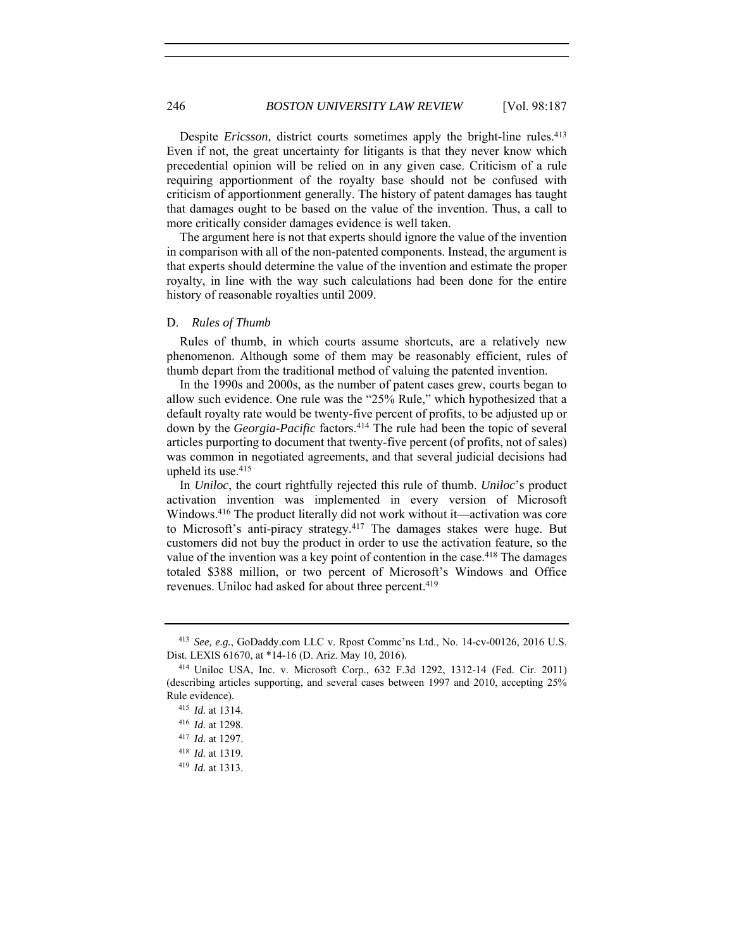Despite *Ericsson*, district courts sometimes apply the bright-line rules.<sup>413</sup> Even if not, the great uncertainty for litigants is that they never know which precedential opinion will be relied on in any given case. Criticism of a rule requiring apportionment of the royalty base should not be confused with criticism of apportionment generally. The history of patent damages has taught that damages ought to be based on the value of the invention. Thus, a call to more critically consider damages evidence is well taken.

The argument here is not that experts should ignore the value of the invention in comparison with all of the non-patented components. Instead, the argument is that experts should determine the value of the invention and estimate the proper royalty, in line with the way such calculations had been done for the entire history of reasonable royalties until 2009.

## D. *Rules of Thumb*

Rules of thumb, in which courts assume shortcuts, are a relatively new phenomenon. Although some of them may be reasonably efficient, rules of thumb depart from the traditional method of valuing the patented invention.

In the 1990s and 2000s, as the number of patent cases grew, courts began to allow such evidence. One rule was the "25% Rule," which hypothesized that a default royalty rate would be twenty-five percent of profits, to be adjusted up or down by the *Georgia-Pacific* factors.<sup>414</sup> The rule had been the topic of several articles purporting to document that twenty-five percent (of profits, not of sales) was common in negotiated agreements, and that several judicial decisions had upheld its use.415

In *Uniloc*, the court rightfully rejected this rule of thumb. *Uniloc*'s product activation invention was implemented in every version of Microsoft Windows.416 The product literally did not work without it—activation was core to Microsoft's anti-piracy strategy.417 The damages stakes were huge. But customers did not buy the product in order to use the activation feature, so the value of the invention was a key point of contention in the case.<sup>418</sup> The damages totaled \$388 million, or two percent of Microsoft's Windows and Office revenues. Uniloc had asked for about three percent.<sup>419</sup>

<sup>413</sup> *See, e.g.*, GoDaddy.com LLC v. Rpost Commc'ns Ltd., No. 14-cv-00126, 2016 U.S. Dist. LEXIS 61670, at \*14-16 (D. Ariz. May 10, 2016).

<sup>414</sup> Uniloc USA, Inc. v. Microsoft Corp., 632 F.3d 1292, 1312-14 (Fed. Cir. 2011) (describing articles supporting, and several cases between 1997 and 2010, accepting 25% Rule evidence).

<sup>415</sup> *Id.* at 1314.

<sup>416</sup> *Id.* at 1298.

<sup>417</sup> *Id.* at 1297.

<sup>418</sup> *Id.* at 1319.

<sup>419</sup> *Id.* at 1313.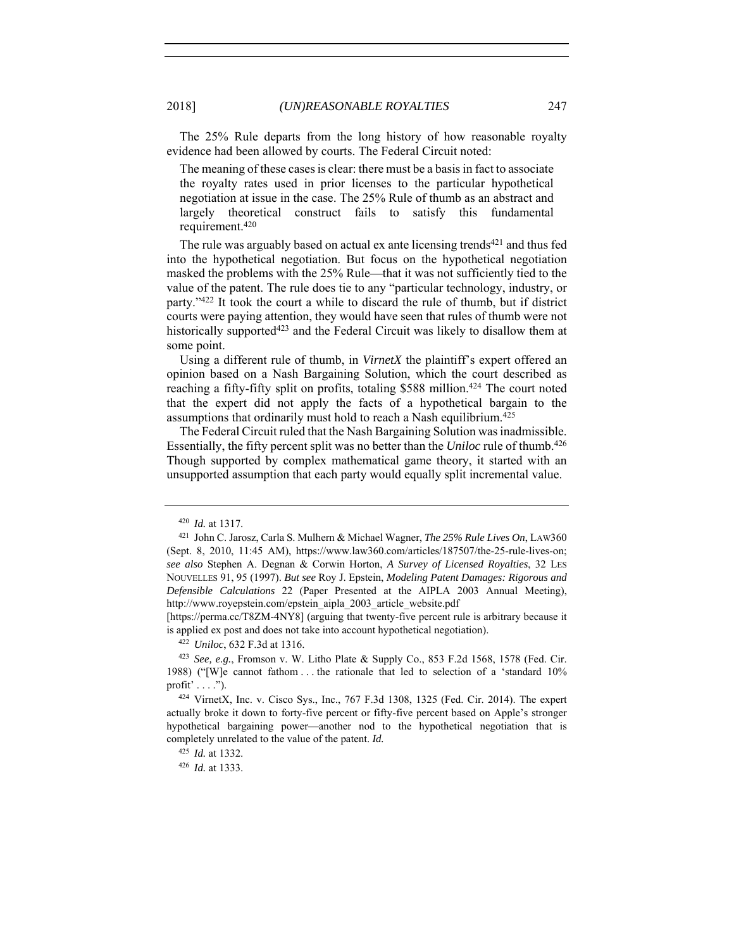The 25% Rule departs from the long history of how reasonable royalty evidence had been allowed by courts. The Federal Circuit noted:

The meaning of these cases is clear: there must be a basis in fact to associate the royalty rates used in prior licenses to the particular hypothetical negotiation at issue in the case. The 25% Rule of thumb as an abstract and largely theoretical construct fails to satisfy this fundamental requirement.420

The rule was arguably based on actual ex ante licensing trends<sup>421</sup> and thus fed into the hypothetical negotiation. But focus on the hypothetical negotiation masked the problems with the 25% Rule—that it was not sufficiently tied to the value of the patent. The rule does tie to any "particular technology, industry, or party."422 It took the court a while to discard the rule of thumb, but if district courts were paying attention, they would have seen that rules of thumb were not historically supported<sup>423</sup> and the Federal Circuit was likely to disallow them at some point.

Using a different rule of thumb, in *VirnetX* the plaintiff's expert offered an opinion based on a Nash Bargaining Solution, which the court described as reaching a fifty-fifty split on profits, totaling \$588 million.<sup>424</sup> The court noted that the expert did not apply the facts of a hypothetical bargain to the assumptions that ordinarily must hold to reach a Nash equilibrium.425

The Federal Circuit ruled that the Nash Bargaining Solution was inadmissible. Essentially, the fifty percent split was no better than the *Uniloc* rule of thumb.426 Though supported by complex mathematical game theory, it started with an unsupported assumption that each party would equally split incremental value.

[https://perma.cc/T8ZM-4NY8] (arguing that twenty-five percent rule is arbitrary because it is applied ex post and does not take into account hypothetical negotiation).

<sup>420</sup> *Id.* at 1317.

<sup>421</sup> John C. Jarosz, Carla S. Mulhern & Michael Wagner, *The 25% Rule Lives On*, LAW360 (Sept. 8, 2010, 11:45 AM), https://www.law360.com/articles/187507/the-25-rule-lives-on; *see also* Stephen A. Degnan & Corwin Horton, *A Survey of Licensed Royalties*, 32 LES NOUVELLES 91, 95 (1997). *But see* Roy J. Epstein, *Modeling Patent Damages: Rigorous and Defensible Calculations* 22 (Paper Presented at the AIPLA 2003 Annual Meeting), http://www.royepstein.com/epstein\_aipla\_2003\_article\_website.pdf

<sup>422</sup> *Uniloc*, 632 F.3d at 1316. 423 *See, e.g.*, Fromson v. W. Litho Plate & Supply Co., 853 F.2d 1568, 1578 (Fed. Cir. 1988) ("[W]e cannot fathom . . . the rationale that led to selection of a 'standard 10% profit'  $\dots$  .").

<sup>424</sup> VirnetX, Inc. v. Cisco Sys., Inc., 767 F.3d 1308, 1325 (Fed. Cir. 2014). The expert actually broke it down to forty-five percent or fifty-five percent based on Apple's stronger hypothetical bargaining power—another nod to the hypothetical negotiation that is completely unrelated to the value of the patent. *Id.*

<sup>425</sup> *Id.* at 1332.

<sup>426</sup> *Id.* at 1333.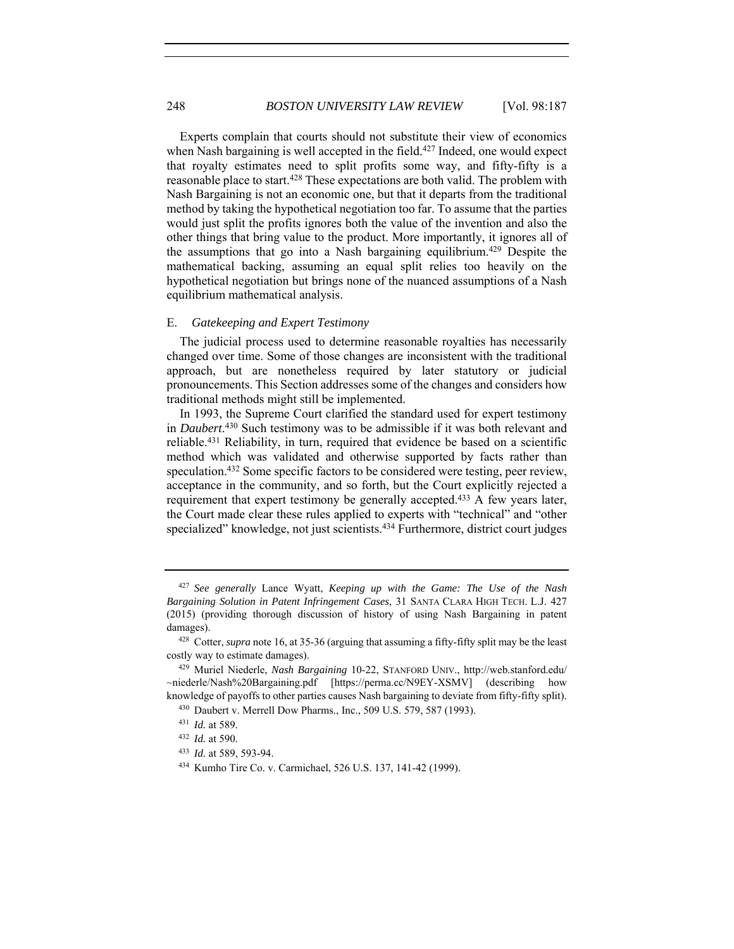Experts complain that courts should not substitute their view of economics when Nash bargaining is well accepted in the field.<sup>427</sup> Indeed, one would expect that royalty estimates need to split profits some way, and fifty-fifty is a reasonable place to start.<sup>428</sup> These expectations are both valid. The problem with Nash Bargaining is not an economic one, but that it departs from the traditional method by taking the hypothetical negotiation too far. To assume that the parties would just split the profits ignores both the value of the invention and also the other things that bring value to the product. More importantly, it ignores all of the assumptions that go into a Nash bargaining equilibrium.429 Despite the mathematical backing, assuming an equal split relies too heavily on the hypothetical negotiation but brings none of the nuanced assumptions of a Nash equilibrium mathematical analysis.

## E. *Gatekeeping and Expert Testimony*

The judicial process used to determine reasonable royalties has necessarily changed over time. Some of those changes are inconsistent with the traditional approach, but are nonetheless required by later statutory or judicial pronouncements. This Section addresses some of the changes and considers how traditional methods might still be implemented.

In 1993, the Supreme Court clarified the standard used for expert testimony in *Daubert*. 430 Such testimony was to be admissible if it was both relevant and reliable.431 Reliability, in turn, required that evidence be based on a scientific method which was validated and otherwise supported by facts rather than speculation.432 Some specific factors to be considered were testing, peer review, acceptance in the community, and so forth, but the Court explicitly rejected a requirement that expert testimony be generally accepted.<sup>433</sup> A few years later, the Court made clear these rules applied to experts with "technical" and "other specialized" knowledge, not just scientists.434 Furthermore, district court judges

<sup>427</sup> *See generally* Lance Wyatt, *Keeping up with the Game: The Use of the Nash Bargaining Solution in Patent Infringement Cases*, 31 SANTA CLARA HIGH TECH. L.J. 427 (2015) (providing thorough discussion of history of using Nash Bargaining in patent damages).

<sup>428</sup> Cotter, *supra* note 16, at 35-36 (arguing that assuming a fifty-fifty split may be the least costly way to estimate damages).

<sup>429</sup> Muriel Niederle, *Nash Bargaining* 10-22, STANFORD UNIV., http://web.stanford.edu/ ~niederle/Nash%20Bargaining.pdf [https://perma.cc/N9EY-XSMV] (describing how knowledge of payoffs to other parties causes Nash bargaining to deviate from fifty-fifty split).

<sup>430</sup> Daubert v. Merrell Dow Pharms., Inc., 509 U.S. 579, 587 (1993).

<sup>431</sup> *Id.* at 589.

<sup>432</sup> *Id.* at 590.

<sup>433</sup> *Id.* at 589, 593-94.

<sup>434</sup> Kumho Tire Co. v. Carmichael, 526 U.S. 137, 141-42 (1999).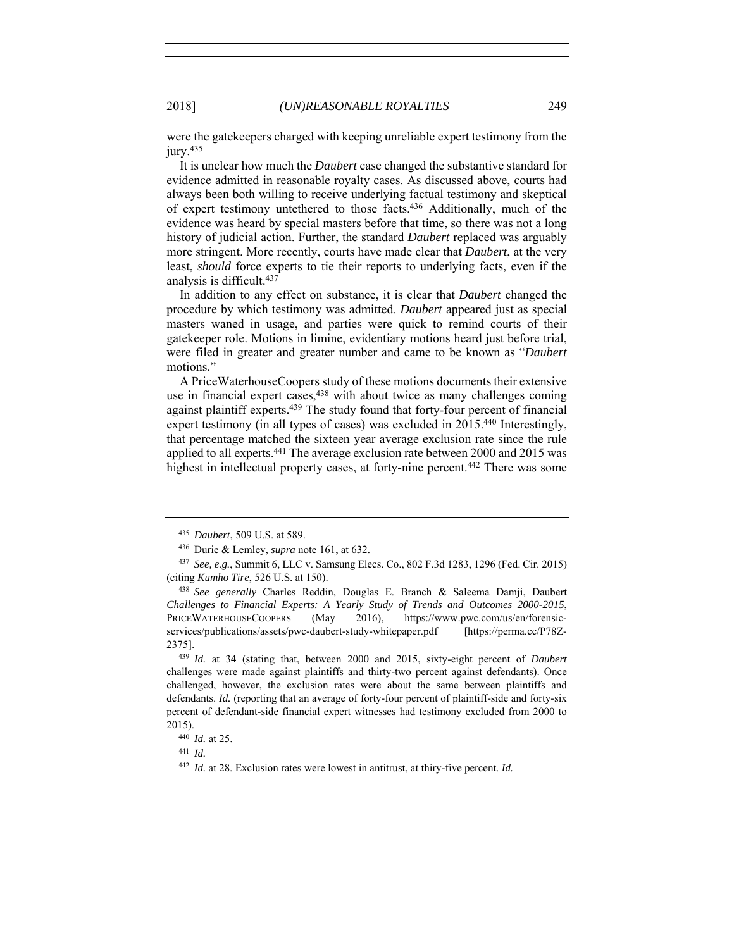were the gatekeepers charged with keeping unreliable expert testimony from the jury.<sup>435</sup>

It is unclear how much the *Daubert* case changed the substantive standard for evidence admitted in reasonable royalty cases. As discussed above, courts had always been both willing to receive underlying factual testimony and skeptical of expert testimony untethered to those facts.436 Additionally, much of the evidence was heard by special masters before that time, so there was not a long history of judicial action. Further, the standard *Daubert* replaced was arguably more stringent. More recently, courts have made clear that *Daubert*, at the very least, *should* force experts to tie their reports to underlying facts, even if the analysis is difficult.437

In addition to any effect on substance, it is clear that *Daubert* changed the procedure by which testimony was admitted. *Daubert* appeared just as special masters waned in usage, and parties were quick to remind courts of their gatekeeper role. Motions in limine, evidentiary motions heard just before trial, were filed in greater and greater number and came to be known as "*Daubert* motions."

A PriceWaterhouseCoopers study of these motions documents their extensive use in financial expert cases, <sup>438</sup> with about twice as many challenges coming against plaintiff experts.439 The study found that forty-four percent of financial expert testimony (in all types of cases) was excluded in 2015.440 Interestingly, that percentage matched the sixteen year average exclusion rate since the rule applied to all experts.441 The average exclusion rate between 2000 and 2015 was highest in intellectual property cases, at forty-nine percent.<sup>442</sup> There was some

<sup>435</sup> *Daubert*, 509 U.S. at 589. 436 Durie & Lemley, *supra* note 161, at 632.

<sup>437</sup> *See, e.g.*, Summit 6, LLC v. Samsung Elecs. Co., 802 F.3d 1283, 1296 (Fed. Cir. 2015) (citing *Kumho Tire*, 526 U.S. at 150).

<sup>438</sup> *See generally* Charles Reddin, Douglas E. Branch & Saleema Damji, Daubert *Challenges to Financial Experts: A Yearly Study of Trends and Outcomes 2000-2015*, PRICEWATERHOUSECOOPERS (May 2016), https://www.pwc.com/us/en/forensicservices/publications/assets/pwc-daubert-study-whitepaper.pdf [https://perma.cc/P78Z-2375]. 439 *Id.* at 34 (stating that, between 2000 and 2015, sixty-eight percent of *Daubert*

challenges were made against plaintiffs and thirty-two percent against defendants). Once challenged, however, the exclusion rates were about the same between plaintiffs and defendants. *Id.* (reporting that an average of forty-four percent of plaintiff-side and forty-six percent of defendant-side financial expert witnesses had testimony excluded from 2000 to 2015).

<sup>440</sup> *Id.* at 25.

<sup>441</sup> *Id.*

<sup>442</sup> *Id.* at 28. Exclusion rates were lowest in antitrust, at thiry-five percent. *Id.*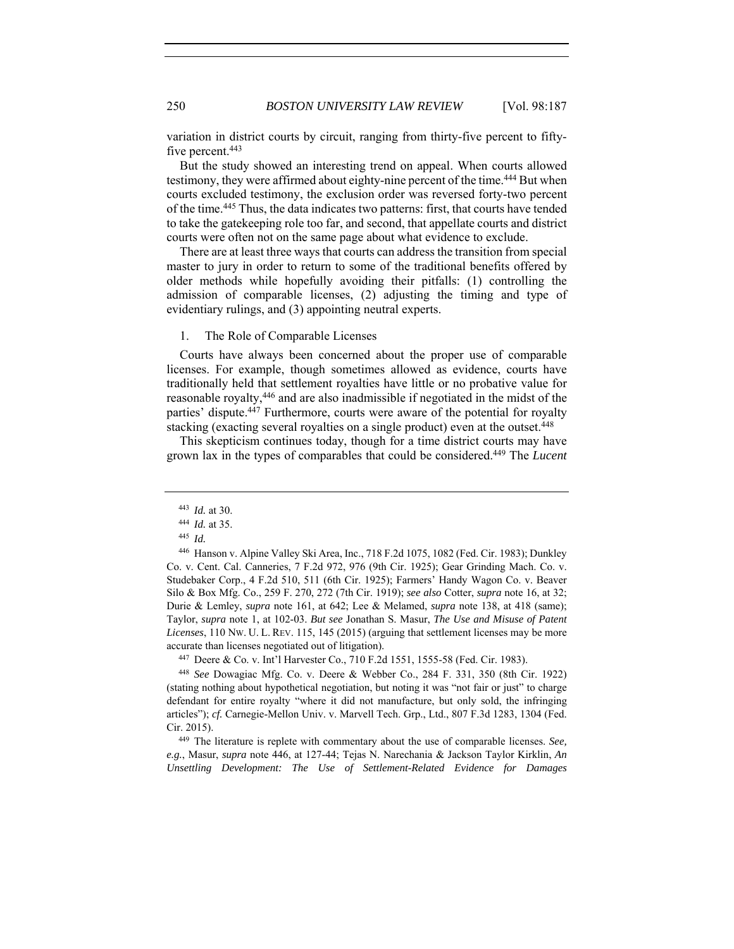variation in district courts by circuit, ranging from thirty-five percent to fiftyfive percent.<sup>443</sup>

But the study showed an interesting trend on appeal. When courts allowed testimony, they were affirmed about eighty-nine percent of the time.<sup>444</sup> But when courts excluded testimony, the exclusion order was reversed forty-two percent of the time.445 Thus, the data indicates two patterns: first, that courts have tended to take the gatekeeping role too far, and second, that appellate courts and district courts were often not on the same page about what evidence to exclude.

There are at least three ways that courts can address the transition from special master to jury in order to return to some of the traditional benefits offered by older methods while hopefully avoiding their pitfalls: (1) controlling the admission of comparable licenses, (2) adjusting the timing and type of evidentiary rulings, and (3) appointing neutral experts.

## 1. The Role of Comparable Licenses

Courts have always been concerned about the proper use of comparable licenses. For example, though sometimes allowed as evidence, courts have traditionally held that settlement royalties have little or no probative value for reasonable royalty,446 and are also inadmissible if negotiated in the midst of the parties' dispute.<sup>447</sup> Furthermore, courts were aware of the potential for royalty stacking (exacting several royalties on a single product) even at the outset.<sup>448</sup>

This skepticism continues today, though for a time district courts may have grown lax in the types of comparables that could be considered.449 The *Lucent*

<sup>447</sup> Deere & Co. v. Int'l Harvester Co., 710 F.2d 1551, 1555-58 (Fed. Cir. 1983).

<sup>443</sup> *Id.* at 30.

<sup>444</sup> *Id.* at 35. 445 *Id.*

<sup>446</sup> Hanson v. Alpine Valley Ski Area, Inc., 718 F.2d 1075, 1082 (Fed. Cir. 1983); Dunkley Co. v. Cent. Cal. Canneries, 7 F.2d 972, 976 (9th Cir. 1925); Gear Grinding Mach. Co. v. Studebaker Corp., 4 F.2d 510, 511 (6th Cir. 1925); Farmers' Handy Wagon Co. v. Beaver Silo & Box Mfg. Co., 259 F. 270, 272 (7th Cir. 1919); *see also* Cotter, *supra* note 16, at 32; Durie & Lemley, *supra* note 161, at 642; Lee & Melamed, *supra* note 138, at 418 (same); Taylor, *supra* note 1, at 102-03. *But see* Jonathan S. Masur, *The Use and Misuse of Patent Licenses*, 110 NW. U. L. REV. 115, 145 (2015) (arguing that settlement licenses may be more accurate than licenses negotiated out of litigation).

<sup>448</sup> *See* Dowagiac Mfg. Co. v. Deere & Webber Co., 284 F. 331, 350 (8th Cir. 1922) (stating nothing about hypothetical negotiation, but noting it was "not fair or just" to charge defendant for entire royalty "where it did not manufacture, but only sold, the infringing articles"); *cf.* Carnegie-Mellon Univ. v. Marvell Tech. Grp., Ltd., 807 F.3d 1283, 1304 (Fed. Cir. 2015). 449 The literature is replete with commentary about the use of comparable licenses. *See,* 

*e.g.*, Masur, *supra* note 446, at 127-44; Tejas N. Narechania & Jackson Taylor Kirklin, *An Unsettling Development: The Use of Settlement-Related Evidence for Damages*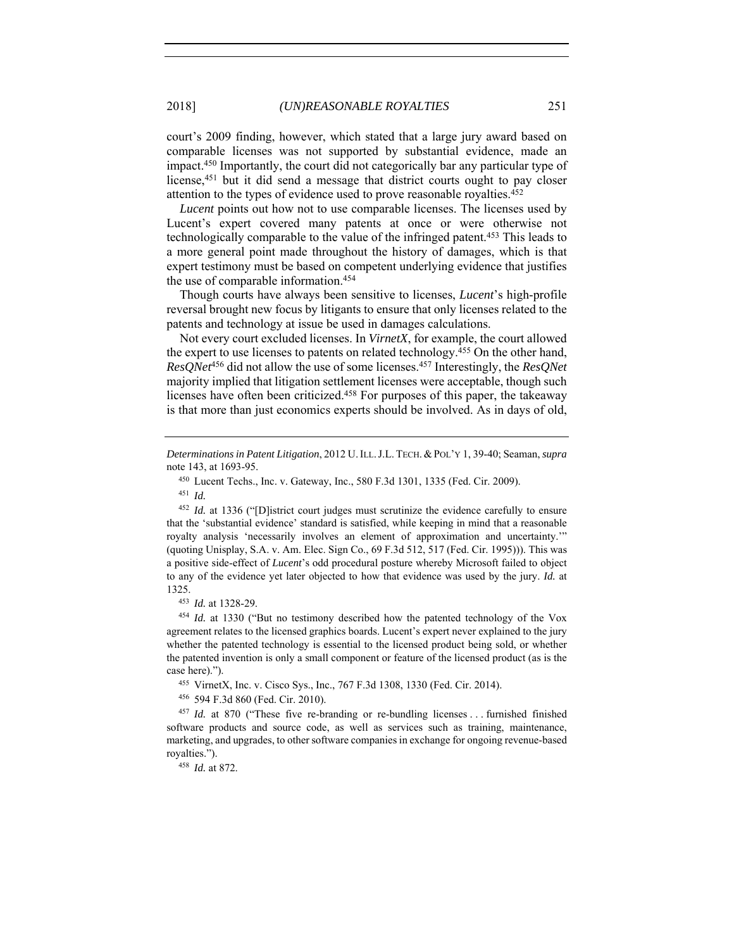court's 2009 finding, however, which stated that a large jury award based on comparable licenses was not supported by substantial evidence, made an impact.450 Importantly, the court did not categorically bar any particular type of license,451 but it did send a message that district courts ought to pay closer attention to the types of evidence used to prove reasonable royalties.452

*Lucent* points out how not to use comparable licenses. The licenses used by Lucent's expert covered many patents at once or were otherwise not technologically comparable to the value of the infringed patent. 453 This leads to a more general point made throughout the history of damages, which is that expert testimony must be based on competent underlying evidence that justifies the use of comparable information.454

Though courts have always been sensitive to licenses, *Lucent*'s high-profile reversal brought new focus by litigants to ensure that only licenses related to the patents and technology at issue be used in damages calculations.

Not every court excluded licenses. In *VirnetX*, for example, the court allowed the expert to use licenses to patents on related technology.455 On the other hand, *ResQNet*456 did not allow the use of some licenses.457 Interestingly, the *ResQNet* majority implied that litigation settlement licenses were acceptable, though such licenses have often been criticized.458 For purposes of this paper, the takeaway is that more than just economics experts should be involved. As in days of old,

<sup>452</sup> *Id.* at 1336 ("[D]istrict court judges must scrutinize the evidence carefully to ensure that the 'substantial evidence' standard is satisfied, while keeping in mind that a reasonable royalty analysis 'necessarily involves an element of approximation and uncertainty.'" (quoting Unisplay, S.A. v. Am. Elec. Sign Co., 69 F.3d 512, 517 (Fed. Cir. 1995))). This was a positive side-effect of *Lucent*'s odd procedural posture whereby Microsoft failed to object to any of the evidence yet later objected to how that evidence was used by the jury. *Id.* at 1325. 453 *Id.* at 1328-29.

<sup>454</sup> *Id.* at 1330 ("But no testimony described how the patented technology of the Vox agreement relates to the licensed graphics boards. Lucent's expert never explained to the jury whether the patented technology is essential to the licensed product being sold, or whether the patented invention is only a small component or feature of the licensed product (as is the case here).").

<sup>455</sup> VirnetX, Inc. v. Cisco Sys., Inc., 767 F.3d 1308, 1330 (Fed. Cir. 2014).

<sup>456</sup> 594 F.3d 860 (Fed. Cir. 2010).

<sup>457</sup> *Id.* at 870 ("These five re-branding or re-bundling licenses ... furnished finished software products and source code, as well as services such as training, maintenance, marketing, and upgrades, to other software companies in exchange for ongoing revenue-based royalties.").

<sup>458</sup> *Id.* at 872.

*Determinations in Patent Litigation*, 2012 U.ILL.J.L. TECH. &POL'Y 1, 39-40; Seaman, *supra* note 143, at 1693-95.

<sup>450</sup> Lucent Techs., Inc. v. Gateway, Inc., 580 F.3d 1301, 1335 (Fed. Cir. 2009). 451 *Id.*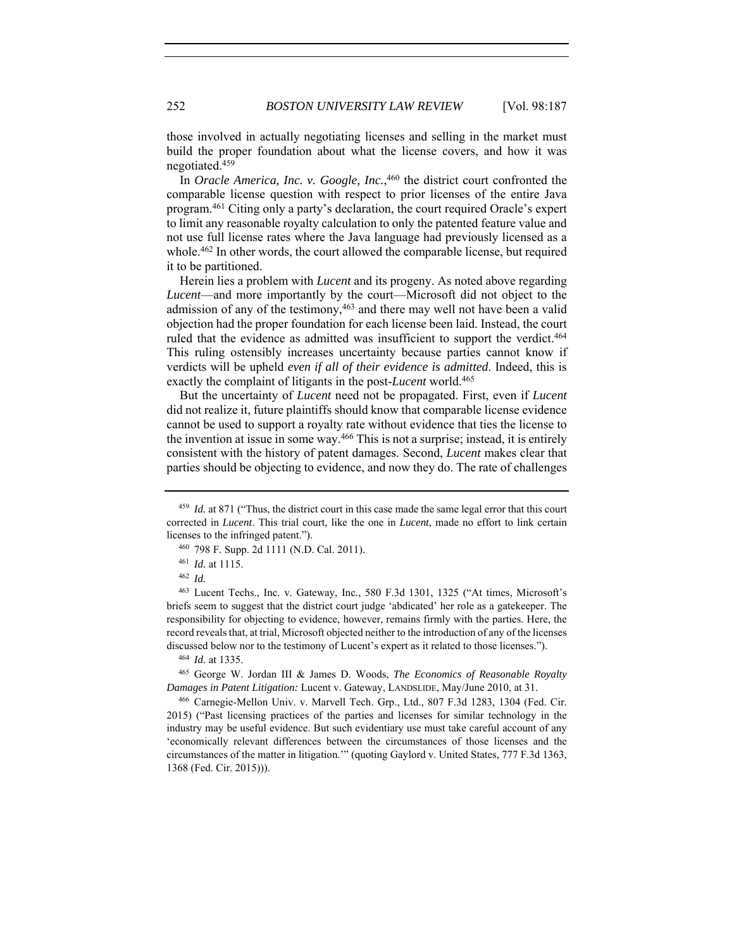those involved in actually negotiating licenses and selling in the market must build the proper foundation about what the license covers, and how it was negotiated.459

In *Oracle America, Inc. v. Google, Inc.*, 460 the district court confronted the comparable license question with respect to prior licenses of the entire Java program.461 Citing only a party's declaration, the court required Oracle's expert to limit any reasonable royalty calculation to only the patented feature value and not use full license rates where the Java language had previously licensed as a whole.<sup>462</sup> In other words, the court allowed the comparable license, but required it to be partitioned.

Herein lies a problem with *Lucent* and its progeny. As noted above regarding *Lucent*—and more importantly by the court—Microsoft did not object to the admission of any of the testimony,<sup>463</sup> and there may well not have been a valid objection had the proper foundation for each license been laid. Instead, the court ruled that the evidence as admitted was insufficient to support the verdict.<sup>464</sup> This ruling ostensibly increases uncertainty because parties cannot know if verdicts will be upheld *even if all of their evidence is admitted*. Indeed, this is exactly the complaint of litigants in the post-*Lucent* world.465

But the uncertainty of *Lucent* need not be propagated. First, even if *Lucent* did not realize it, future plaintiffs should know that comparable license evidence cannot be used to support a royalty rate without evidence that ties the license to the invention at issue in some way.466 This is not a surprise; instead, it is entirely consistent with the history of patent damages. Second, *Lucent* makes clear that parties should be objecting to evidence, and now they do. The rate of challenges

<sup>464</sup> *Id.* at 1335.

<sup>465</sup> George W. Jordan III & James D. Woods, *The Economics of Reasonable Royalty Damages in Patent Litigation:* Lucent v. Gateway, LANDSLIDE, May/June 2010, at 31.

<sup>466</sup> Carnegie-Mellon Univ. v. Marvell Tech. Grp., Ltd., 807 F.3d 1283, 1304 (Fed. Cir. 2015) ("Past licensing practices of the parties and licenses for similar technology in the industry may be useful evidence. But such evidentiary use must take careful account of any 'economically relevant differences between the circumstances of those licenses and the circumstances of the matter in litigation.'" (quoting Gaylord v. United States, 777 F.3d 1363, 1368 (Fed. Cir. 2015))).

<sup>459</sup> *Id.* at 871 ("Thus, the district court in this case made the same legal error that this court corrected in *Lucent*. This trial court, like the one in *Lucent*, made no effort to link certain licenses to the infringed patent.").

<sup>460</sup> 798 F. Supp. 2d 1111 (N.D. Cal. 2011).

<sup>461</sup> *Id.* at 1115.

<sup>462</sup> *Id.*

<sup>463</sup> Lucent Techs., Inc. v. Gateway, Inc*.*, 580 F.3d 1301, 1325 ("At times, Microsoft's briefs seem to suggest that the district court judge 'abdicated' her role as a gatekeeper. The responsibility for objecting to evidence, however, remains firmly with the parties. Here, the record reveals that, at trial, Microsoft objected neither to the introduction of any of the licenses discussed below nor to the testimony of Lucent's expert as it related to those licenses.").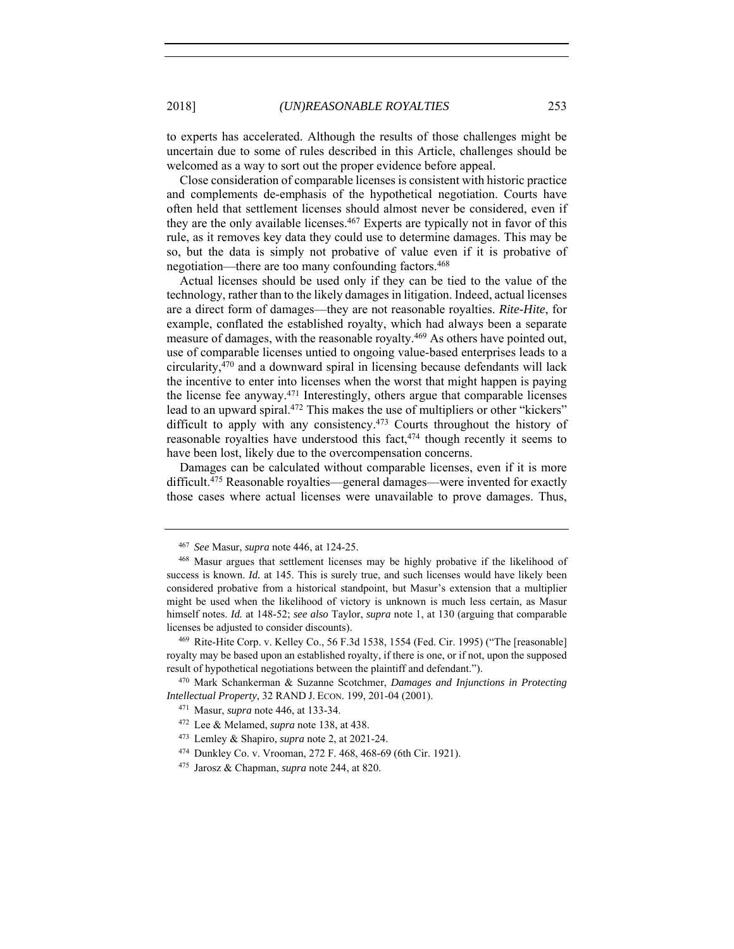to experts has accelerated. Although the results of those challenges might be uncertain due to some of rules described in this Article, challenges should be welcomed as a way to sort out the proper evidence before appeal.

Close consideration of comparable licenses is consistent with historic practice and complements de-emphasis of the hypothetical negotiation. Courts have often held that settlement licenses should almost never be considered, even if they are the only available licenses.467 Experts are typically not in favor of this rule, as it removes key data they could use to determine damages. This may be so, but the data is simply not probative of value even if it is probative of negotiation—there are too many confounding factors.468

Actual licenses should be used only if they can be tied to the value of the technology, rather than to the likely damages in litigation. Indeed, actual licenses are a direct form of damages—they are not reasonable royalties. *Rite-Hite*, for example, conflated the established royalty, which had always been a separate measure of damages, with the reasonable royalty.469 As others have pointed out, use of comparable licenses untied to ongoing value-based enterprises leads to a circularity,470 and a downward spiral in licensing because defendants will lack the incentive to enter into licenses when the worst that might happen is paying the license fee anyway.471 Interestingly, others argue that comparable licenses lead to an upward spiral.472 This makes the use of multipliers or other "kickers" difficult to apply with any consistency.<sup>473</sup> Courts throughout the history of reasonable royalties have understood this fact,<sup>474</sup> though recently it seems to have been lost, likely due to the overcompensation concerns.

Damages can be calculated without comparable licenses, even if it is more difficult.<sup>475</sup> Reasonable royalties—general damages—were invented for exactly those cases where actual licenses were unavailable to prove damages. Thus,

<sup>467</sup> *See* Masur, *supra* note 446, at 124-25.

<sup>468</sup> Masur argues that settlement licenses may be highly probative if the likelihood of success is known. *Id.* at 145. This is surely true, and such licenses would have likely been considered probative from a historical standpoint, but Masur's extension that a multiplier might be used when the likelihood of victory is unknown is much less certain, as Masur himself notes. *Id.* at 148-52; *see also* Taylor, *supra* note 1, at 130 (arguing that comparable licenses be adjusted to consider discounts).

<sup>469</sup> Rite-Hite Corp. v. Kelley Co., 56 F.3d 1538, 1554 (Fed. Cir. 1995) ("The [reasonable] royalty may be based upon an established royalty, if there is one, or if not, upon the supposed result of hypothetical negotiations between the plaintiff and defendant."). 470 Mark Schankerman & Suzanne Scotchmer, *Damages and Injunctions in Protecting* 

*Intellectual Property*, 32 RAND J. ECON. 199, 201-04 (2001).

<sup>471</sup> Masur, *supra* note 446, at 133-34.

<sup>472</sup> Lee & Melamed, *supra* note 138, at 438.

<sup>473</sup> Lemley & Shapiro, *supra* note 2, at 2021-24.

<sup>474</sup> Dunkley Co. v. Vrooman, 272 F. 468, 468-69 (6th Cir. 1921).

<sup>475</sup> Jarosz & Chapman, *supra* note 244, at 820.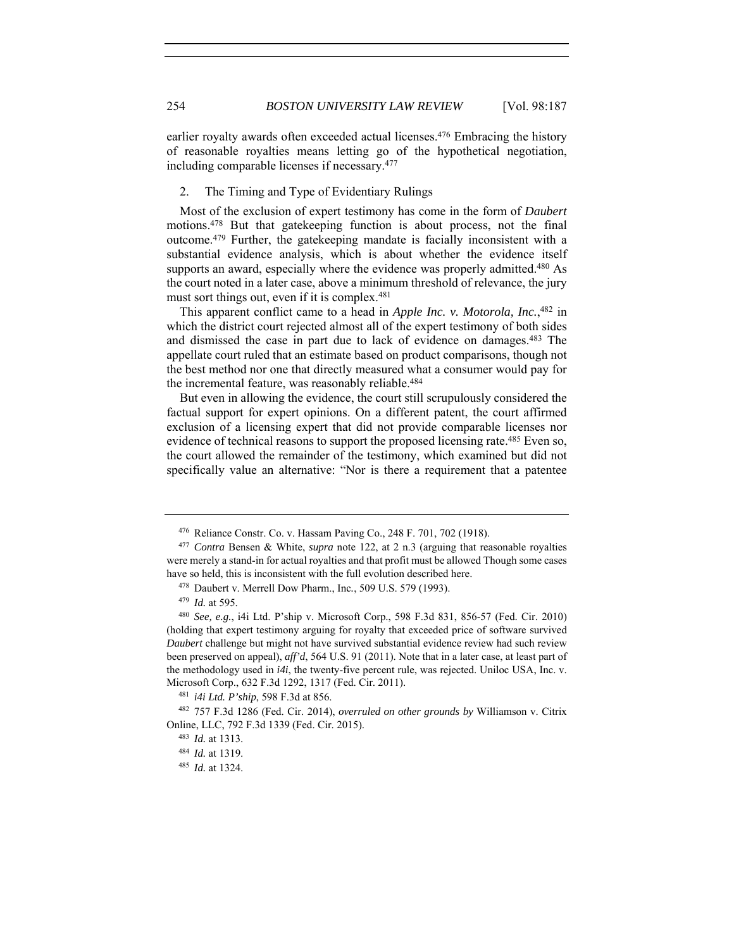earlier royalty awards often exceeded actual licenses.476 Embracing the history of reasonable royalties means letting go of the hypothetical negotiation, including comparable licenses if necessary.477

# 2. The Timing and Type of Evidentiary Rulings

Most of the exclusion of expert testimony has come in the form of *Daubert* motions.478 But that gatekeeping function is about process, not the final outcome.479 Further, the gatekeeping mandate is facially inconsistent with a substantial evidence analysis, which is about whether the evidence itself supports an award, especially where the evidence was properly admitted.<sup>480</sup> As the court noted in a later case, above a minimum threshold of relevance, the jury must sort things out, even if it is complex.<sup>481</sup>

This apparent conflict came to a head in *Apple Inc. v. Motorola, Inc.*, 482 in which the district court rejected almost all of the expert testimony of both sides and dismissed the case in part due to lack of evidence on damages.483 The appellate court ruled that an estimate based on product comparisons, though not the best method nor one that directly measured what a consumer would pay for the incremental feature, was reasonably reliable.<sup>484</sup>

But even in allowing the evidence, the court still scrupulously considered the factual support for expert opinions. On a different patent, the court affirmed exclusion of a licensing expert that did not provide comparable licenses nor evidence of technical reasons to support the proposed licensing rate.<sup>485</sup> Even so, the court allowed the remainder of the testimony, which examined but did not specifically value an alternative: "Nor is there a requirement that a patentee

<sup>476</sup> Reliance Constr. Co. v. Hassam Paving Co., 248 F. 701, 702 (1918). 477 *Contra* Bensen & White, *supra* note 122, at 2 n.3 (arguing that reasonable royalties

were merely a stand-in for actual royalties and that profit must be allowed Though some cases have so held, this is inconsistent with the full evolution described here.

<sup>478</sup> Daubert v. Merrell Dow Pharm., Inc*.*, 509 U.S. 579 (1993).

<sup>479</sup> *Id.* at 595.

<sup>480</sup> *See, e.g.*, i4i Ltd. P'ship v. Microsoft Corp., 598 F.3d 831, 856-57 (Fed. Cir. 2010) (holding that expert testimony arguing for royalty that exceeded price of software survived *Daubert* challenge but might not have survived substantial evidence review had such review been preserved on appeal), *aff'd*, 564 U.S. 91 (2011). Note that in a later case, at least part of the methodology used in *i4i*, the twenty-five percent rule, was rejected. Uniloc USA, Inc. v. Microsoft Corp., 632 F.3d 1292, 1317 (Fed. Cir. 2011). 481 *i4i Ltd. P'ship*, 598 F.3d at 856.

<sup>482</sup> 757 F.3d 1286 (Fed. Cir. 2014), *overruled on other grounds by* Williamson v. Citrix Online, LLC, 792 F.3d 1339 (Fed. Cir. 2015).

<sup>483</sup> *Id.* at 1313.

<sup>484</sup> *Id.* at 1319.

<sup>485</sup> *Id.* at 1324.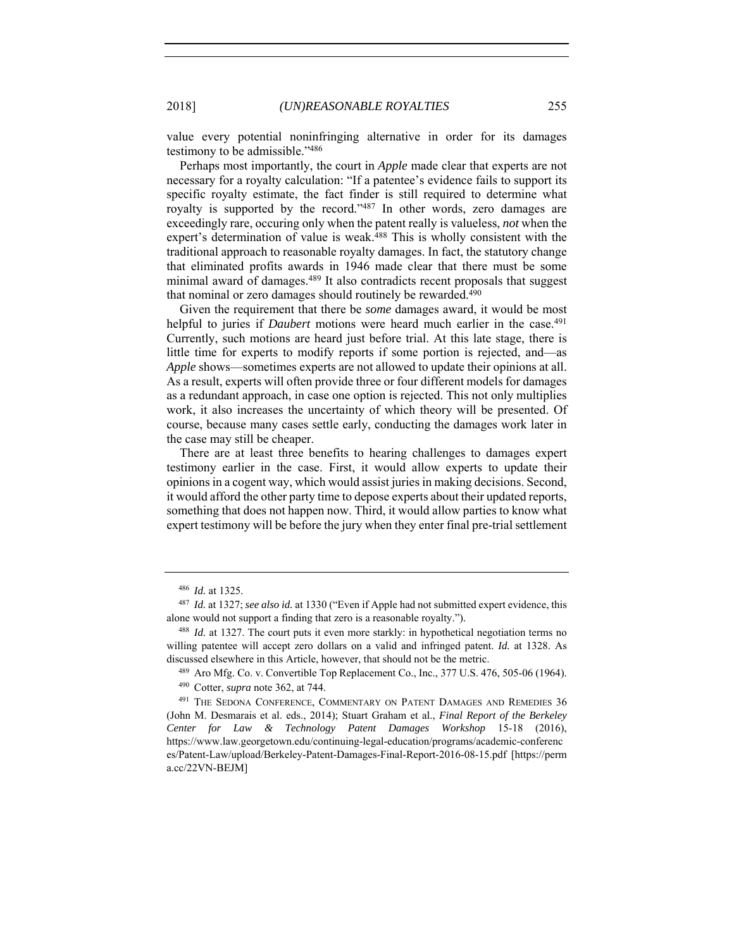value every potential noninfringing alternative in order for its damages testimony to be admissible."486

Perhaps most importantly, the court in *Apple* made clear that experts are not necessary for a royalty calculation: "If a patentee's evidence fails to support its specific royalty estimate, the fact finder is still required to determine what royalty is supported by the record."487 In other words, zero damages are exceedingly rare, occuring only when the patent really is valueless, *not* when the expert's determination of value is weak.<sup>488</sup> This is wholly consistent with the traditional approach to reasonable royalty damages. In fact, the statutory change that eliminated profits awards in 1946 made clear that there must be some minimal award of damages.489 It also contradicts recent proposals that suggest that nominal or zero damages should routinely be rewarded.<sup>490</sup>

Given the requirement that there be *some* damages award, it would be most helpful to juries if *Daubert* motions were heard much earlier in the case.<sup>491</sup> Currently, such motions are heard just before trial. At this late stage, there is little time for experts to modify reports if some portion is rejected, and—as *Apple* shows—sometimes experts are not allowed to update their opinions at all. As a result, experts will often provide three or four different models for damages as a redundant approach, in case one option is rejected. This not only multiplies work, it also increases the uncertainty of which theory will be presented. Of course, because many cases settle early, conducting the damages work later in the case may still be cheaper.

There are at least three benefits to hearing challenges to damages expert testimony earlier in the case. First, it would allow experts to update their opinions in a cogent way, which would assist juries in making decisions. Second, it would afford the other party time to depose experts about their updated reports, something that does not happen now. Third, it would allow parties to know what expert testimony will be before the jury when they enter final pre-trial settlement

<sup>486</sup> *Id.* at 1325.

<sup>487</sup> *Id.* at 1327; *see also id.* at 1330 ("Even if Apple had not submitted expert evidence, this alone would not support a finding that zero is a reasonable royalty.").

<sup>488</sup> *Id.* at 1327. The court puts it even more starkly: in hypothetical negotiation terms no willing patentee will accept zero dollars on a valid and infringed patent. *Id.* at 1328. As discussed elsewhere in this Article, however, that should not be the metric.<br><sup>489</sup> Aro Mfg. Co. v. Convertible Top Replacement Co., Inc., 377 U.S. 476, 505-06 (1964).

<sup>490</sup> Cotter, *supra* note 362, at 744.

<sup>&</sup>lt;sup>491</sup> THE SEDONA CONFERENCE, COMMENTARY ON PATENT DAMAGES AND REMEDIES 36 (John M. Desmarais et al. eds., 2014); Stuart Graham et al., *Final Report of the Berkeley Center for Law & Technology Patent Damages Workshop* 15-18 (2016), https://www.law.georgetown.edu/continuing-legal-education/programs/academic-conferenc es/Patent-Law/upload/Berkeley-Patent-Damages-Final-Report-2016-08-15.pdf [https://perm a.cc/22VN-BEJM]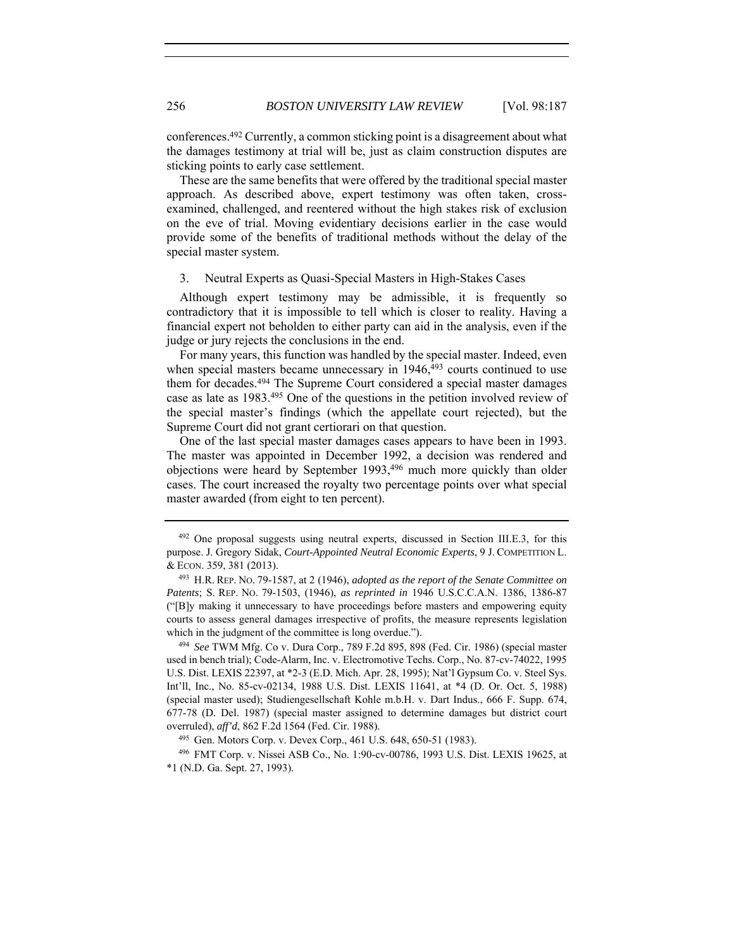conferences.492 Currently, a common sticking point is a disagreement about what the damages testimony at trial will be, just as claim construction disputes are sticking points to early case settlement.

These are the same benefits that were offered by the traditional special master approach. As described above, expert testimony was often taken, crossexamined, challenged, and reentered without the high stakes risk of exclusion on the eve of trial. Moving evidentiary decisions earlier in the case would provide some of the benefits of traditional methods without the delay of the special master system.

#### 3. Neutral Experts as Quasi-Special Masters in High-Stakes Cases

Although expert testimony may be admissible, it is frequently so contradictory that it is impossible to tell which is closer to reality. Having a financial expert not beholden to either party can aid in the analysis, even if the judge or jury rejects the conclusions in the end.

For many years, this function was handled by the special master. Indeed, even when special masters became unnecessary in  $1946,493$  courts continued to use them for decades.494 The Supreme Court considered a special master damages case as late as 1983.495 One of the questions in the petition involved review of the special master's findings (which the appellate court rejected), but the Supreme Court did not grant certiorari on that question.

One of the last special master damages cases appears to have been in 1993. The master was appointed in December 1992, a decision was rendered and objections were heard by September 1993,496 much more quickly than older cases. The court increased the royalty two percentage points over what special master awarded (from eight to ten percent).

<sup>&</sup>lt;sup>492</sup> One proposal suggests using neutral experts, discussed in Section III.E.3, for this purpose. J. Gregory Sidak, *Court-Appointed Neutral Economic Experts*, 9 J. COMPETITION L. & ECON. 359, 381 (2013). 493 H.R. REP. NO. 79-1587, at 2 (1946), *adopted as the report of the Senate Committee on* 

*Patents*; S. REP. NO. 79-1503, (1946), *as reprinted in* 1946 U.S.C.C.A.N. 1386, 1386-87 ("[B]y making it unnecessary to have proceedings before masters and empowering equity courts to assess general damages irrespective of profits, the measure represents legislation which in the judgment of the committee is long overdue.").<br><sup>494</sup> *See* TWM Mfg. Co v. Dura Corp., 789 F.2d 895, 898 (Fed. Cir. 1986) (special master

used in bench trial); Code-Alarm, Inc. v. Electromotive Techs. Corp., No. 87-cv-74022, 1995 U.S. Dist. LEXIS 22397, at \*2-3 (E.D. Mich. Apr. 28, 1995); Nat'l Gypsum Co. v. Steel Sys. Int'll, Inc., No. 85-cv-02134, 1988 U.S. Dist. LEXIS 11641, at \*4 (D. Or. Oct. 5, 1988) (special master used); Studiengesellschaft Kohle m.b.H. v. Dart Indus., 666 F. Supp. 674, 677-78 (D. Del. 1987) (special master assigned to determine damages but district court overruled), *aff'd*, 862 F.2d 1564 (Fed. Cir. 1988).<br><sup>495</sup> Gen. Motors Corp. v. Devex Corp., 461 U.S. 648, 650-51 (1983).

<sup>496</sup> FMT Corp. v. Nissei ASB Co., No. 1:90-cv-00786, 1993 U.S. Dist. LEXIS 19625, at \*1 (N.D. Ga. Sept. 27, 1993).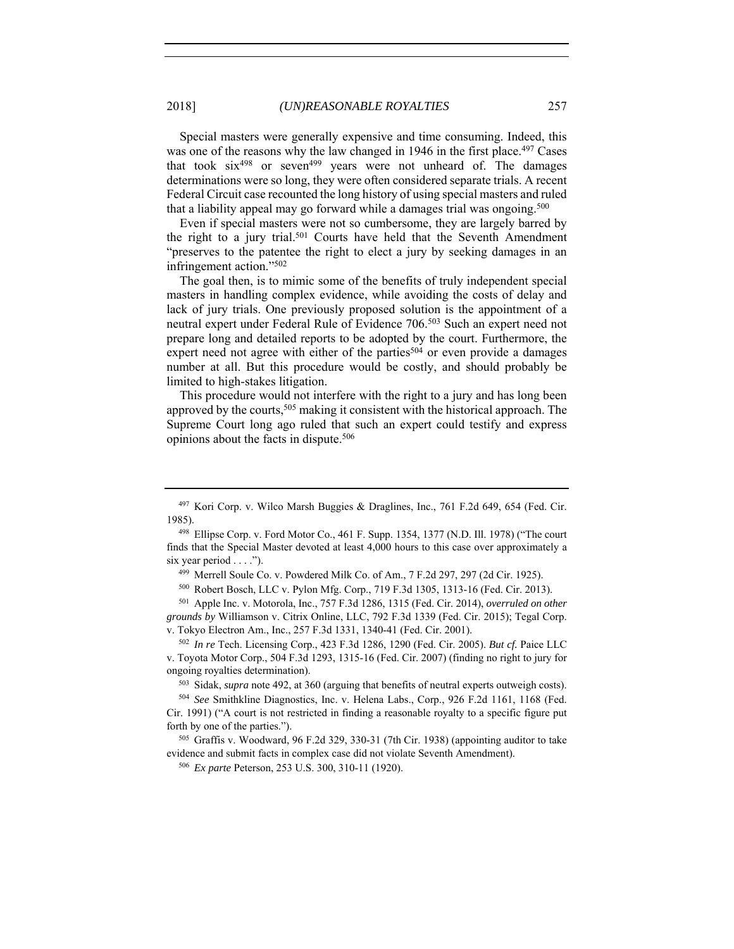Special masters were generally expensive and time consuming. Indeed, this was one of the reasons why the law changed in 1946 in the first place.<sup>497</sup> Cases that took  $six^{498}$  or seven<sup>499</sup> years were not unheard of. The damages determinations were so long, they were often considered separate trials. A recent Federal Circuit case recounted the long history of using special masters and ruled that a liability appeal may go forward while a damages trial was ongoing.<sup>500</sup>

Even if special masters were not so cumbersome, they are largely barred by the right to a jury trial.501 Courts have held that the Seventh Amendment "preserves to the patentee the right to elect a jury by seeking damages in an infringement action."502

The goal then, is to mimic some of the benefits of truly independent special masters in handling complex evidence, while avoiding the costs of delay and lack of jury trials. One previously proposed solution is the appointment of a neutral expert under Federal Rule of Evidence 706.503 Such an expert need not prepare long and detailed reports to be adopted by the court. Furthermore, the expert need not agree with either of the parties<sup>504</sup> or even provide a damages number at all. But this procedure would be costly, and should probably be limited to high-stakes litigation.

This procedure would not interfere with the right to a jury and has long been approved by the courts,<sup>505</sup> making it consistent with the historical approach. The Supreme Court long ago ruled that such an expert could testify and express opinions about the facts in dispute.506

<sup>499</sup> Merrell Soule Co. v. Powdered Milk Co. of Am.,  $7$  F.2d 297, 297 (2d Cir. 1925).<br><sup>500</sup> Robert Bosch, LLC v. Pylon Mfg. Corp., 719 F.3d 1305, 1313-16 (Fed. Cir. 2013).

<sup>501</sup> Apple Inc. v. Motorola, Inc., 757 F.3d 1286, 1315 (Fed. Cir. 2014), *overruled on other grounds by* Williamson v. Citrix Online, LLC, 792 F.3d 1339 (Fed. Cir. 2015); Tegal Corp.

v. Tokyo Electron Am., Inc., 257 F.3d 1331, 1340-41 (Fed. Cir. 2001). 502 *In re* Tech. Licensing Corp., 423 F.3d 1286, 1290 (Fed. Cir. 2005). *But cf.* Paice LLC v. Toyota Motor Corp., 504 F.3d 1293, 1315-16 (Fed. Cir. 2007) (finding no right to jury for ongoing royalties determination).

<sup>503</sup> Sidak, *supra* note 492, at 360 (arguing that benefits of neutral experts outweigh costs).

<sup>504</sup> *See* Smithkline Diagnostics, Inc. v. Helena Labs., Corp., 926 F.2d 1161, 1168 (Fed. Cir. 1991) ("A court is not restricted in finding a reasonable royalty to a specific figure put forth by one of the parties.").<br><sup>505</sup> Graffis v. Woodward, 96 F.2d 329, 330-31 (7th Cir. 1938) (appointing auditor to take

evidence and submit facts in complex case did not violate Seventh Amendment).

<sup>506</sup> *Ex parte* Peterson, 253 U.S. 300, 310-11 (1920).

<sup>497</sup> Kori Corp. v. Wilco Marsh Buggies & Draglines, Inc., 761 F.2d 649, 654 (Fed. Cir. 1985).

<sup>498</sup> Ellipse Corp. v. Ford Motor Co., 461 F. Supp. 1354, 1377 (N.D. Ill. 1978) ("The court finds that the Special Master devoted at least 4,000 hours to this case over approximately a six year period . . . .").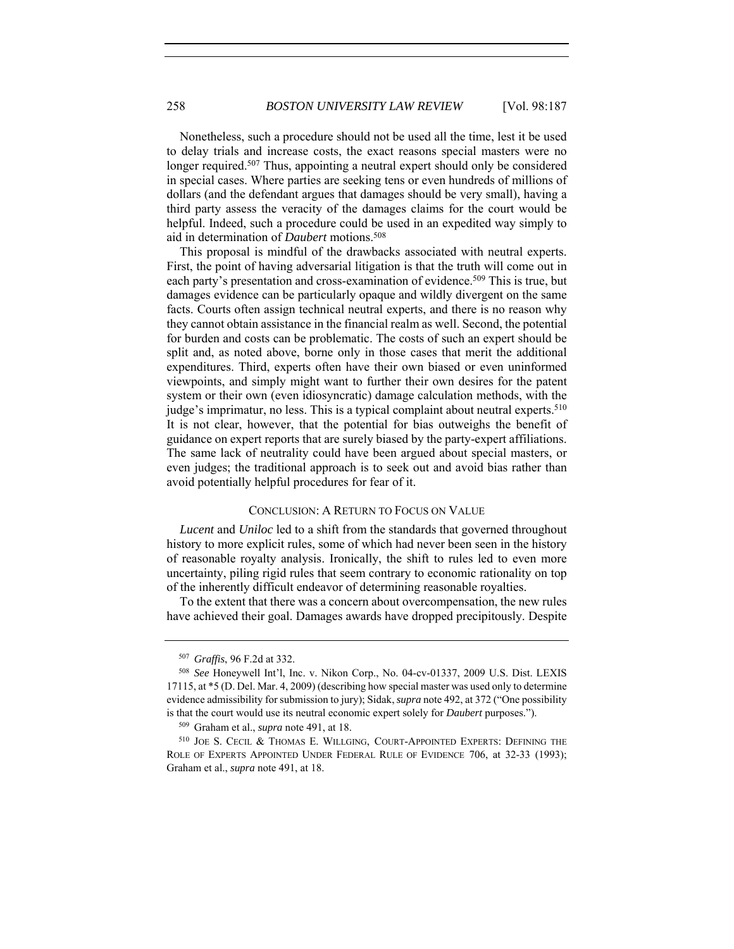Nonetheless, such a procedure should not be used all the time, lest it be used to delay trials and increase costs, the exact reasons special masters were no longer required.<sup>507</sup> Thus, appointing a neutral expert should only be considered in special cases. Where parties are seeking tens or even hundreds of millions of dollars (and the defendant argues that damages should be very small), having a third party assess the veracity of the damages claims for the court would be helpful. Indeed, such a procedure could be used in an expedited way simply to aid in determination of *Daubert* motions.508

This proposal is mindful of the drawbacks associated with neutral experts. First, the point of having adversarial litigation is that the truth will come out in each party's presentation and cross-examination of evidence.<sup>509</sup> This is true, but damages evidence can be particularly opaque and wildly divergent on the same facts. Courts often assign technical neutral experts, and there is no reason why they cannot obtain assistance in the financial realm as well. Second, the potential for burden and costs can be problematic. The costs of such an expert should be split and, as noted above, borne only in those cases that merit the additional expenditures. Third, experts often have their own biased or even uninformed viewpoints, and simply might want to further their own desires for the patent system or their own (even idiosyncratic) damage calculation methods, with the judge's imprimatur, no less. This is a typical complaint about neutral experts.<sup>510</sup> It is not clear, however, that the potential for bias outweighs the benefit of guidance on expert reports that are surely biased by the party-expert affiliations. The same lack of neutrality could have been argued about special masters, or even judges; the traditional approach is to seek out and avoid bias rather than avoid potentially helpful procedures for fear of it.

### CONCLUSION: A RETURN TO FOCUS ON VALUE

*Lucent* and *Uniloc* led to a shift from the standards that governed throughout history to more explicit rules, some of which had never been seen in the history of reasonable royalty analysis. Ironically, the shift to rules led to even more uncertainty, piling rigid rules that seem contrary to economic rationality on top of the inherently difficult endeavor of determining reasonable royalties.

To the extent that there was a concern about overcompensation, the new rules have achieved their goal. Damages awards have dropped precipitously. Despite

<sup>507</sup> *Graffis*, 96 F.2d at 332. 508 *See* Honeywell Int'l, Inc. v. Nikon Corp., No. 04-cv-01337, 2009 U.S. Dist. LEXIS 17115, at \*5 (D. Del. Mar. 4, 2009) (describing how special master was used only to determine evidence admissibility for submission to jury); Sidak, *supra* note 492, at 372 ("One possibility is that the court would use its neutral economic expert solely for *Daubert* purposes."). 509 Graham et al., *supra* note 491, at 18.

<sup>510</sup> JOE S. CECIL & THOMAS E. WILLGING, COURT-APPOINTED EXPERTS: DEFINING THE ROLE OF EXPERTS APPOINTED UNDER FEDERAL RULE OF EVIDENCE 706, at 32-33 (1993); Graham et al., *supra* note 491, at 18.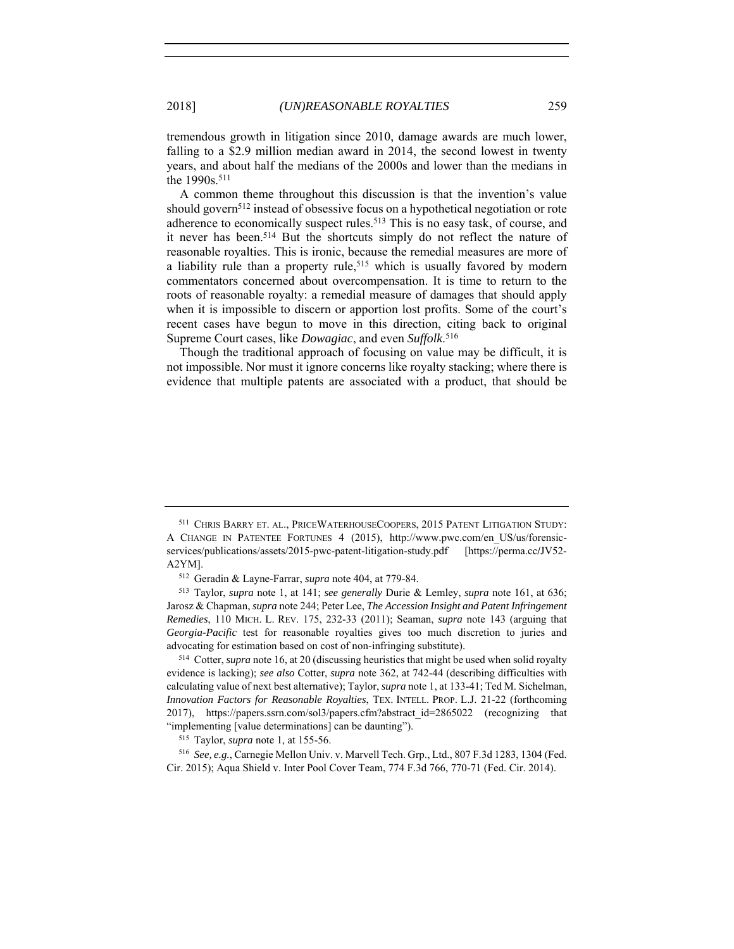tremendous growth in litigation since 2010, damage awards are much lower, falling to a \$2.9 million median award in 2014, the second lowest in twenty years, and about half the medians of the 2000s and lower than the medians in the 1990s.511

A common theme throughout this discussion is that the invention's value should govern<sup>512</sup> instead of obsessive focus on a hypothetical negotiation or rote adherence to economically suspect rules.<sup>513</sup> This is no easy task, of course, and it never has been.514 But the shortcuts simply do not reflect the nature of reasonable royalties. This is ironic, because the remedial measures are more of a liability rule than a property rule,<sup>515</sup> which is usually favored by modern commentators concerned about overcompensation. It is time to return to the roots of reasonable royalty: a remedial measure of damages that should apply when it is impossible to discern or apportion lost profits. Some of the court's recent cases have begun to move in this direction, citing back to original Supreme Court cases, like *Dowagiac*, and even *Suffolk*. 516

Though the traditional approach of focusing on value may be difficult, it is not impossible. Nor must it ignore concerns like royalty stacking; where there is evidence that multiple patents are associated with a product, that should be

<sup>511</sup> CHRIS BARRY ET. AL., PRICEWATERHOUSECOOPERS, 2015 PATENT LITIGATION STUDY: A CHANGE IN PATENTEE FORTUNES 4 (2015), http://www.pwc.com/en\_US/us/forensicservices/publications/assets/2015-pwc-patent-litigation-study.pdf [https://perma.cc**/**JV52- A2YM]. 512 Geradin & Layne-Farrar, *supra* note 404, at 779-84. 513 Taylor, *supra* note 1, at 141; *see generally* Durie & Lemley, *supra* note 161, at 636;

Jarosz & Chapman, *supra* note 244; Peter Lee, *The Accession Insight and Patent Infringement Remedies*, 110 MICH. L. REV. 175, 232-33 (2011); Seaman, *supra* note 143 (arguing that *Georgia-Pacific* test for reasonable royalties gives too much discretion to juries and advocating for estimation based on cost of non-infringing substitute).

<sup>514</sup> Cotter, *supra* note 16, at 20 (discussing heuristics that might be used when solid royalty evidence is lacking); *see also* Cotter, *supra* note 362, at 742-44 (describing difficulties with calculating value of next best alternative); Taylor, *supra* note 1, at 133-41; Ted M. Sichelman, *Innovation Factors for Reasonable Royalties*, TEX. INTELL. PROP. L.J. 21-22 (forthcoming 2017), https://papers.ssrn.com/sol3/papers.cfm?abstract\_id=2865022 (recognizing that "implementing [value determinations] can be daunting"). 515 Taylor, *supra* note 1, at 155-56.

<sup>516</sup> *See, e.g.*, Carnegie Mellon Univ. v. Marvell Tech. Grp., Ltd., 807 F.3d 1283, 1304 (Fed. Cir. 2015); Aqua Shield v. Inter Pool Cover Team, 774 F.3d 766, 770-71 (Fed. Cir. 2014).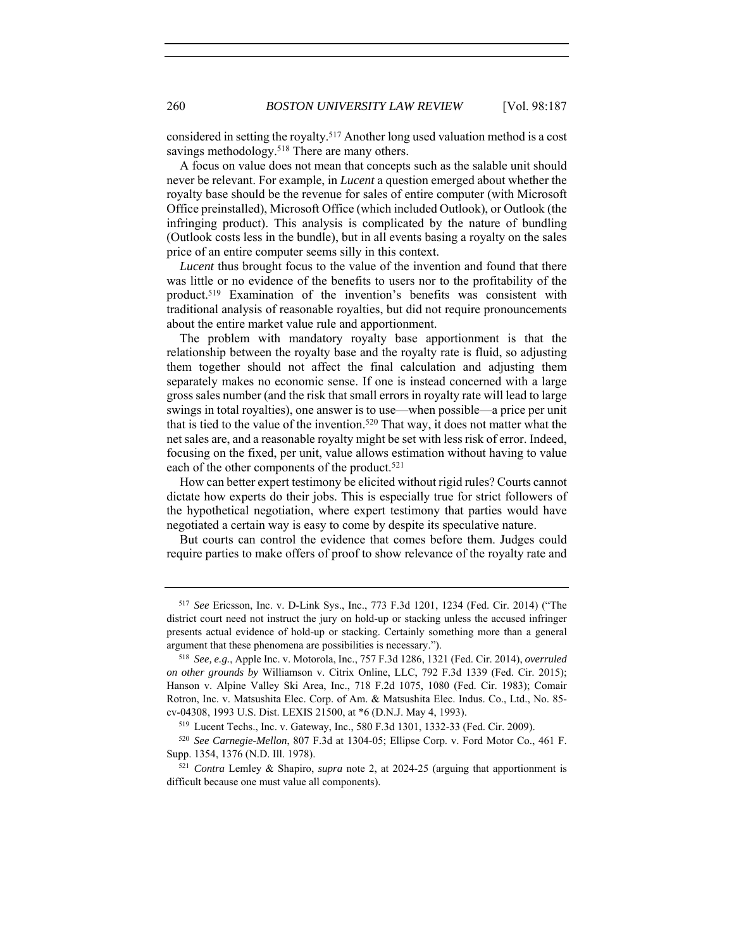considered in setting the royalty.517 Another long used valuation method is a cost savings methodology.<sup>518</sup> There are many others.

A focus on value does not mean that concepts such as the salable unit should never be relevant. For example, in *Lucent* a question emerged about whether the royalty base should be the revenue for sales of entire computer (with Microsoft Office preinstalled), Microsoft Office (which included Outlook), or Outlook (the infringing product). This analysis is complicated by the nature of bundling (Outlook costs less in the bundle), but in all events basing a royalty on the sales price of an entire computer seems silly in this context.

*Lucent* thus brought focus to the value of the invention and found that there was little or no evidence of the benefits to users nor to the profitability of the product.519 Examination of the invention's benefits was consistent with traditional analysis of reasonable royalties, but did not require pronouncements about the entire market value rule and apportionment.

The problem with mandatory royalty base apportionment is that the relationship between the royalty base and the royalty rate is fluid, so adjusting them together should not affect the final calculation and adjusting them separately makes no economic sense. If one is instead concerned with a large gross sales number (and the risk that small errors in royalty rate will lead to large swings in total royalties), one answer is to use—when possible—a price per unit that is tied to the value of the invention.<sup>520</sup> That way, it does not matter what the net sales are, and a reasonable royalty might be set with less risk of error. Indeed, focusing on the fixed, per unit, value allows estimation without having to value each of the other components of the product.<sup>521</sup>

How can better expert testimony be elicited without rigid rules? Courts cannot dictate how experts do their jobs. This is especially true for strict followers of the hypothetical negotiation, where expert testimony that parties would have negotiated a certain way is easy to come by despite its speculative nature.

But courts can control the evidence that comes before them. Judges could require parties to make offers of proof to show relevance of the royalty rate and

<sup>517</sup> *See* Ericsson, Inc. v. D-Link Sys., Inc., 773 F.3d 1201, 1234 (Fed. Cir. 2014) ("The district court need not instruct the jury on hold-up or stacking unless the accused infringer presents actual evidence of hold-up or stacking. Certainly something more than a general

argument that these phenomena are possibilities is necessary."). 518 *See, e.g.*, Apple Inc. v. Motorola, Inc., 757 F.3d 1286, 1321 (Fed. Cir. 2014), *overruled on other grounds by* Williamson v. Citrix Online, LLC, 792 F.3d 1339 (Fed. Cir. 2015); Hanson v. Alpine Valley Ski Area, Inc., 718 F.2d 1075, 1080 (Fed. Cir. 1983); Comair Rotron, Inc. v. Matsushita Elec. Corp. of Am. & Matsushita Elec. Indus. Co., Ltd., No. 85 cv-04308, 1993 U.S. Dist. LEXIS 21500, at \*6 (D.N.J. May 4, 1993).

<sup>519</sup> Lucent Techs., Inc. v. Gateway, Inc., 580 F.3d 1301, 1332-33 (Fed. Cir. 2009).

<sup>520</sup> *See Carnegie-Mellon*, 807 F.3d at 1304-05; Ellipse Corp. v. Ford Motor Co., 461 F. Supp. 1354, 1376 (N.D. Ill. 1978).

<sup>521</sup> *Contra* Lemley & Shapiro, *supra* note 2, at 2024-25 (arguing that apportionment is difficult because one must value all components).